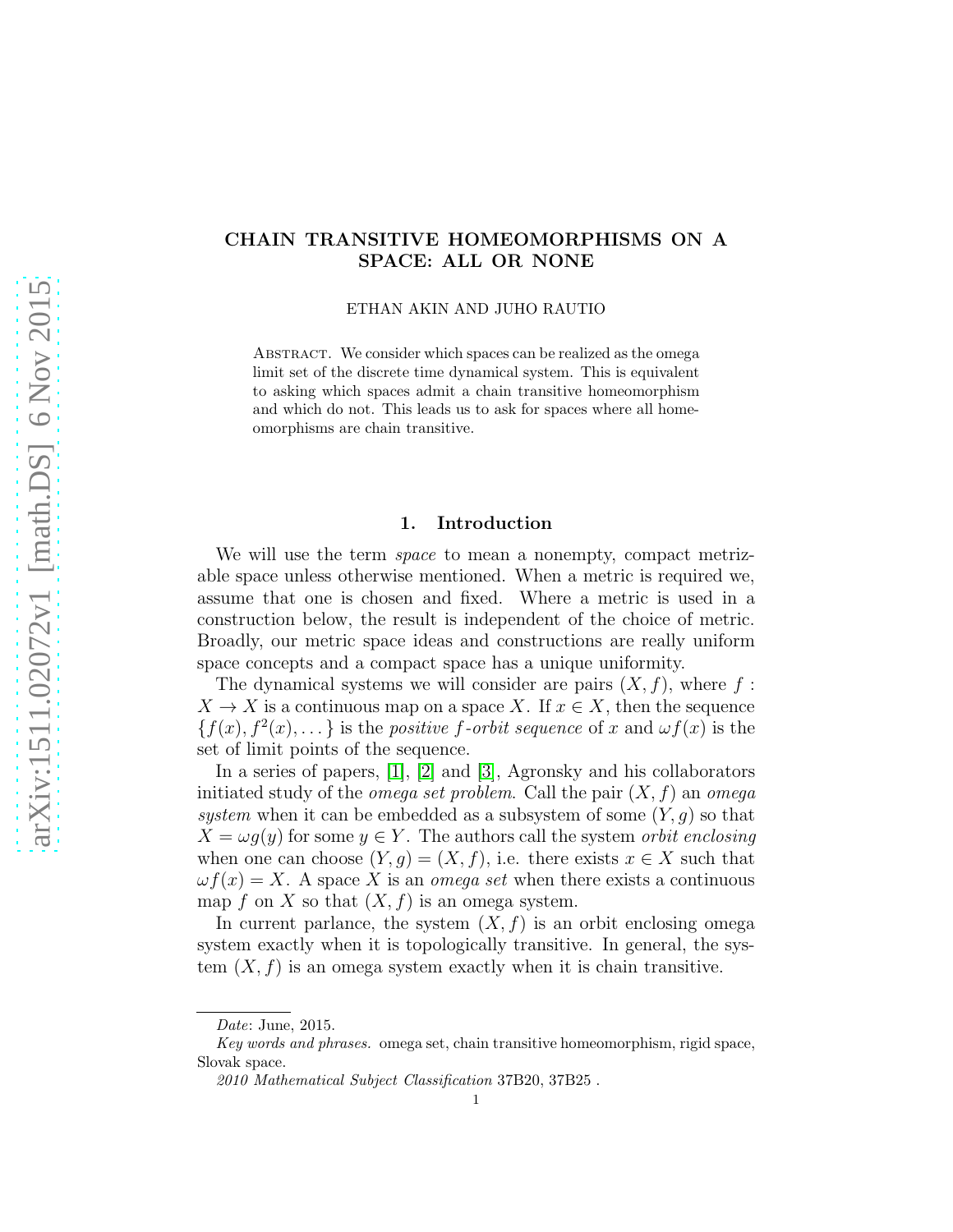# CHAIN TRANSITIVE HOMEOMORPHISMS ON A SPACE: ALL OR NONE

ETHAN AKIN AND JUHO RAUTIO

ABSTRACT. We consider which spaces can be realized as the omega limit set of the discrete time dynamical system. This is equivalent to asking which spaces admit a chain transitive homeomorphism and which do not. This leads us to ask for spaces where all homeomorphisms are chain transitive.

### 1. Introduction

We will use the term *space* to mean a nonempty, compact metrizable space unless otherwise mentioned. When a metric is required we, assume that one is chosen and fixed. Where a metric is used in a construction below, the result is independent of the choice of metric. Broadly, our metric space ideas and constructions are really uniform space concepts and a compact space has a unique uniformity.

The dynamical systems we will consider are pairs  $(X, f)$ , where f:  $X \to X$  is a continuous map on a space X. If  $x \in X$ , then the sequence  ${f(x), f^2(x), \ldots}$  is the *positive f-orbit sequence* of x and  $\omega f(x)$  is the set of limit points of the sequence.

In a series of papers, [\[1\]](#page-48-0), [\[2\]](#page-48-1) and [\[3\]](#page-48-2), Agronsky and his collaborators initiated study of the *omega set problem*. Call the pair  $(X, f)$  an *omega* system when it can be embedded as a subsystem of some  $(Y, g)$  so that  $X = \omega g(y)$  for some  $y \in Y$ . The authors call the system *orbit enclosing* when one can choose  $(Y, g) = (X, f)$ , i.e. there exists  $x \in X$  such that  $\omega f(x) = X$ . A space X is an *omega set* when there exists a continuous map f on X so that  $(X, f)$  is an omega system.

In current parlance, the system  $(X, f)$  is an orbit enclosing omega system exactly when it is topologically transitive. In general, the system  $(X, f)$  is an omega system exactly when it is chain transitive.

Date: June, 2015.

Key words and phrases. omega set, chain transitive homeomorphism, rigid space, Slovak space.

<sup>2010</sup> Mathematical Subject Classification 37B20, 37B25 .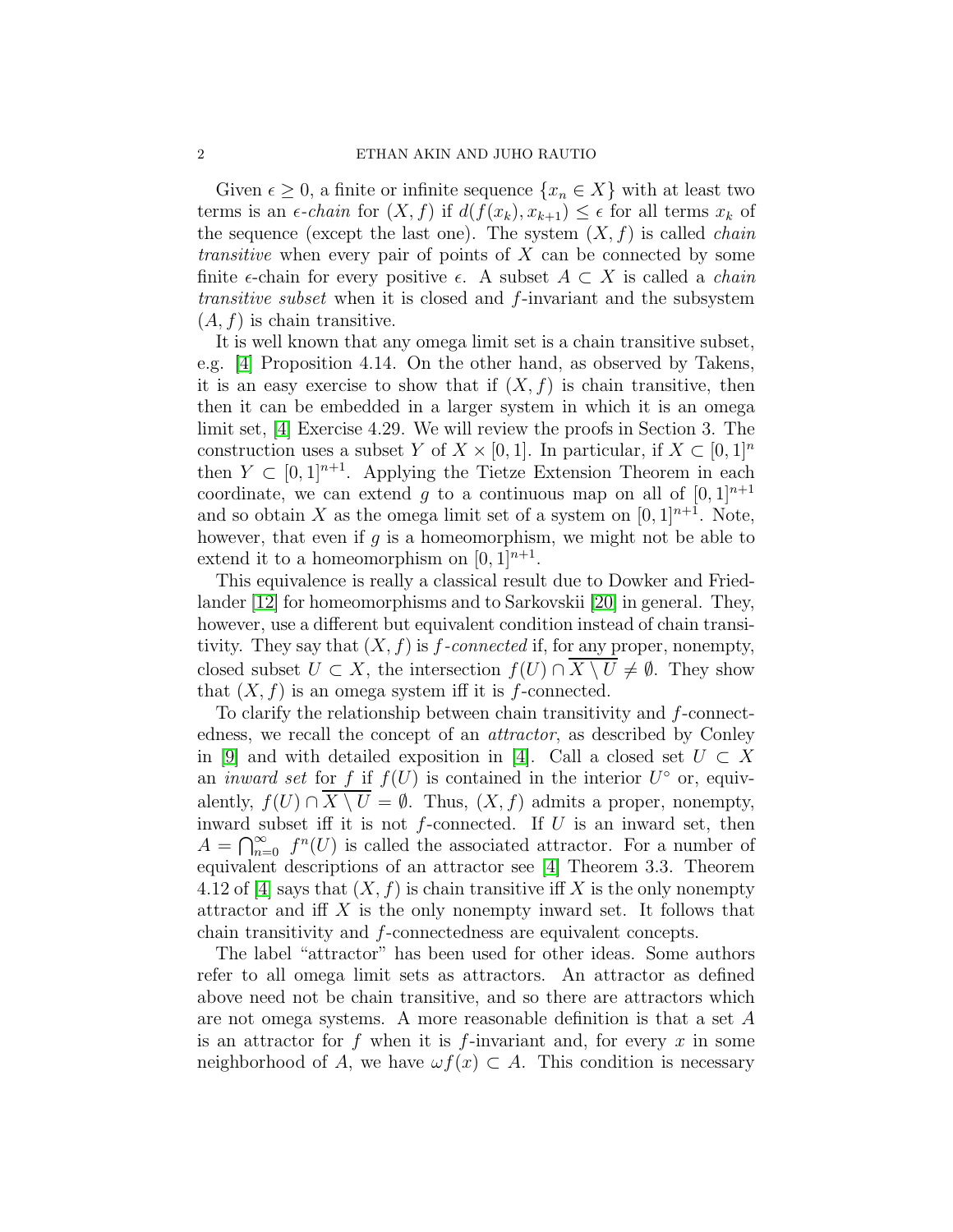Given  $\epsilon \geq 0$ , a finite or infinite sequence  $\{x_n \in X\}$  with at least two terms is an  $\epsilon$ -chain for  $(X, f)$  if  $d(f(x_k), x_{k+1}) \leq \epsilon$  for all terms  $x_k$  of the sequence (except the last one). The system  $(X, f)$  is called *chain transitive* when every pair of points of  $X$  can be connected by some finite  $\epsilon$ -chain for every positive  $\epsilon$ . A subset  $A \subset X$  is called a *chain* transitive subset when it is closed and f-invariant and the subsystem  $(A, f)$  is chain transitive.

It is well known that any omega limit set is a chain transitive subset, e.g. [\[4\]](#page-48-3) Proposition 4.14. On the other hand, as observed by Takens, it is an easy exercise to show that if  $(X, f)$  is chain transitive, then then it can be embedded in a larger system in which it is an omega limit set, [\[4\]](#page-48-3) Exercise 4.29. We will review the proofs in Section 3. The construction uses a subset Y of  $X \times [0, 1]$ . In particular, if  $X \subset [0, 1]^n$ then  $Y \subset [0,1]^{n+1}$ . Applying the Tietze Extension Theorem in each coordinate, we can extend g to a continuous map on all of  $[0,1]^{n+1}$ and so obtain X as the omega limit set of a system on  $[0, 1]^{n+1}$ . Note, however, that even if  $g$  is a homeomorphism, we might not be able to extend it to a homeomorphism on  $[0,1]^{n+1}$ .

This equivalence is really a classical result due to Dowker and Friedlander [\[12\]](#page-48-4) for homeomorphisms and to Sarkovskii [\[20\]](#page-49-0) in general. They, however, use a different but equivalent condition instead of chain transitivity. They say that  $(X, f)$  is f-connected if, for any proper, nonempty, closed subset  $U \subset X$ , the intersection  $f(U) \cap \overline{X \setminus U} \neq \emptyset$ . They show that  $(X, f)$  is an omega system iff it is f-connected.

To clarify the relationship between chain transitivity and f-connectedness, we recall the concept of an attractor, as described by Conley in [\[9\]](#page-48-5) and with detailed exposition in [\[4\]](#page-48-3). Call a closed set  $U \subset X$ an *inward set* for f if  $f(U)$  is contained in the interior  $U^{\circ}$  or, equivalently,  $f(U) \cap X \setminus U = \emptyset$ . Thus,  $(X, f)$  admits a proper, nonempty, inward subset iff it is not  $f$ -connected. If  $U$  is an inward set, then  $A = \bigcap_{n=0}^{\infty} f^n(U)$  is called the associated attractor. For a number of equivalent descriptions of an attractor see [\[4\]](#page-48-3) Theorem 3.3. Theorem 4.12 of [\[4\]](#page-48-3) says that  $(X, f)$  is chain transitive iff X is the only nonempty attractor and iff  $X$  is the only nonempty inward set. It follows that chain transitivity and f-connectedness are equivalent concepts.

The label "attractor" has been used for other ideas. Some authors refer to all omega limit sets as attractors. An attractor as defined above need not be chain transitive, and so there are attractors which are not omega systems. A more reasonable definition is that a set A is an attractor for f when it is f-invariant and, for every x in some neighborhood of A, we have  $\omega f(x) \subset A$ . This condition is necessary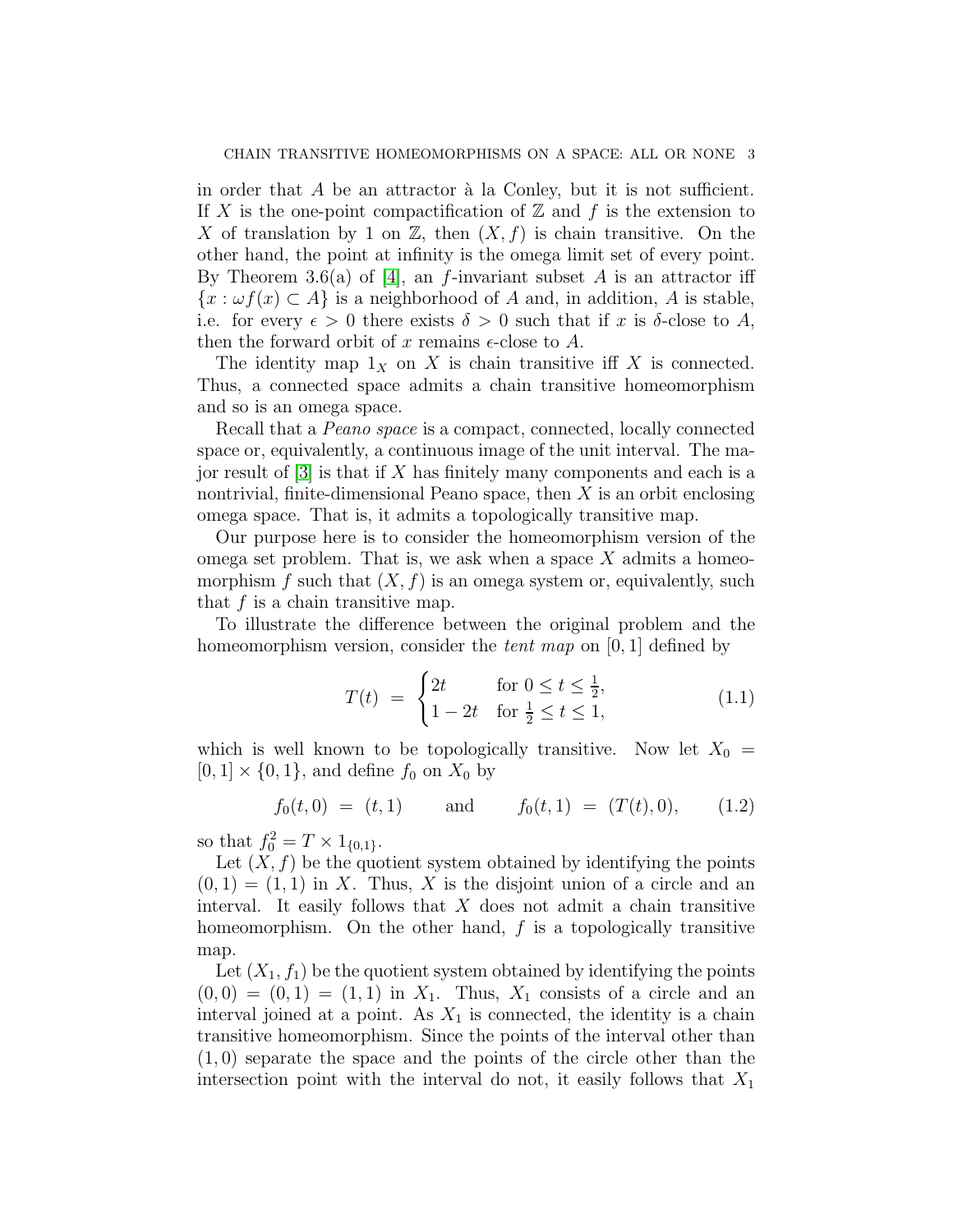in order that  $A$  be an attractor  $\lambda$  la Conley, but it is not sufficient. If X is the one-point compactification of  $\mathbb Z$  and f is the extension to X of translation by 1 on  $\mathbb{Z}$ , then  $(X, f)$  is chain transitive. On the other hand, the point at infinity is the omega limit set of every point. By Theorem 3.6(a) of [\[4\]](#page-48-3), an f-invariant subset A is an attractor iff  ${x : \omega f(x) \subset A}$  is a neighborhood of A and, in addition, A is stable, i.e. for every  $\epsilon > 0$  there exists  $\delta > 0$  such that if x is  $\delta$ -close to A, then the forward orbit of x remains  $\epsilon$ -close to A.

The identity map  $1_X$  on X is chain transitive iff X is connected. Thus, a connected space admits a chain transitive homeomorphism and so is an omega space.

Recall that a Peano space is a compact, connected, locally connected space or, equivalently, a continuous image of the unit interval. The major result of  $[3]$  is that if X has finitely many components and each is a nontrivial, finite-dimensional Peano space, then  $X$  is an orbit enclosing omega space. That is, it admits a topologically transitive map.

Our purpose here is to consider the homeomorphism version of the omega set problem. That is, we ask when a space  $X$  admits a homeomorphism f such that  $(X, f)$  is an omega system or, equivalently, such that  $f$  is a chain transitive map.

To illustrate the difference between the original problem and the homeomorphism version, consider the *tent map* on  $[0, 1]$  defined by

$$
T(t) = \begin{cases} 2t & \text{for } 0 \le t \le \frac{1}{2}, \\ 1 - 2t & \text{for } \frac{1}{2} \le t \le 1, \end{cases}
$$
(1.1)

which is well known to be topologically transitive. Now let  $X_0 =$  $[0, 1] \times \{0, 1\}$ , and define  $f_0$  on  $X_0$  by

$$
f_0(t,0) = (t,1)
$$
 and  $f_0(t,1) = (T(t),0),$  (1.2)

so that  $f_0^2 = T \times 1_{\{0,1\}}$ .

Let  $(X, f)$  be the quotient system obtained by identifying the points  $(0, 1) = (1, 1)$  in X. Thus, X is the disjoint union of a circle and an interval. It easily follows that  $X$  does not admit a chain transitive homeomorphism. On the other hand,  $f$  is a topologically transitive map.

Let  $(X_1, f_1)$  be the quotient system obtained by identifying the points  $(0, 0) = (0, 1) = (1, 1)$  in  $X_1$ . Thus,  $X_1$  consists of a circle and an interval joined at a point. As  $X_1$  is connected, the identity is a chain transitive homeomorphism. Since the points of the interval other than (1, 0) separate the space and the points of the circle other than the intersection point with the interval do not, it easily follows that  $X_1$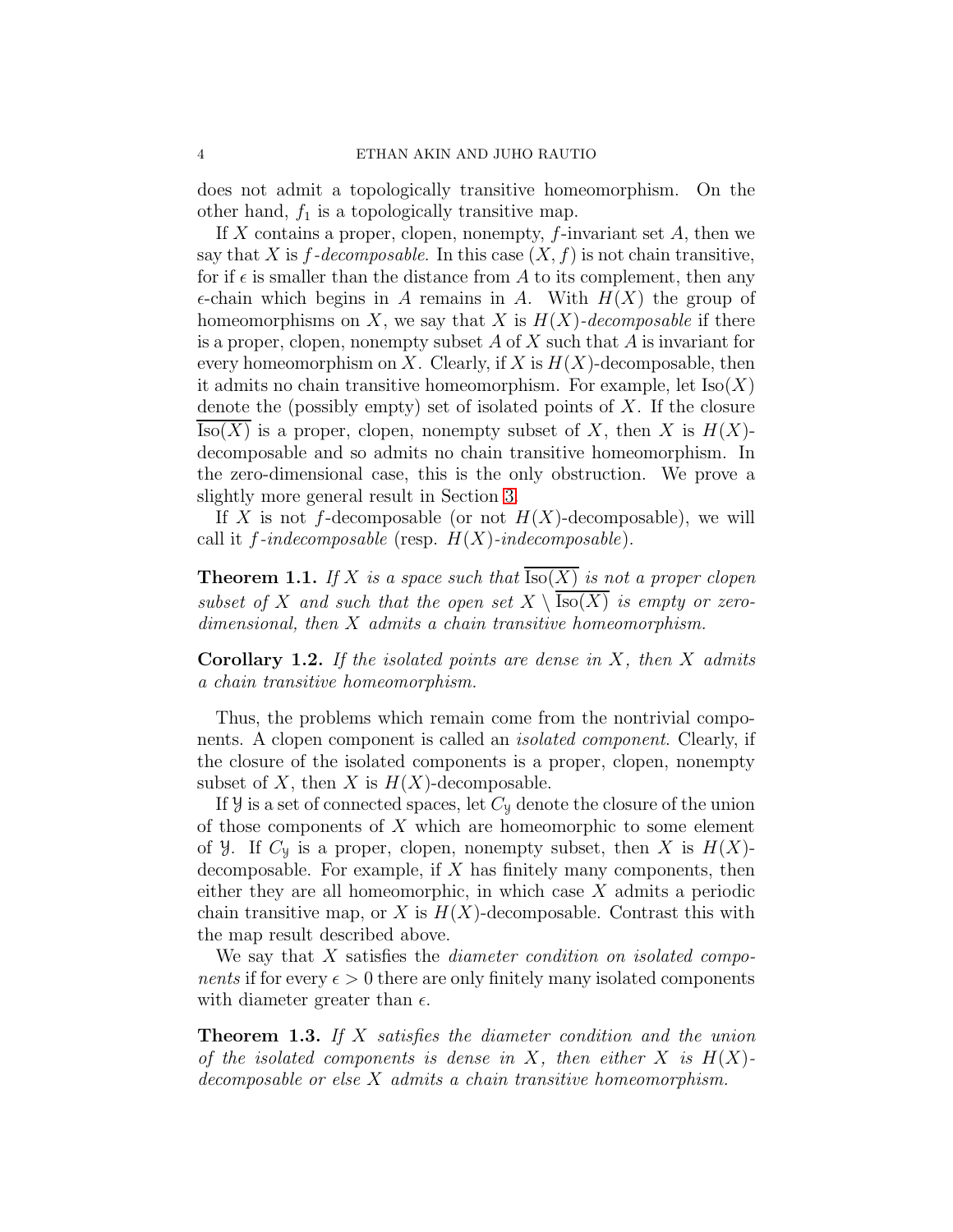does not admit a topologically transitive homeomorphism. On the other hand,  $f_1$  is a topologically transitive map.

If  $X$  contains a proper, clopen, nonempty,  $f$ -invariant set  $A$ , then we say that X is  $f$ -decomposable. In this case  $(X, f)$  is not chain transitive, for if  $\epsilon$  is smaller than the distance from A to its complement, then any  $\epsilon$ -chain which begins in A remains in A. With  $H(X)$  the group of homeomorphisms on X, we say that X is  $H(X)$ -decomposable if there is a proper, clopen, nonempty subset  $A$  of  $X$  such that  $A$  is invariant for every homeomorphism on X. Clearly, if X is  $H(X)$ -decomposable, then it admits no chain transitive homeomorphism. For example, let  $\text{Iso}(X)$ denote the (possibly empty) set of isolated points of  $X$ . If the closure  $\text{Iso}(X)$  is a proper, clopen, nonempty subset of X, then X is  $H(X)$ decomposable and so admits no chain transitive homeomorphism. In the zero-dimensional case, this is the only obstruction. We prove a slightly more general result in Section [3.](#page-15-0)

If X is not f-decomposable (or not  $H(X)$ -decomposable), we will call it f-indecomposable (resp.  $H(X)$ -indecomposable).

<span id="page-3-0"></span>**Theorem 1.1.** If X is a space such that  $\text{Iso}(X)$  is not a proper clopen subset of X and such that the open set  $X \setminus \overline{Iso(X)}$  is empty or zerodimensional, then X admits a chain transitive homeomorphism.

**Corollary 1.2.** If the isolated points are dense in  $X$ , then  $X$  admits a chain transitive homeomorphism.

Thus, the problems which remain come from the nontrivial components. A clopen component is called an isolated component. Clearly, if the closure of the isolated components is a proper, clopen, nonempty subset of X, then X is  $H(X)$ -decomposable.

If  $\mathcal{Y}$  is a set of connected spaces, let  $C_{\mathcal{Y}}$  denote the closure of the union of those components of  $X$  which are homeomorphic to some element of *y*. If  $C_y$  is a proper, clopen, nonempty subset, then X is  $H(X)$ decomposable. For example, if  $X$  has finitely many components, then either they are all homeomorphic, in which case X admits a periodic chain transitive map, or X is  $H(X)$ -decomposable. Contrast this with the map result described above.

We say that X satisfies the *diameter condition on isolated components* if for every  $\epsilon > 0$  there are only finitely many isolated components with diameter greater than  $\epsilon$ .

**Theorem 1.3.** If  $X$  satisfies the diameter condition and the union of the isolated components is dense in X, then either X is  $H(X)$ decomposable or else X admits a chain transitive homeomorphism.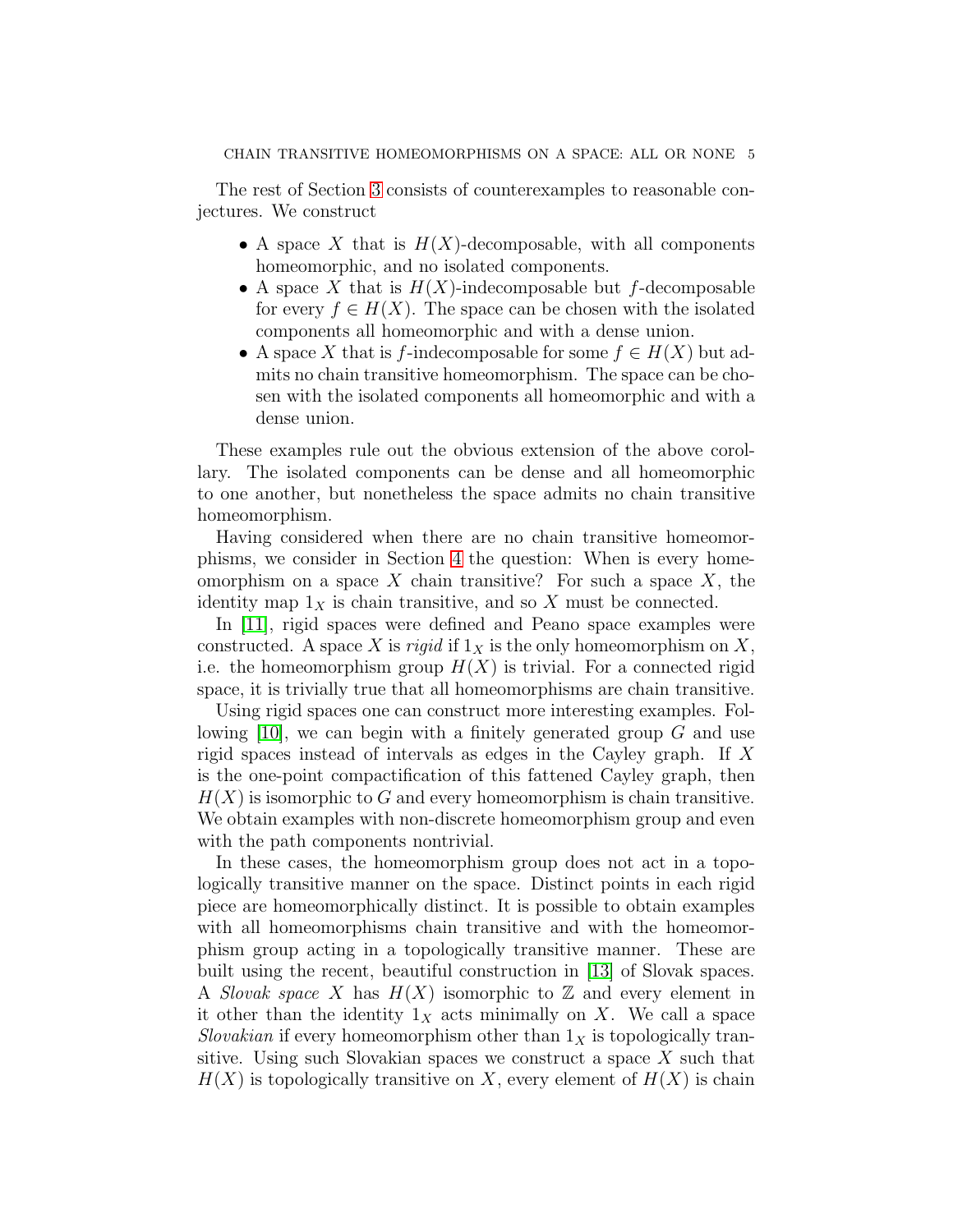The rest of Section [3](#page-15-0) consists of counterexamples to reasonable conjectures. We construct

- A space X that is  $H(X)$ -decomposable, with all components homeomorphic, and no isolated components.
- A space X that is  $H(X)$ -indecomposable but f-decomposable for every  $f \in H(X)$ . The space can be chosen with the isolated components all homeomorphic and with a dense union.
- A space X that is f-indecomposable for some  $f \in H(X)$  but admits no chain transitive homeomorphism. The space can be chosen with the isolated components all homeomorphic and with a dense union.

These examples rule out the obvious extension of the above corollary. The isolated components can be dense and all homeomorphic to one another, but nonetheless the space admits no chain transitive homeomorphism.

Having considered when there are no chain transitive homeomorphisms, we consider in Section [4](#page-33-0) the question: When is every homeomorphism on a space  $X$  chain transitive? For such a space  $X$ , the identity map  $1_X$  is chain transitive, and so X must be connected.

In [\[11\]](#page-48-6), rigid spaces were defined and Peano space examples were constructed. A space X is rigid if  $1_X$  is the only homeomorphism on X, i.e. the homeomorphism group  $H(X)$  is trivial. For a connected rigid space, it is trivially true that all homeomorphisms are chain transitive.

Using rigid spaces one can construct more interesting examples. Following  $[10]$ , we can begin with a finitely generated group G and use rigid spaces instead of intervals as edges in the Cayley graph. If X is the one-point compactification of this fattened Cayley graph, then  $H(X)$  is isomorphic to G and every homeomorphism is chain transitive. We obtain examples with non-discrete homeomorphism group and even with the path components nontrivial.

In these cases, the homeomorphism group does not act in a topologically transitive manner on the space. Distinct points in each rigid piece are homeomorphically distinct. It is possible to obtain examples with all homeomorphisms chain transitive and with the homeomorphism group acting in a topologically transitive manner. These are built using the recent, beautiful construction in [\[13\]](#page-48-8) of Slovak spaces. A *Slovak space* X has  $H(X)$  isomorphic to Z and every element in it other than the identity  $1_X$  acts minimally on X. We call a space Slovakian if every homeomorphism other than  $1<sub>X</sub>$  is topologically transitive. Using such Slovakian spaces we construct a space X such that  $H(X)$  is topologically transitive on X, every element of  $H(X)$  is chain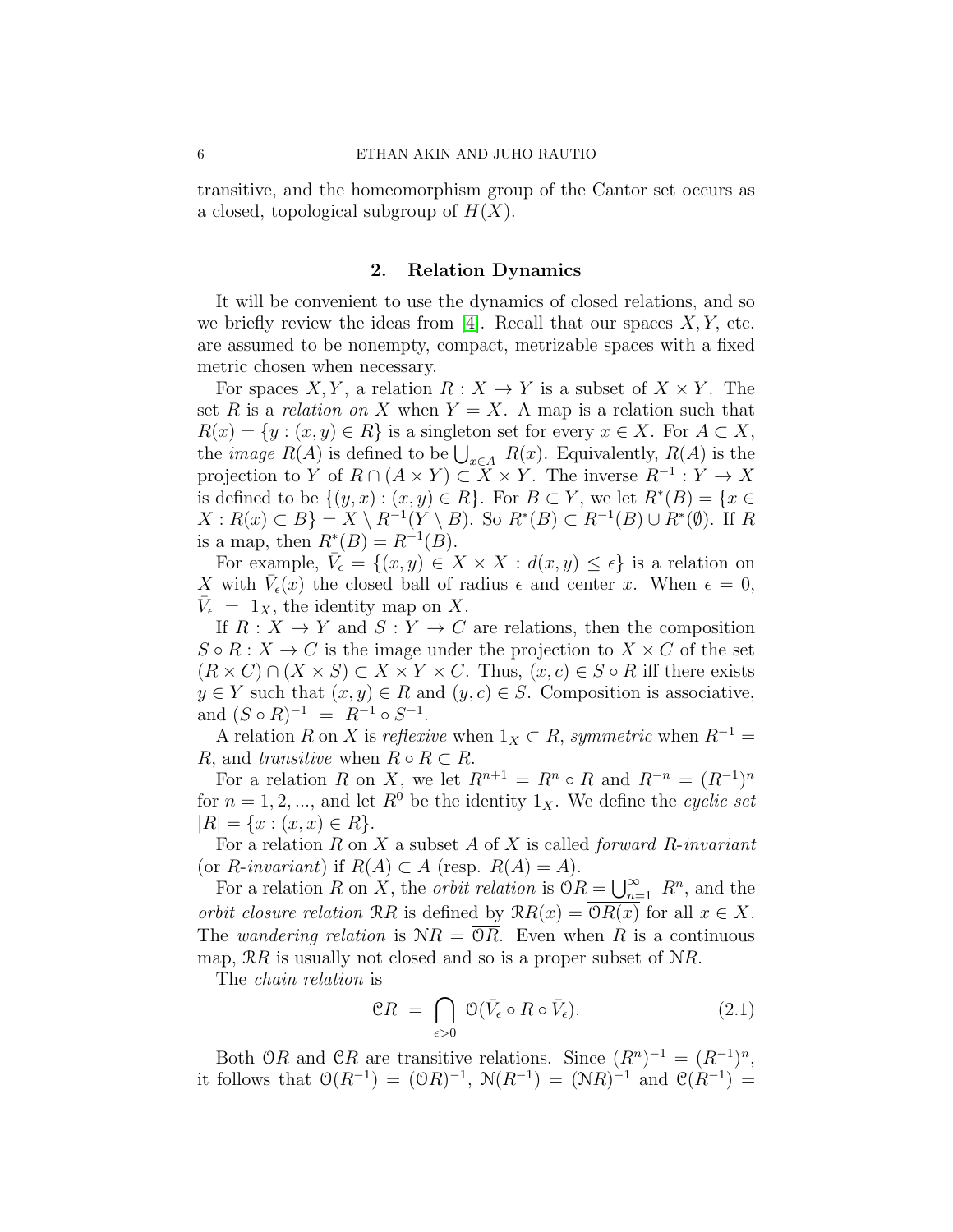transitive, and the homeomorphism group of the Cantor set occurs as a closed, topological subgroup of  $H(X)$ .

### 2. Relation Dynamics

It will be convenient to use the dynamics of closed relations, and so we briefly review the ideas from [\[4\]](#page-48-3). Recall that our spaces  $X, Y$ , etc. are assumed to be nonempty, compact, metrizable spaces with a fixed metric chosen when necessary.

For spaces X, Y, a relation  $R: X \to Y$  is a subset of  $X \times Y$ . The set R is a relation on X when  $Y = X$ . A map is a relation such that  $R(x) = \{y : (x, y) \in R\}$  is a singleton set for every  $x \in X$ . For  $A \subset X$ , the *image*  $R(A)$  is defined to be  $\bigcup_{x \in A} R(x)$ . Equivalently,  $R(A)$  is the projection to Y of  $R \cap (A \times Y) \subset \overline{X} \times Y$ . The inverse  $R^{-1}: Y \to X$ is defined to be  $\{(y, x) : (x, y) \in R\}$ . For  $B \subset Y$ , we let  $R^*(B) = \{x \in$  $X: R(x) \subset B$  =  $X \setminus R^{-1}(Y \setminus B)$ . So  $R^*(B) \subset R^{-1}(B) \cup R^*(\emptyset)$ . If R is a map, then  $R^*(B) = R^{-1}(B)$ .

For example,  $\bar{V}_{\epsilon} = \{(x, y) \in X \times X : d(x, y) \leq \epsilon\}$  is a relation on X with  $\bar{V}_{\epsilon}(x)$  the closed ball of radius  $\epsilon$  and center x. When  $\epsilon = 0$ ,  $\bar{V}_{\epsilon} = 1_X$ , the identity map on X.

If  $R: X \to Y$  and  $S: Y \to C$  are relations, then the composition  $S \circ R : X \to C$  is the image under the projection to  $X \times C$  of the set  $(R \times C) \cap (X \times S) \subset X \times Y \times C$ . Thus,  $(x, c) \in S \circ R$  iff there exists  $y \in Y$  such that  $(x, y) \in R$  and  $(y, c) \in S$ . Composition is associative, and  $(S \circ R)^{-1} = R^{-1} \circ S^{-1}$ .

A relation R on X is reflexive when  $1_X \subset R$ , symmetric when  $R^{-1}$  = R, and transitive when  $R \circ R \subset R$ .

For a relation R on X, we let  $R^{n+1} = R^n \circ R$  and  $R^{-n} = (R^{-1})^n$ for  $n = 1, 2, \dots$ , and let  $R^0$  be the identity  $1_X$ . We define the cyclic set  $|R| = \{x : (x, x) \in R\}.$ 

For a relation  $R$  on  $X$  a subset  $A$  of  $X$  is called *forward*  $R$ -invariant (or *R*-invariant) if  $R(A) \subset A$  (resp.  $R(A) = A$ ).

For a relation R on X, the *orbit relation* is  $\mathcal{O}R = \bigcup_{n=1}^{\infty} R^n$ , and the *orbit closure relation*  $\mathcal{R}R$  is defined by  $\mathcal{R}R(x) = \mathcal{O}R(x)$  for all  $x \in X$ . The *wandering relation* is  $NR = \overline{OR}$ . Even when R is a continuous map,  $\mathcal{R}R$  is usually not closed and so is a proper subset of  $\mathcal{R}R$ .

The chain relation is

$$
\mathcal{C}R = \bigcap_{\epsilon > 0} \mathcal{O}(\bar{V}_{\epsilon} \circ R \circ \bar{V}_{\epsilon}). \tag{2.1}
$$

Both OR and CR are transitive relations. Since  $(R^n)^{-1} = (R^{-1})^n$ , it follows that  $O(R^{-1}) = (OR)^{-1}$ ,  $N(R^{-1}) = (NR)^{-1}$  and  $C(R^{-1}) =$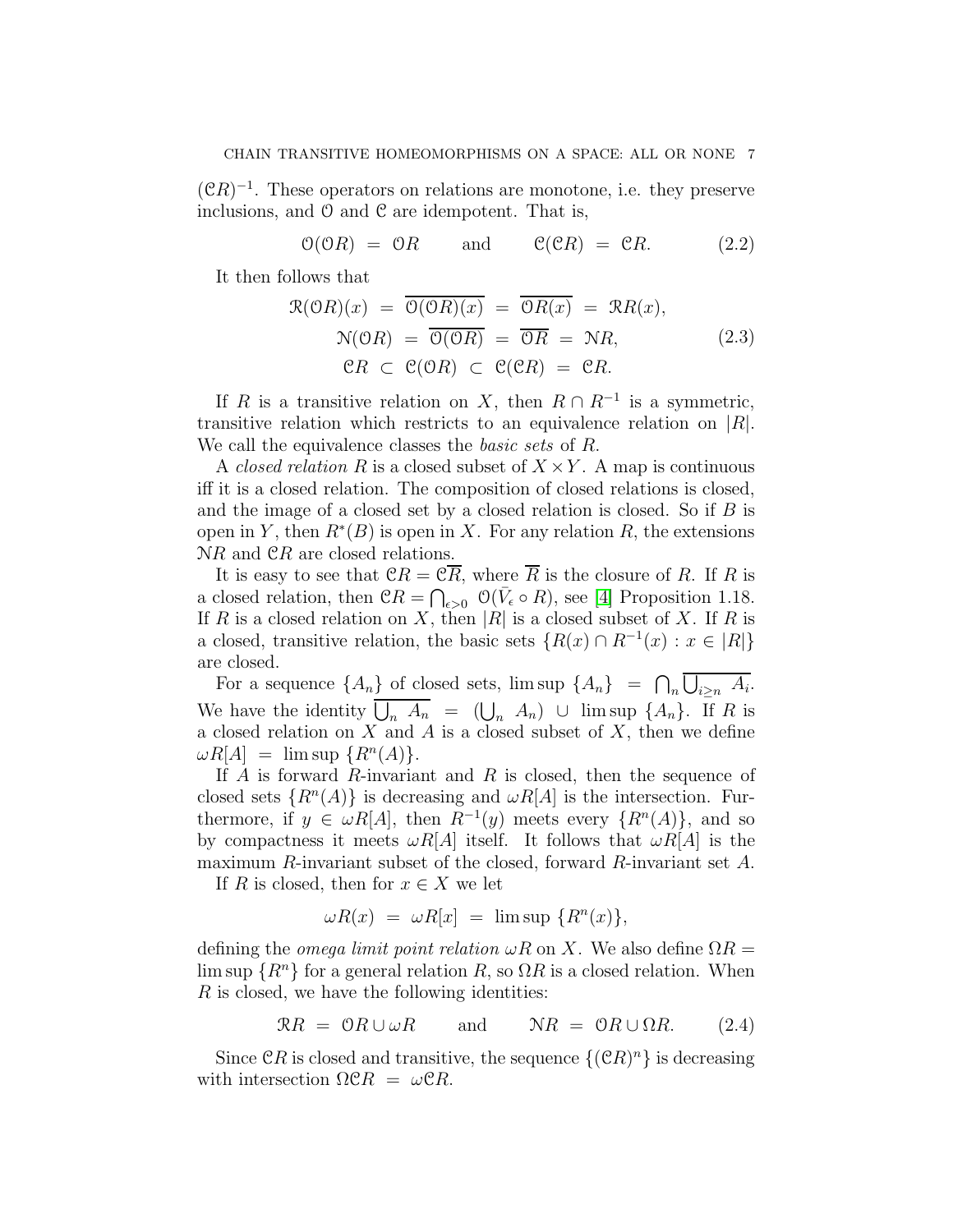$({\mathfrak C} R)^{-1}$ . These operators on relations are monotone, i.e. they preserve inclusions, and  $\mathcal O$  and  $\mathcal C$  are idempotent. That is,

<span id="page-6-2"></span> $\mathcal{O}(\mathcal{O}R) = \mathcal{O}R$  and  $\mathcal{C}(\mathcal{C}R) = \mathcal{C}R$ . (2.2)

It then follows that

<span id="page-6-1"></span>
$$
\mathcal{R}(\mathcal{O}R)(x) = \overline{\mathcal{O}(\mathcal{O}R)(x)} = \overline{\mathcal{O}R(x)} = \mathcal{R}R(x),
$$
  
\n
$$
\mathcal{N}(\mathcal{O}R) = \overline{\mathcal{O}(\mathcal{O}R)} = \overline{\mathcal{O}R} = \mathcal{N}R,
$$
  
\n
$$
\mathcal{C}R \subset \mathcal{C}(\mathcal{O}R) \subset \mathcal{C}(\mathcal{C}R) = \mathcal{C}R.
$$
\n(2.3)

If R is a transitive relation on X, then  $R \cap R^{-1}$  is a symmetric, transitive relation which restricts to an equivalence relation on  $|R|$ . We call the equivalence classes the *basic sets* of R.

A *closed relation* R is a closed subset of  $X \times Y$ . A map is continuous iff it is a closed relation. The composition of closed relations is closed, and the image of a closed set by a closed relation is closed. So if  $B$  is open in Y, then  $R^*(B)$  is open in X. For any relation R, the extensions NR and  $\mathfrak{C}R$  are closed relations.

It is easy to see that  $CR = \mathcal{C}\overline{R}$ , where  $\overline{R}$  is the closure of R. If R is a closed relation, then  $CR = \bigcap_{\epsilon > 0} \mathcal{O}(\bar{V}_{\epsilon} \circ R)$ , see [\[4\]](#page-48-3) Proposition 1.18. If R is a closed relation on X, then |R| is a closed subset of X. If R is a closed, transitive relation, the basic sets  $\{R(x) \cap R^{-1}(x) : x \in |R|\}$ are closed.

For a sequence  $\{A_n\}$  of closed sets,  $\limsup \{A_n\} = \bigcap_n \overline{\bigcup_{i \geq n} A_i}$ . We have the identity  $\overline{\bigcup_n A_n} = (\bigcup_n A_n) \cup \limsup \{A_n\}.$  If R is a closed relation on  $X$  and  $A$  is a closed subset of  $X$ , then we define  $\omega R[A] = \limsup \{ R^n(A) \}.$ 

If A is forward R-invariant and R is closed, then the sequence of closed sets  $\{R^n(A)\}\$ is decreasing and  $\omega R[A]$  is the intersection. Furthermore, if  $y \in \omega R[A]$ , then  $R^{-1}(y)$  meets every  $\{R^{n}(A)\}\$ , and so by compactness it meets  $\omega R[A]$  itself. It follows that  $\omega R[A]$  is the maximum R-invariant subset of the closed, forward R-invariant set A.

If R is closed, then for  $x \in X$  we let

$$
\omega R(x) = \omega R[x] = \limsup \{ R^n(x) \},
$$

defining the *omega limit point relation*  $\omega R$  on X. We also define  $\Omega R =$ lim sup  $\{R^n\}$  for a general relation R, so  $\Omega R$  is a closed relation. When R is closed, we have the following identities:

<span id="page-6-0"></span>
$$
\mathcal{R}R = \mathcal{O}R \cup \omega R \quad \text{and} \quad \mathcal{N}R = \mathcal{O}R \cup \Omega R. \quad (2.4)
$$

Since  $\mathfrak{C}R$  is closed and transitive, the sequence  $\{(\mathfrak{C}R)^n\}$  is decreasing with intersection  $\Omega$ CR =  $\omega$ CR.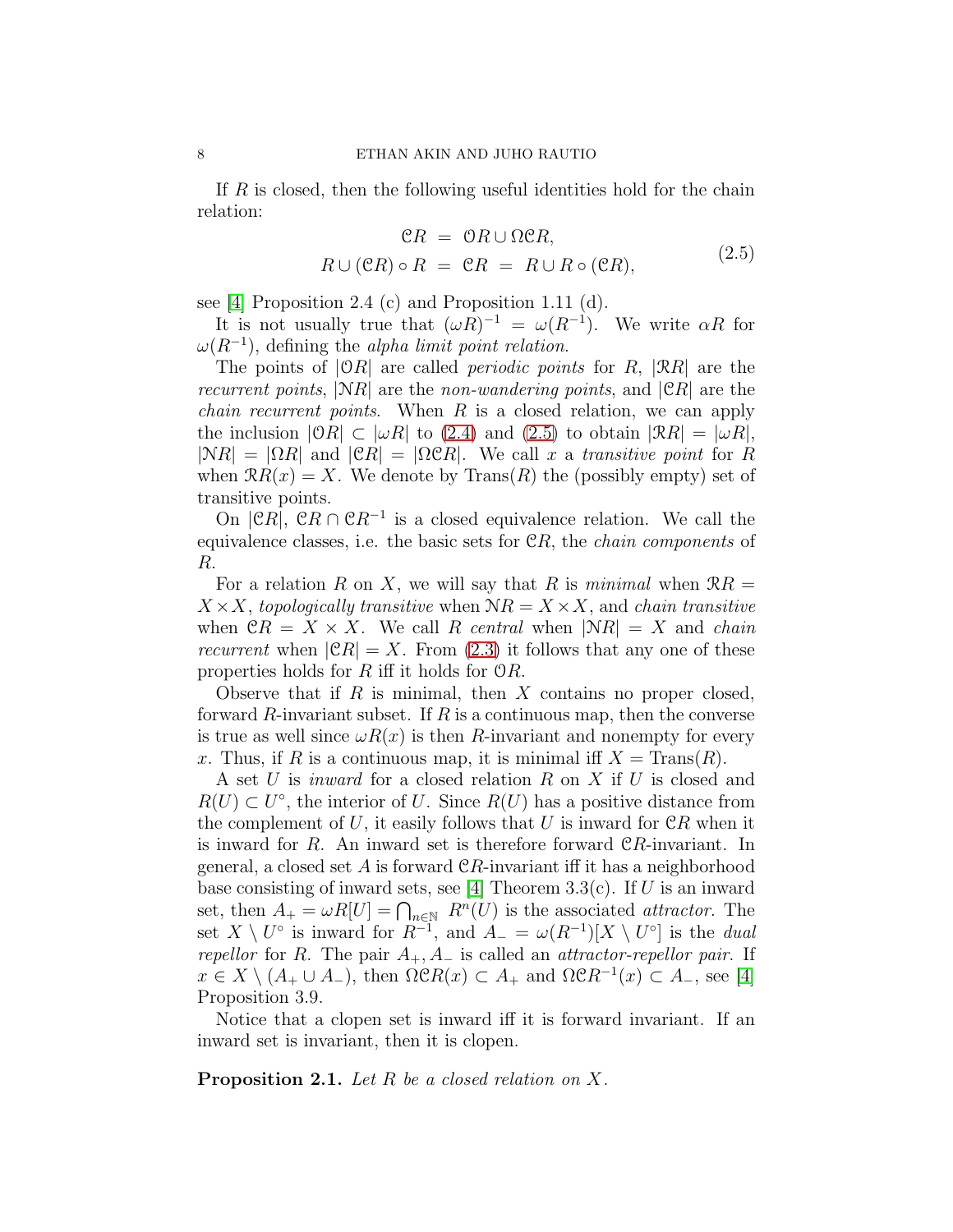If R is closed, then the following useful identities hold for the chain relation:

<span id="page-7-0"></span>
$$
PR = OR \cup \Omega CR,
$$
  

$$
R \cup (CR) \circ R = CR = R \cup R \circ (CR),
$$
 (2.5)

see [\[4\]](#page-48-3) Proposition 2.4 (c) and Proposition 1.11 (d).

It is not usually true that  $(\omega R)^{-1} = \omega(R^{-1})$ . We write  $\alpha R$  for  $\omega(R^{-1})$ , defining the *alpha limit point relation*.

The points of  $|{\mathcal{O}} R|$  are called *periodic points* for R,  $|RR|$  are the recurrent points,  $|NR|$  are the non-wandering points, and  $|CR|$  are the *chain recurrent points.* When  $R$  is a closed relation, we can apply the inclusion  $|{\mathcal{O}} R| \subset |\omega R|$  to [\(2.4\)](#page-6-0) and [\(2.5\)](#page-7-0) to obtain  $|{\mathcal{R}} R| = |\omega R|$ ,  $|NR| = |\Omega R|$  and  $|CR| = |\Omega CR|$ . We call x a transitive point for R when  $\mathcal{R}R(x) = X$ . We denote by  $\text{Trans}(R)$  the (possibly empty) set of transitive points.

On  $|{\mathfrak C} R|$ ,  ${\mathfrak C} R \cap {\mathfrak C} R^{-1}$  is a closed equivalence relation. We call the equivalence classes, i.e. the basic sets for  $\mathcal{C}R$ , the *chain components* of R.

For a relation R on X, we will say that R is minimal when  $\Re R =$  $X \times X$ , topologically transitive when  $\mathcal{N}R = X \times X$ , and chain transitive when  $\mathcal{C}R = X \times X$ . We call R central when  $|\mathcal{N}R| = X$  and chain *recurrent* when  $|CR| = X$ . From [\(2.3\)](#page-6-1) it follows that any one of these properties holds for R iff it holds for  $\mathcal{O}R$ .

Observe that if  $R$  is minimal, then  $X$  contains no proper closed, forward R-invariant subset. If  $R$  is a continuous map, then the converse is true as well since  $\omega R(x)$  is then R-invariant and nonempty for every x. Thus, if R is a continuous map, it is minimal iff  $X = \text{Trans}(R)$ .

A set U is *inward* for a closed relation R on X if U is closed and  $R(U) \subset U^{\circ}$ , the interior of U. Since  $R(U)$  has a positive distance from the complement of U, it easily follows that U is inward for  $\mathcal{C}R$  when it is inward for  $R$ . An inward set is therefore forward  $\mathcal{C}R$ -invariant. In general, a closed set A is forward  $CR$ -invariant iff it has a neighborhood base consisting of inward sets, see [\[4\]](#page-48-3) Theorem 3.3(c). If U is an inward set, then  $A_+ = \omega R[U] = \bigcap_{n \in \mathbb{N}} R^n(U)$  is the associated *attractor*. The set  $X \setminus U^{\circ}$  is inward for  $R^{-1}$ , and  $A_{-} = \omega(R^{-1})[X \setminus U^{\circ}]$  is the *dual* repellor for R. The pair  $A_+, A_-$  is called an *attractor-repellor pair*. If  $x \in X \setminus (A_+ \cup A_-)$ , then  $\Omega \mathcal{C}R(x) \subset A_+$  and  $\Omega \mathcal{C}R^{-1}(x) \subset A_-$ , see [\[4\]](#page-48-3) Proposition 3.9.

Notice that a clopen set is inward iff it is forward invariant. If an inward set is invariant, then it is clopen.

<span id="page-7-1"></span>**Proposition 2.1.** Let R be a closed relation on X.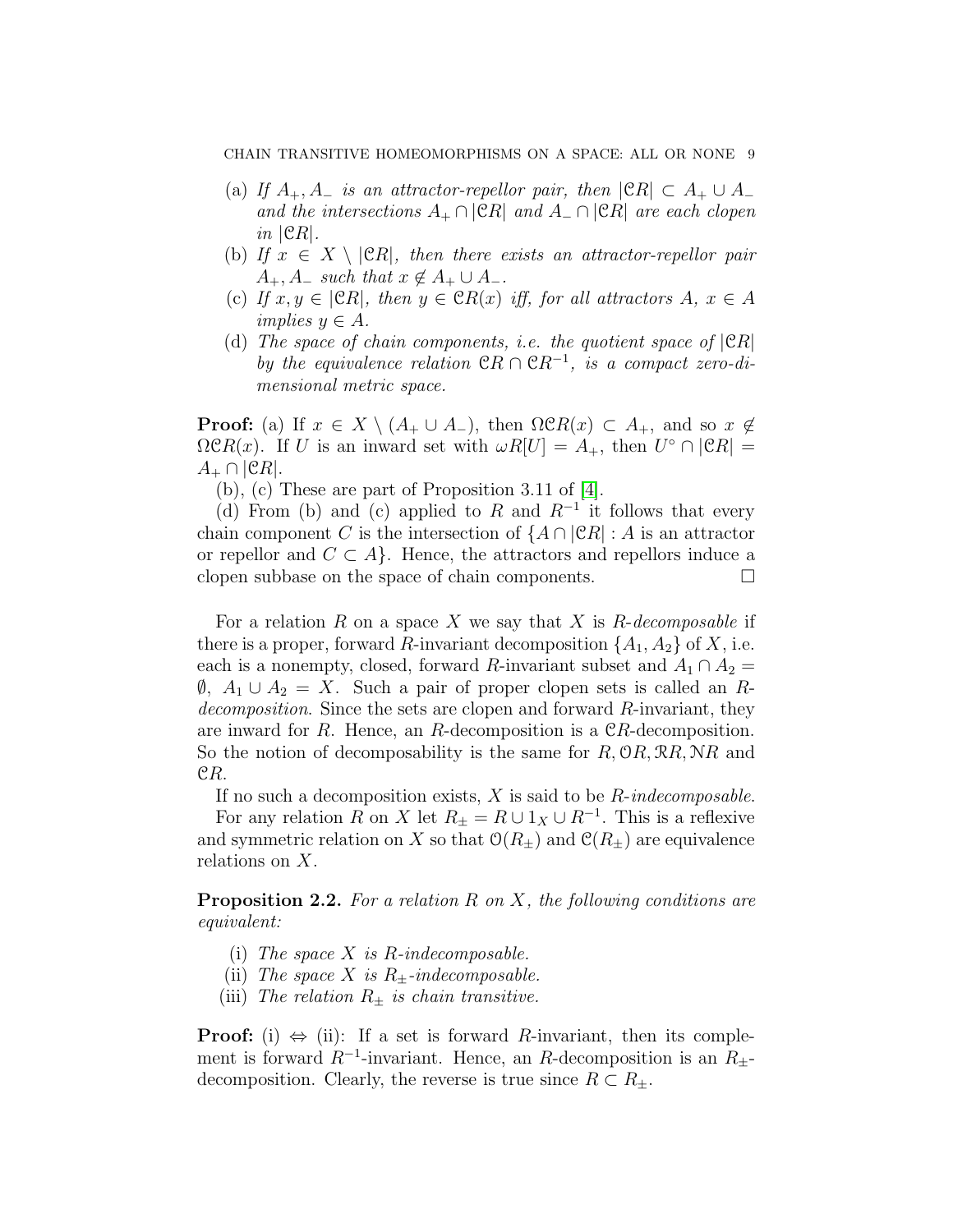- (a) If  $A_+, A_-$  is an attractor-repellor pair, then  $|{\mathfrak C} R| \subset A_+ \cup A_$ and the intersections  $A_+ \cap |\mathcal{C}R|$  and  $A_- \cap |\mathcal{C}R|$  are each clopen  $in$   $|CR|$ .
- (b) If  $x \in X \setminus |\mathcal{C}R|$ , then there exists an attractor-repellor pair  $A_+$ ,  $A_-$  such that  $x \notin A_+ \cup A_-$ .
- (c) If  $x, y \in |CR|$ , then  $y \in CR(x)$  iff, for all attractors  $A, x \in A$ implies  $y \in A$ .
- (d) The space of chain components, i.e. the quotient space of  $|CR|$ by the equivalence relation  $\mathfrak{C}R \cap \mathfrak{C}R^{-1}$ , is a compact zero-dimensional metric space.

**Proof:** (a) If  $x \in X \setminus (A_+ \cup A_-)$ , then  $\Omega \mathcal{C}R(x) \subset A_+$ , and so  $x \notin A_+$  $\Omega \mathcal{C}R(x)$ . If U is an inward set with  $\omega R[U] = A_+$ , then  $U^{\circ} \cap |\mathcal{C}R| =$  $A_+ \cap |CR|$ .

(b), (c) These are part of Proposition 3.11 of [\[4\]](#page-48-3).

(d) From (b) and (c) applied to R and  $R^{-1}$  it follows that every chain component C is the intersection of  $\{A \cap |\mathcal{C}R| : A$  is an attractor or repellor and  $C \subset A$ . Hence, the attractors and repellors induce a clopen subbase on the space of chain components.

For a relation R on a space X we say that X is R-decomposable if there is a proper, forward R-invariant decomposition  $\{A_1, A_2\}$  of X, i.e. each is a nonempty, closed, forward R-invariant subset and  $A_1 \cap A_2 =$  $\emptyset$ ,  $A_1 \cup A_2 = X$ . Such a pair of proper clopen sets is called an Rdecomposition. Since the sets are clopen and forward R-invariant, they are inward for R. Hence, an R-decomposition is a  $CR$ -decomposition. So the notion of decomposability is the same for  $R$ ,  $\mathcal{O}R$ ,  $\mathcal{R}R$ ,  $\mathcal{N}R$  and CR.

If no such a decomposition exists,  $X$  is said to be  $R$ -indecomposable.

For any relation R on X let  $R_{\pm} = R \cup 1_X \cup R^{-1}$ . This is a reflexive and symmetric relation on X so that  $\mathcal{O}(R_{\pm})$  and  $\mathcal{C}(R_{\pm})$  are equivalence relations on X.

<span id="page-8-0"></span>**Proposition 2.2.** For a relation R on X, the following conditions are equivalent:

- (i) The space  $X$  is R-indecomposable.
- (ii) The space X is  $R_{+}$ -indecomposable.
- (iii) The relation  $R_{\pm}$  is chain transitive.

**Proof:** (i)  $\Leftrightarrow$  (ii): If a set is forward R-invariant, then its complement is forward  $R^{-1}$ -invariant. Hence, an R-decomposition is an  $R_{\pm}$ decomposition. Clearly, the reverse is true since  $R \subset R_{\pm}$ .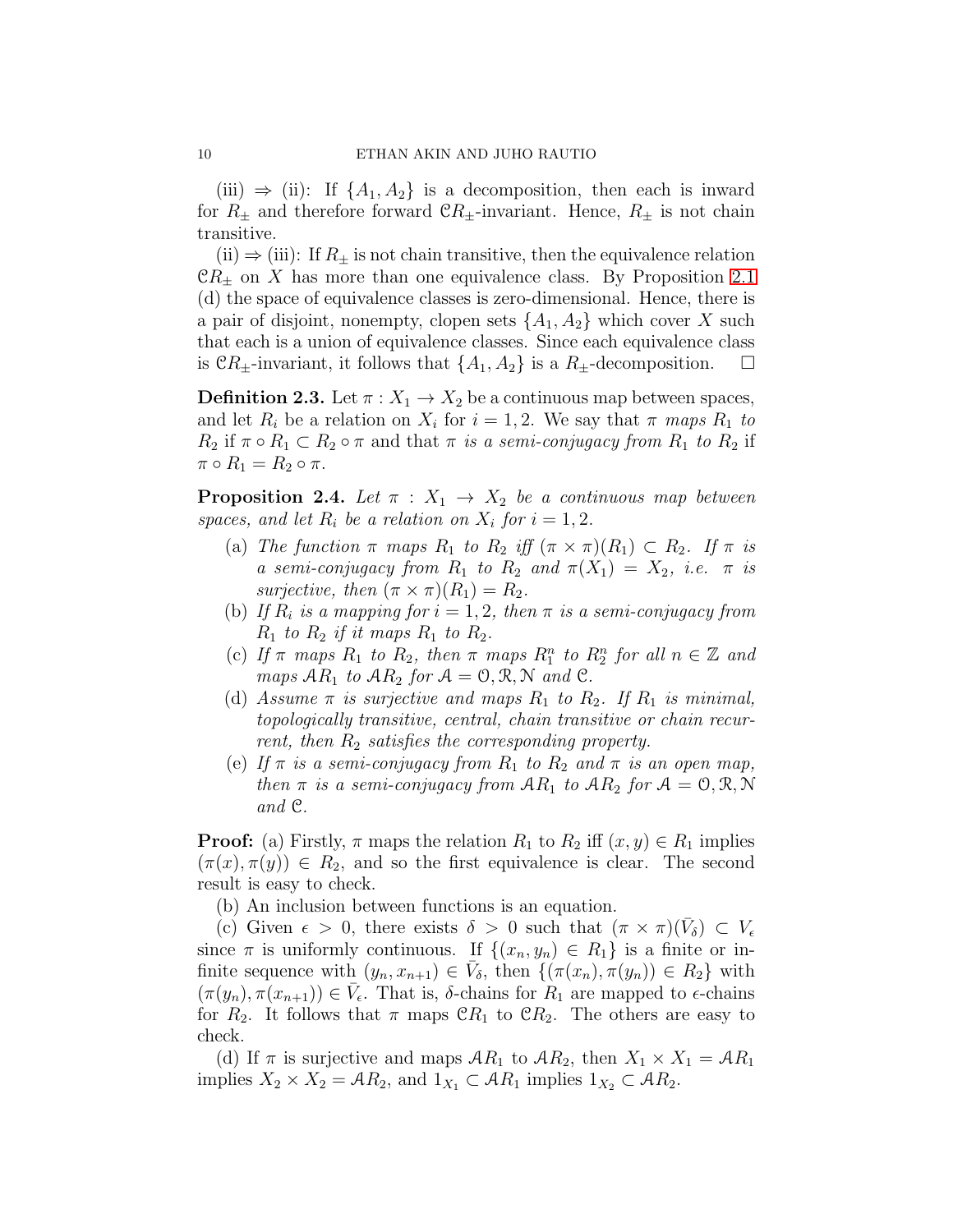(iii)  $\Rightarrow$  (ii): If  $\{A_1, A_2\}$  is a decomposition, then each is inward for  $R_{\pm}$  and therefore forward  $\mathcal{C}R_{\pm}$ -invariant. Hence,  $R_{\pm}$  is not chain transitive.

(ii)  $\Rightarrow$  (iii): If  $R_{\pm}$  is not chain transitive, then the equivalence relation  $\mathfrak{C}R_{\pm}$  on X has more than one equivalence class. By Proposition [2.1](#page-7-1) (d) the space of equivalence classes is zero-dimensional. Hence, there is a pair of disjoint, nonempty, clopen sets  $\{A_1, A_2\}$  which cover X such that each is a union of equivalence classes. Since each equivalence class is  $\mathfrak{C}R_{\pm}$ -invariant, it follows that  $\{A_1, A_2\}$  is a  $R_{\pm}$ -decomposition.  $\square$ 

**Definition 2.3.** Let  $\pi$  :  $X_1 \rightarrow X_2$  be a continuous map between spaces, and let  $R_i$  be a relation on  $X_i$  for  $i = 1, 2$ . We say that  $\pi$  maps  $R_1$  to  $R_2$  if  $\pi \circ R_1 \subset R_2 \circ \pi$  and that  $\pi$  is a semi-conjugacy from  $R_1$  to  $R_2$  if  $\pi \circ R_1 = R_2 \circ \pi.$ 

<span id="page-9-0"></span>**Proposition 2.4.** Let  $\pi$  :  $X_1 \rightarrow X_2$  be a continuous map between spaces, and let  $R_i$  be a relation on  $X_i$  for  $i = 1, 2$ .

- (a) The function  $\pi$  maps  $R_1$  to  $R_2$  iff  $(\pi \times \pi)(R_1) \subset R_2$ . If  $\pi$  is a semi-conjugacy from  $R_1$  to  $R_2$  and  $\pi(X_1) = X_2$ , i.e.  $\pi$  is surjective, then  $(\pi \times \pi)(R_1) = R_2$ .
- (b) If  $R_i$  is a mapping for  $i = 1, 2$ , then  $\pi$  is a semi-conjugacy from  $R_1$  to  $R_2$  if it maps  $R_1$  to  $R_2$ .
- (c) If  $\pi$  maps  $R_1$  to  $R_2$ , then  $\pi$  maps  $R_1^n$  to  $R_2^n$  for all  $n \in \mathbb{Z}$  and maps  $AR_1$  to  $AR_2$  for  $A = 0, R, N$  and  $\mathcal{C}$ .
- (d) Assume  $\pi$  is surjective and maps  $R_1$  to  $R_2$ . If  $R_1$  is minimal, topologically transitive, central, chain transitive or chain recurrent, then  $R_2$  satisfies the corresponding property.
- (e) If  $\pi$  is a semi-conjugacy from  $R_1$  to  $R_2$  and  $\pi$  is an open map, then  $\pi$  is a semi-conjugacy from  $AR_1$  to  $AR_2$  for  $A = 0, R, N$ and C.

**Proof:** (a) Firstly,  $\pi$  maps the relation  $R_1$  to  $R_2$  iff  $(x, y) \in R_1$  implies  $(\pi(x), \pi(y)) \in R_2$ , and so the first equivalence is clear. The second result is easy to check.

(b) An inclusion between functions is an equation.

(c) Given  $\epsilon > 0$ , there exists  $\delta > 0$  such that  $(\pi \times \pi)(\bar{V}_\delta) \subset V_\epsilon$ since  $\pi$  is uniformly continuous. If  $\{(x_n, y_n) \in R_1\}$  is a finite or infinite sequence with  $(y_n, x_{n+1}) \in \bar{V}_{\delta}$ , then  $\{(\pi(x_n), \pi(y_n)) \in R_2\}$  with  $(\pi(y_n), \pi(x_{n+1})) \in \overline{V}_{\epsilon}$ . That is,  $\delta$ -chains for  $R_1$  are mapped to  $\epsilon$ -chains for  $R_2$ . It follows that  $\pi$  maps  $\mathcal{C}_{R_1}$  to  $\mathcal{C}_{R_2}$ . The others are easy to check.

(d) If  $\pi$  is surjective and maps  $AR_1$  to  $AR_2$ , then  $X_1 \times X_1 = AR_1$ implies  $X_2 \times X_2 = \mathcal{A}R_2$ , and  $1_{X_1} \subset \mathcal{A}R_1$  implies  $1_{X_2} \subset \mathcal{A}R_2$ .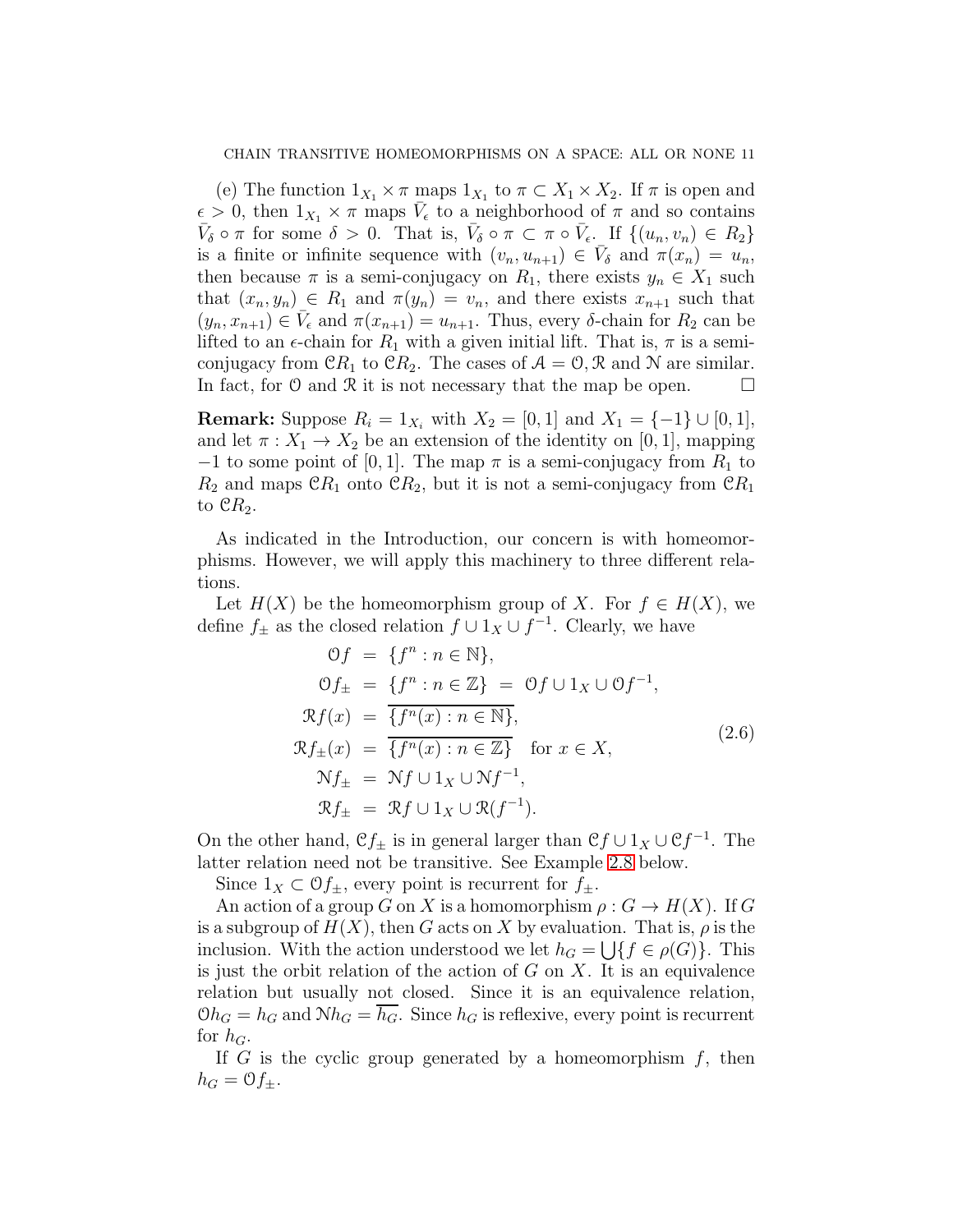(e) The function  $1_{X_1} \times \pi$  maps  $1_{X_1}$  to  $\pi \subset X_1 \times X_2$ . If  $\pi$  is open and  $\epsilon > 0$ , then  $1_{X_1} \times \pi$  maps  $\bar{V}_{\epsilon}$  to a neighborhood of  $\pi$  and so contains  $\bar{V}_{\delta} \circ \pi$  for some  $\delta > 0$ . That is,  $\bar{V}_{\delta} \circ \pi \subset \pi \circ \bar{V}_{\epsilon}$ . If  $\{(u_n, v_n) \in R_2\}$ is a finite or infinite sequence with  $(v_n, u_{n+1}) \in \bar{V}_\delta$  and  $\pi(x_n) = u_n$ , then because  $\pi$  is a semi-conjugacy on  $R_1$ , there exists  $y_n \in X_1$  such that  $(x_n, y_n) \in R_1$  and  $\pi(y_n) = v_n$ , and there exists  $x_{n+1}$  such that  $(y_n, x_{n+1}) \in \overline{V}_{\epsilon}$  and  $\pi(x_{n+1}) = u_{n+1}$ . Thus, every  $\delta$ -chain for  $R_2$  can be lifted to an  $\epsilon$ -chain for  $R_1$  with a given initial lift. That is,  $\pi$  is a semiconjugacy from  $\mathfrak{C}R_1$  to  $\mathfrak{C}R_2$ . The cases of  $\mathcal{A} = \mathcal{O}, \mathcal{R}$  and N are similar. In fact, for  $\mathcal O$  and  $\mathcal R$  it is not necessary that the map be open.  $\Box$ 

**Remark:** Suppose  $R_i = 1_{X_i}$  with  $X_2 = [0, 1]$  and  $X_1 = \{-1\} \cup [0, 1]$ , and let  $\pi: X_1 \to X_2$  be an extension of the identity on [0, 1], mapping  $-1$  to some point of [0, 1]. The map  $\pi$  is a semi-conjugacy from  $R_1$  to  $R_2$  and maps  $\mathfrak{C}R_1$  onto  $\mathfrak{C}R_2$ , but it is not a semi-conjugacy from  $\mathfrak{C}R_1$ to  $\mathfrak{C}R_2$ .

As indicated in the Introduction, our concern is with homeomorphisms. However, we will apply this machinery to three different relations.

Let  $H(X)$  be the homeomorphism group of X. For  $f \in H(X)$ , we define  $f_{\pm}$  as the closed relation  $f \cup 1_X \cup f^{-1}$ . Clearly, we have

$$
\begin{aligned}\n\mathcal{O}f &= \{f^n : n \in \mathbb{N}\}, \\
\mathcal{O}f_{\pm} &= \{f^n : n \in \mathbb{Z}\} = \mathcal{O}f \cup 1_X \cup \mathcal{O}f^{-1}, \\
\mathcal{R}f(x) &= \overline{\{f^n(x) : n \in \mathbb{N}\}}, \\
\mathcal{R}f_{\pm}(x) &= \overline{\{f^n(x) : n \in \mathbb{Z}\}} \quad \text{for } x \in X, \\
\mathcal{N}f_{\pm} &= \mathcal{N}f \cup 1_X \cup \mathcal{N}f^{-1}, \\
\mathcal{R}f_{\pm} &= \mathcal{R}f \cup 1_X \cup \mathcal{R}(f^{-1}).\n\end{aligned}
$$
\n(2.6)

On the other hand,  $\mathcal{C}f_{\pm}$  is in general larger than  $\mathcal{C}f \cup 1_X \cup \mathcal{C}f^{-1}$ . The latter relation need not be transitive. See Example [2.8](#page-14-0) below.

Since  $1_X \subset \mathcal{O}f_{\pm}$ , every point is recurrent for  $f_{\pm}$ .

An action of a group G on X is a homomorphism  $\rho: G \to H(X)$ . If G is a subgroup of  $H(X)$ , then G acts on X by evaluation. That is,  $\rho$  is the inclusion. With the action understood we let  $h_G = \bigcup \{ f \in \rho(G) \}.$  This is just the orbit relation of the action of  $G$  on  $X$ . It is an equivalence relation but usually not closed. Since it is an equivalence relation,  $\mathcal{O}h_G = h_G$  and  $\mathcal{N}h_G = h_G$ . Since  $h_G$  is reflexive, every point is recurrent for  $h_G$ .

If G is the cyclic group generated by a homeomorphism  $f$ , then  $h_G = \mathcal{O}f_{\pm}.$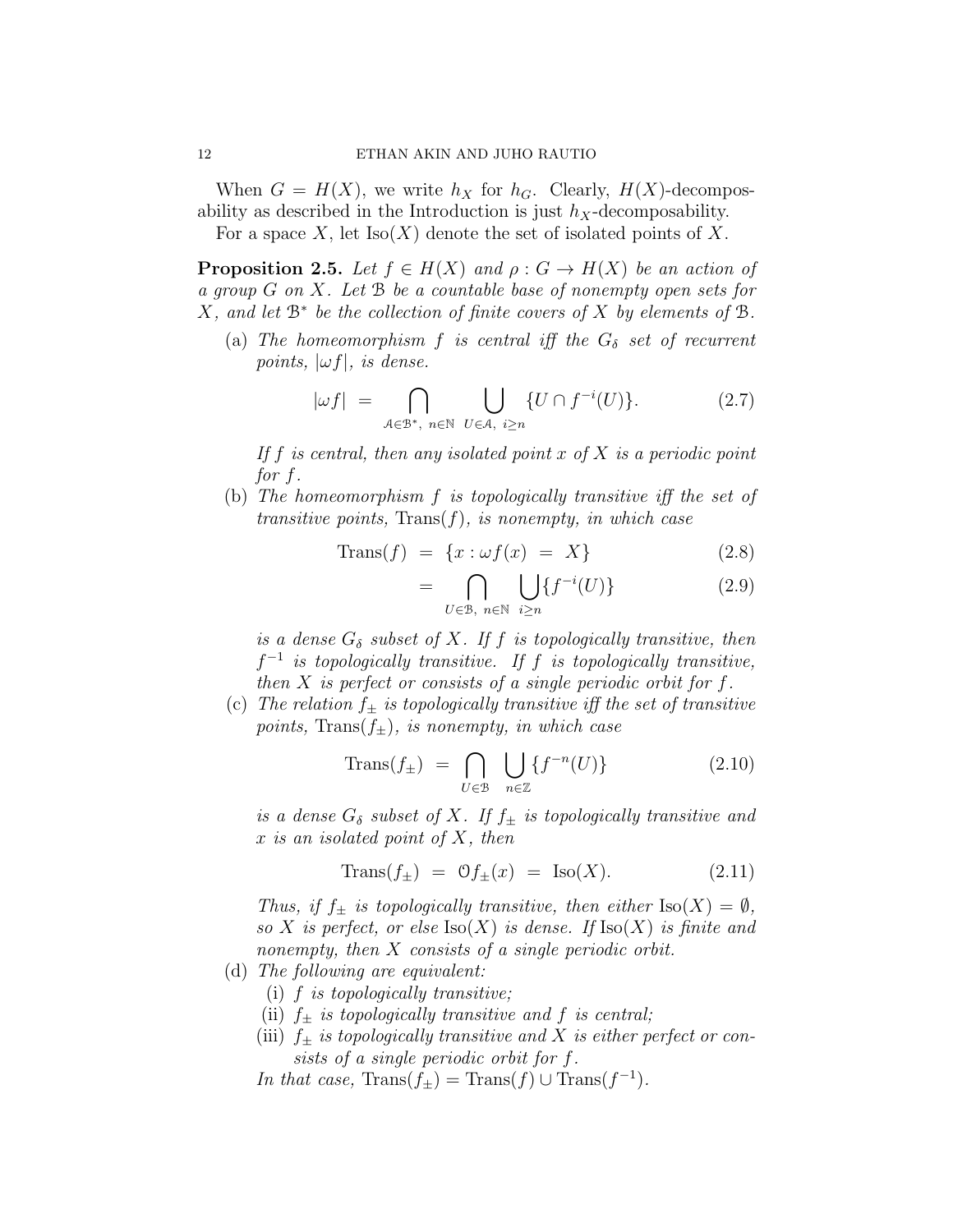When  $G = H(X)$ , we write  $h_X$  for  $h_G$ . Clearly,  $H(X)$ -decomposability as described in the Introduction is just  $h_X$ -decomposability.

For a space X, let  $Iso(X)$  denote the set of isolated points of X.

<span id="page-11-2"></span>**Proposition 2.5.** Let  $f \in H(X)$  and  $\rho: G \to H(X)$  be an action of a group  $G$  on  $X$ . Let  $B$  be a countable base of nonempty open sets for  $X$ , and let  $\mathbb{B}^*$  be the collection of finite covers of X by elements of  $\mathbb{B}$ .

(a) The homeomorphism f is central iff the  $G_{\delta}$  set of recurrent points,  $|\omega f|$ , is dense.

<span id="page-11-0"></span>
$$
|\omega f| = \bigcap_{\mathcal{A} \in \mathcal{B}^*, n \in \mathbb{N}} \bigcup_{U \in \mathcal{A}, i \ge n} \{U \cap f^{-i}(U)\}.
$$
 (2.7)

If f is central, then any isolated point x of X is a periodic point for f.

(b) The homeomorphism f is topologically transitive iff the set of transitive points,  $Trans(f)$ , is nonempty, in which case

$$
\text{Trans}(f) = \{x : \omega f(x) = X\} \tag{2.8}
$$

$$
= \bigcap_{U \in \mathcal{B}, n \in \mathbb{N}} \bigcup_{i \ge n} \{ f^{-i}(U) \} \tag{2.9}
$$

is a dense  $G_{\delta}$  subset of X. If f is topologically transitive, then  $f^{-1}$  is topologically transitive. If f is topologically transitive, then  $X$  is perfect or consists of a single periodic orbit for  $f$ .

(c) The relation  $f_{+}$  is topologically transitive iff the set of transitive points, Trans $(f_{\pm})$ , is nonempty, in which case

$$
\text{Trans}(f_{\pm}) = \bigcap_{U \in \mathcal{B}} \bigcup_{n \in \mathbb{Z}} \{f^{-n}(U)\} \tag{2.10}
$$

is a dense  $G_{\delta}$  subset of X. If  $f_{\pm}$  is topologically transitive and  $x$  is an isolated point of  $X$ , then

<span id="page-11-1"></span>
$$
\text{Trans}(f_{\pm}) = \mathcal{O}f_{\pm}(x) = \text{Iso}(X). \tag{2.11}
$$

Thus, if  $f_{\pm}$  is topologically transitive, then either  $\text{Iso}(X) = \emptyset$ , so X is perfect, or else  $\text{Iso}(X)$  is dense. If  $\text{Iso}(X)$  is finite and nonempty, then X consists of a single periodic orbit.

- (d) The following are equivalent:
	- (i) f is topologically transitive;
	- (ii)  $f_{\pm}$  is topologically transitive and f is central;
	- (iii)  $f_{\pm}$  is topologically transitive and X is either perfect or consists of a single periodic orbit for f.
	- In that case,  $\text{Trans}(f_{\pm}) = \text{Trans}(f) \cup \text{Trans}(f^{-1})$ .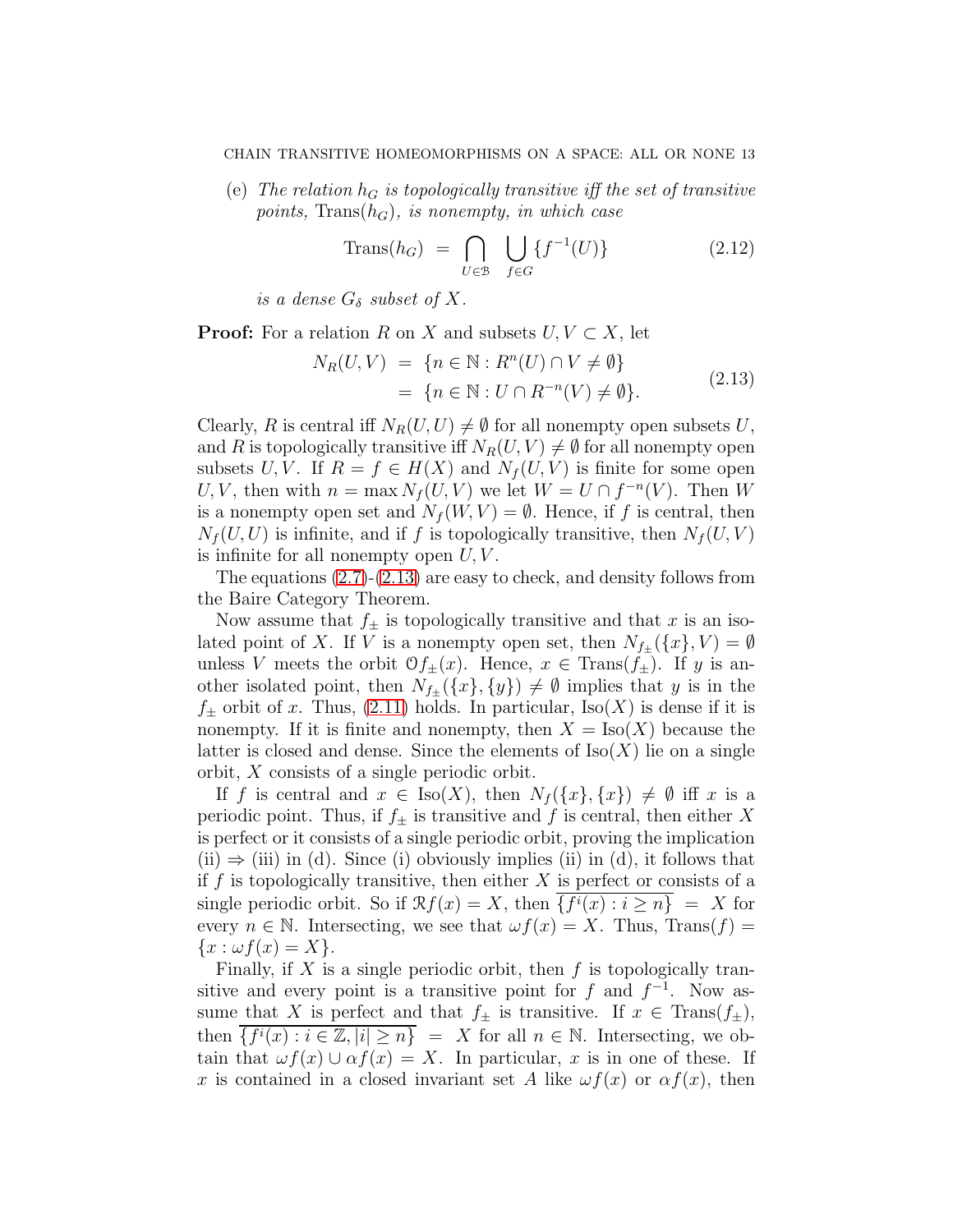(e) The relation  $h_G$  is topologically transitive iff the set of transitive points, Trans $(h_G)$ , is nonempty, in which case

$$
\text{Trans}(h_G) = \bigcap_{U \in \mathcal{B}} \bigcup_{f \in G} \{f^{-1}(U)\} \tag{2.12}
$$

is a dense  $G_{\delta}$  subset of X.

<span id="page-12-0"></span>**Proof:** For a relation R on X and subsets  $U, V \subset X$ , let

$$
N_R(U, V) = \{n \in \mathbb{N} : R^n(U) \cap V \neq \emptyset\}
$$
  
= 
$$
\{n \in \mathbb{N} : U \cap R^{-n}(V) \neq \emptyset\}.
$$
 (2.13)

Clearly, R is central iff  $N_R(U, U) \neq \emptyset$  for all nonempty open subsets U, and R is topologically transitive iff  $N_R(U, V) \neq \emptyset$  for all nonempty open subsets U, V. If  $R = f \in H(X)$  and  $N_f(U, V)$  is finite for some open U, V, then with  $n = \max N_f(U, V)$  we let  $W = U \cap f^{-n}(V)$ . Then W is a nonempty open set and  $N_f(W, V) = \emptyset$ . Hence, if f is central, then  $N_f(U, U)$  is infinite, and if f is topologically transitive, then  $N_f(U, V)$ is infinite for all nonempty open  $U, V$ .

The equations [\(2.7\)](#page-11-0)-[\(2.13\)](#page-12-0) are easy to check, and density follows from the Baire Category Theorem.

Now assume that  $f_{\pm}$  is topologically transitive and that x is an isolated point of X. If V is a nonempty open set, then  $N_{f_{\pm}}(\lbrace x \rbrace, V) = \emptyset$ unless V meets the orbit  $\mathcal{O}_{f_{\pm}}(x)$ . Hence,  $x \in \text{Trans}(f_{\pm})$ . If y is another isolated point, then  $N_{f_{\pm}}(\{x\}, \{y\}) \neq \emptyset$  implies that y is in the  $f_{\pm}$  orbit of x. Thus, [\(2.11\)](#page-11-1) holds. In particular, Iso(X) is dense if it is nonempty. If it is finite and nonempty, then  $X = \text{Iso}(X)$  because the latter is closed and dense. Since the elements of  $\text{Iso}(X)$  lie on a single orbit, X consists of a single periodic orbit.

If f is central and  $x \in \text{Iso}(X)$ , then  $N_f({x}, {x}) \neq \emptyset$  iff x is a periodic point. Thus, if  $f_{\pm}$  is transitive and f is central, then either X is perfect or it consists of a single periodic orbit, proving the implication  $(ii) \Rightarrow (iii)$  in (d). Since (i) obviously implies (ii) in (d), it follows that if  $f$  is topologically transitive, then either  $X$  is perfect or consists of a single periodic orbit. So if  $\mathcal{R}f(x) = X$ , then  $\{f^i(x) : i \geq n\} = X$  for every  $n \in \mathbb{N}$ . Intersecting, we see that  $\omega f(x) = X$ . Thus, Trans $(f) =$  ${x : \omega f(x) = X}.$ 

Finally, if X is a single periodic orbit, then  $f$  is topologically transitive and every point is a transitive point for f and  $f^{-1}$ . Now assume that X is perfect and that  $f_{\pm}$  is transitive. If  $x \in \text{Trans}(f_{\pm}),$ then  $\overline{\{f^i(x) : i \in \mathbb{Z}, |i| \geq n\}} = X$  for all  $n \in \mathbb{N}$ . Intersecting, we obtain that  $\omega f(x) \cup \alpha f(x) = X$ . In particular, x is in one of these. If x is contained in a closed invariant set A like  $\omega f(x)$  or  $\alpha f(x)$ , then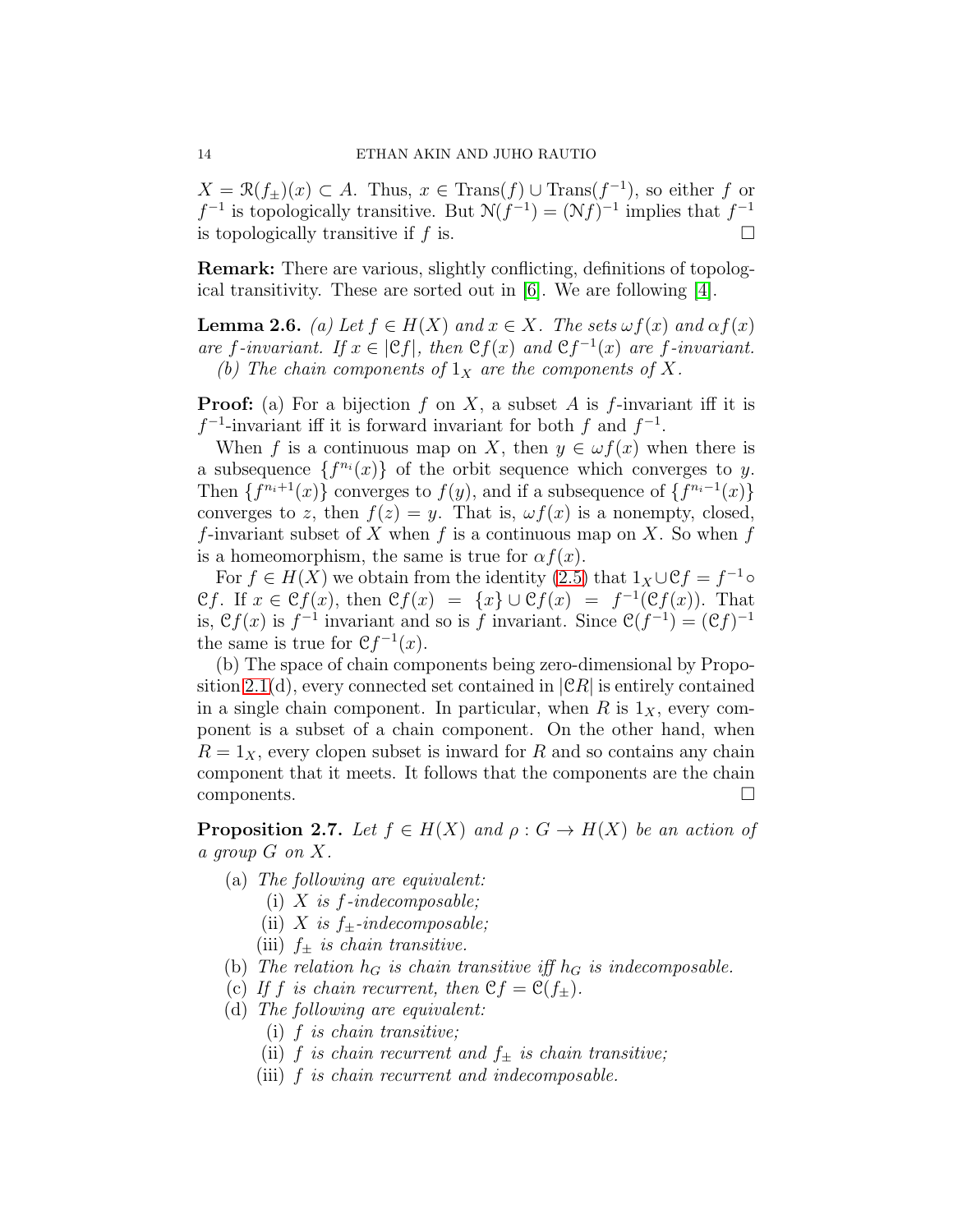$X = \mathcal{R}(f_{\pm})(x) \subset A$ . Thus,  $x \in \text{Trans}(f) \cup \text{Trans}(f^{-1})$ , so either f or  $f^{-1}$  is topologically transitive. But  $\mathcal{N}(f^{-1}) = (\mathcal{N}f)^{-1}$  implies that  $f^{-1}$ is topologically transitive if f is.  $\square$ 

Remark: There are various, slightly conflicting, definitions of topological transitivity. These are sorted out in [\[6\]](#page-48-9). We are following [\[4\]](#page-48-3).

<span id="page-13-0"></span>**Lemma 2.6.** (a) Let  $f \in H(X)$  and  $x \in X$ . The sets  $\omega f(x)$  and  $\alpha f(x)$ are f-invariant. If  $x \in |\mathfrak{C}f|$ , then  $\mathfrak{C}f(x)$  and  $\mathfrak{C}f^{-1}(x)$  are f-invariant. (b) The chain components of  $1_X$  are the components of X.

**Proof:** (a) For a bijection f on X, a subset A is f-invariant iff it is  $f^{-1}$ -invariant iff it is forward invariant for both f and  $f^{-1}$ .

When f is a continuous map on X, then  $y \in \omega f(x)$  when there is a subsequence  $\{f^{n_i}(x)\}\$  of the orbit sequence which converges to y. Then  $\{f^{n_i+1}(x)\}\$ converges to  $f(y)$ , and if a subsequence of  $\{f^{n_i-1}(x)\}\$ converges to z, then  $f(z) = y$ . That is,  $\omega f(x)$  is a nonempty, closed, f-invariant subset of X when f is a continuous map on X. So when f is a homeomorphism, the same is true for  $\alpha f(x)$ .

For  $f \in H(X)$  we obtain from the identity [\(2.5\)](#page-7-0) that  $1_X \cup \mathcal{C}f = f^{-1} \circ f$ Cf. If  $x \in \mathfrak{C}f(x)$ , then  $\mathfrak{C}f(x) = \{x\} \cup \mathfrak{C}f(x) = f^{-1}(\mathfrak{C}f(x))$ . That is,  $\mathcal{C}f(x)$  is  $f^{-1}$  invariant and so is f invariant. Since  $\mathcal{C}(f^{-1}) = (\mathcal{C}f)^{-1}$ the same is true for  $\mathfrak{C} f^{-1}(x)$ .

(b) The space of chain components being zero-dimensional by Propo-sition [2.1\(](#page-7-1)d), every connected set contained in  $|{\mathfrak C} R|$  is entirely contained in a single chain component. In particular, when R is  $1_X$ , every component is a subset of a chain component. On the other hand, when  $R = 1<sub>X</sub>$ , every clopen subset is inward for R and so contains any chain component that it meets. It follows that the components are the chain components.

<span id="page-13-1"></span>**Proposition 2.7.** Let  $f \in H(X)$  and  $\rho: G \to H(X)$  be an action of a group G on X.

- (a) The following are equivalent:
	- (i) X is  $f$ -indecomposable;
	- (ii) X is  $f_{\pm}$ -indecomposable;
	- (iii)  $f_{\pm}$  is chain transitive.
- (b) The relation  $h_G$  is chain transitive iff  $h_G$  is indecomposable.
- (c) If f is chain recurrent, then  $\mathfrak{C}f = \mathfrak{C}(f_+).$
- (d) The following are equivalent:
	- (i) f is chain transitive;
	- (ii) f is chain recurrent and  $f_{\pm}$  is chain transitive;
	- (iii) f is chain recurrent and indecomposable.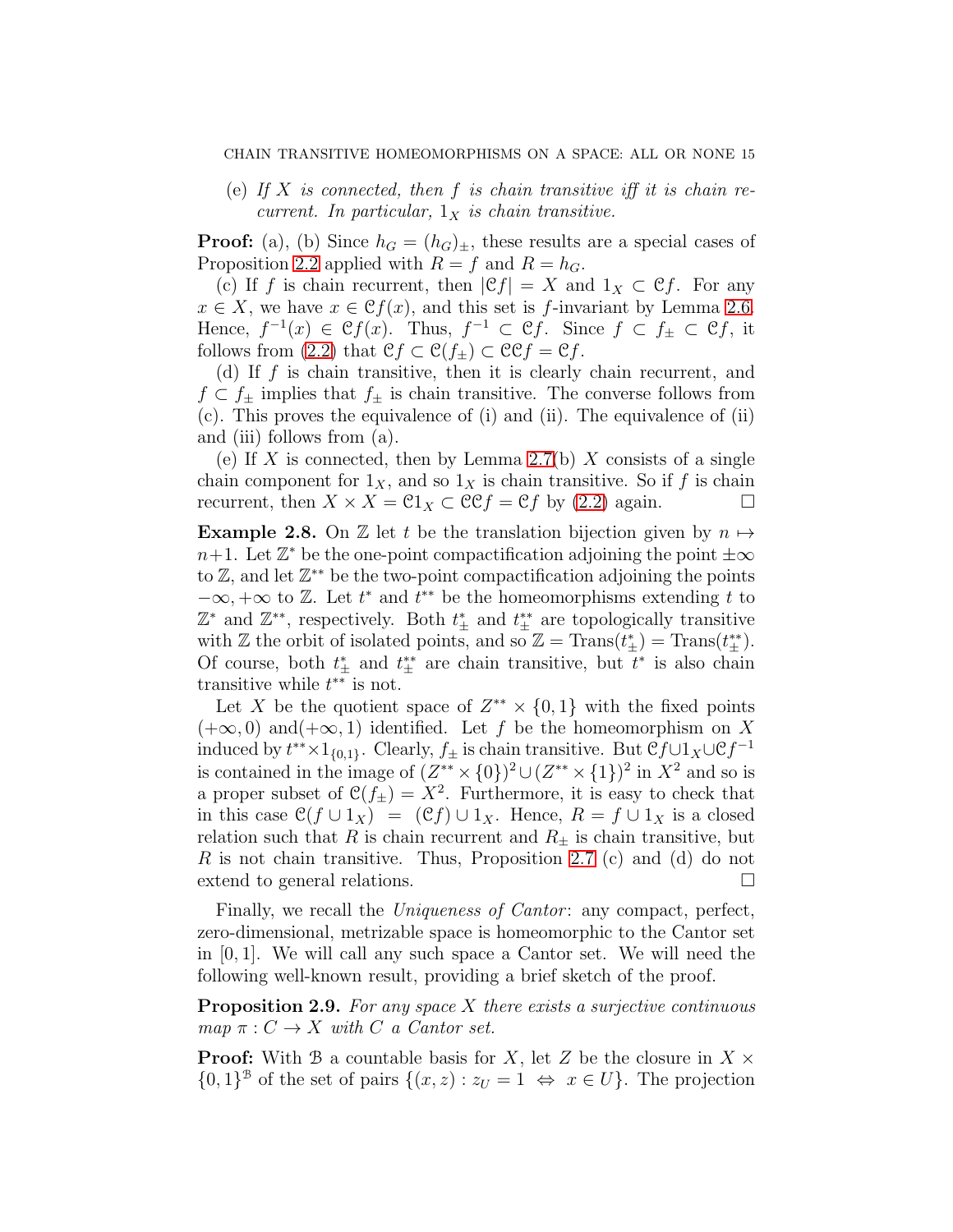(e) If X is connected, then f is chain transitive iff it is chain recurrent. In particular,  $1_X$  is chain transitive.

**Proof:** (a), (b) Since  $h_G = (h_G)_{\pm}$ , these results are a special cases of Proposition [2.2](#page-8-0) applied with  $R = f$  and  $R = h_G$ .

(c) If f is chain recurrent, then  $|\mathfrak{C}f| = X$  and  $1_X \subset \mathfrak{C}f$ . For any  $x \in X$ , we have  $x \in \mathcal{C}f(x)$ , and this set is f-invariant by Lemma [2.6.](#page-13-0) Hence,  $f^{-1}(x) \in \mathcal{C}f(x)$ . Thus,  $f^{-1} \subset \mathcal{C}f$ . Since  $f \subset f_{\pm} \subset \mathcal{C}f$ , it follows from [\(2.2\)](#page-6-2) that  $\mathfrak{C}f \subset \mathfrak{C}(f_{\pm}) \subset \mathfrak{C}\mathfrak{C}f = \mathfrak{C}f$ .

(d) If  $f$  is chain transitive, then it is clearly chain recurrent, and  $f \,\subset f_{\pm}$  implies that  $f_{\pm}$  is chain transitive. The converse follows from (c). This proves the equivalence of (i) and (ii). The equivalence of (ii) and (iii) follows from (a).

(e) If X is connected, then by Lemma [2.7\(](#page-11-0)b) X consists of a single chain component for  $1_X$ , and so  $1_X$  is chain transitive. So if f is chain recurrent, then  $X \times X = \mathfrak{Cl}_X \subset \mathfrak{CC}f = \mathfrak{C}f$  by [\(2.2\)](#page-6-2) again.

<span id="page-14-0"></span>**Example 2.8.** On Z let t be the translation bijection given by  $n \mapsto$  $n+1$ . Let  $\mathbb{Z}^*$  be the one-point compactification adjoining the point  $\pm\infty$ to Z, and let Z ∗∗ be the two-point compactification adjoining the points  $-\infty, +\infty$  to Z. Let  $t^*$  and  $t^{**}$  be the homeomorphisms extending t to  $\mathbb{Z}^*$  and  $\mathbb{Z}^{**}$ , respectively. Both  $t^*_{\pm}$  and  $t^{**}_{\pm}$  are topologically transitive with Z the orbit of isolated points, and so  $\mathbb{Z} = \text{Trans}(t^*_{\pm}) = \text{Trans}(t^*_{\pm}).$ Of course, both  $t^*_{\pm}$  and  $t^{**}_{\pm}$  are chain transitive, but  $t^*$  is also chain transitive while  $t^{**}$  is not.

Let X be the quotient space of  $Z^{**} \times \{0,1\}$  with the fixed points  $(+\infty, 0)$  and $(+\infty, 1)$  identified. Let f be the homeomorphism on X induced by  $t^{**} \times 1_{\{0,1\}}$ . Clearly,  $f_{\pm}$  is chain transitive. But  $\mathcal{C}f \cup 1_X \cup \mathcal{C}f^{-1}$ is contained in the image of  $(Z^{**} \times \{0\})^2 \cup (Z^{**} \times \{1\})^2$  in  $X^2$  and so is a proper subset of  $\mathcal{C}(f_{\pm}) = X^2$ . Furthermore, it is easy to check that in this case  $\mathcal{C}(f \cup 1_X) = (\mathcal{C}f) \cup 1_X$ . Hence,  $R = f \cup 1_X$  is a closed relation such that R is chain recurrent and  $R_{\pm}$  is chain transitive, but R is not chain transitive. Thus, Proposition [2.7](#page-13-1) (c) and (d) do not extend to general relations.

Finally, we recall the *Uniqueness of Cantor*: any compact, perfect, zero-dimensional, metrizable space is homeomorphic to the Cantor set in [0, 1]. We will call any such space a Cantor set. We will need the following well-known result, providing a brief sketch of the proof.

<span id="page-14-1"></span>**Proposition 2.9.** For any space  $X$  there exists a surjective continuous map  $\pi: C \to X$  with C a Cantor set.

**Proof:** With B a countable basis for X, let Z be the closure in  $X \times$  $\{0,1\}^{\mathcal{B}}$  of the set of pairs  $\{(x,z): z_{U} = 1 \Leftrightarrow x \in U\}$ . The projection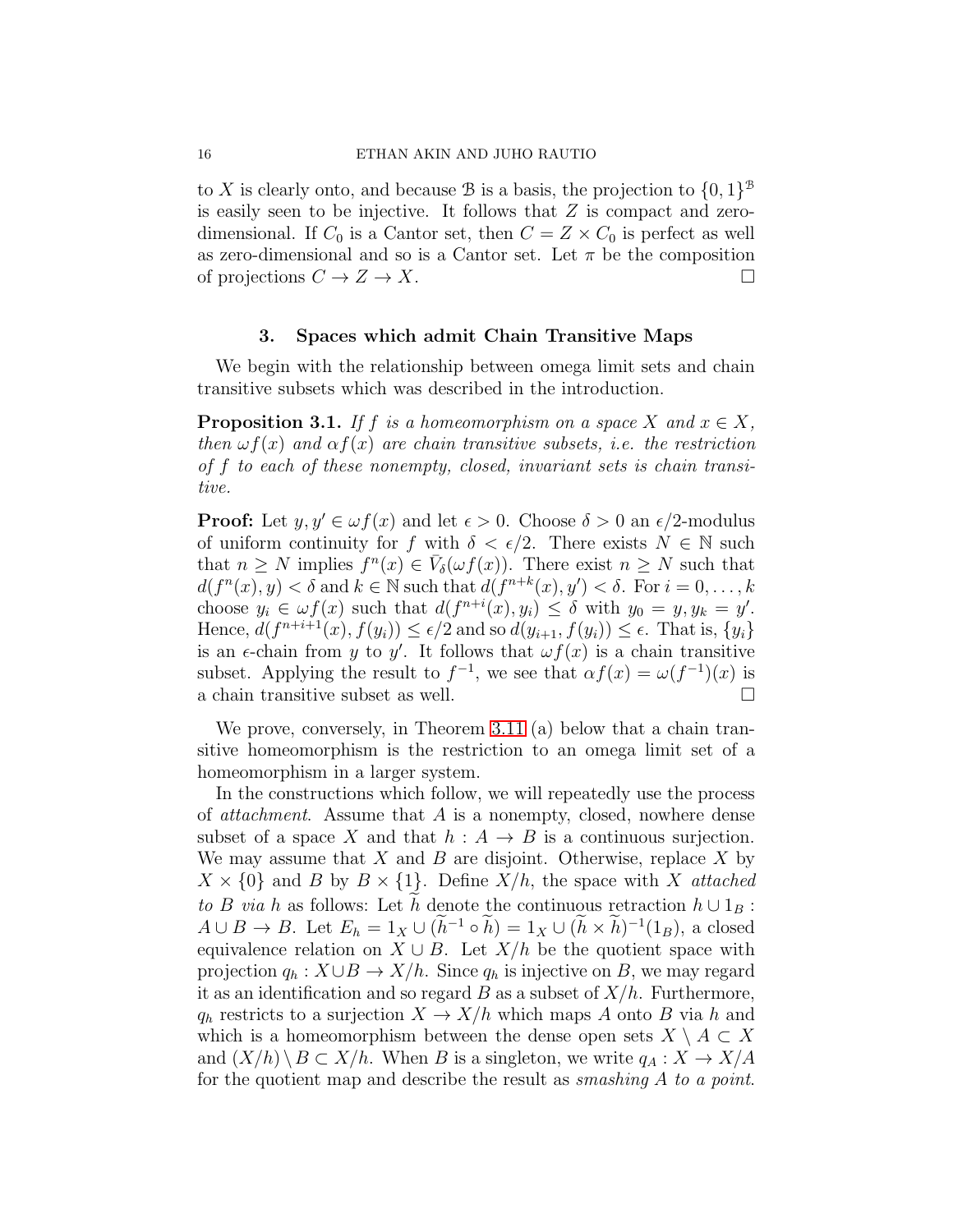to X is clearly onto, and because B is a basis, the projection to  $\{0,1\}^{\mathcal{B}}$ is easily seen to be injective. It follows that  $Z$  is compact and zerodimensional. If  $C_0$  is a Cantor set, then  $C = Z \times C_0$  is perfect as well as zero-dimensional and so is a Cantor set. Let  $\pi$  be the composition of projections  $C \to Z \to X$ .

#### 3. Spaces which admit Chain Transitive Maps

<span id="page-15-0"></span>We begin with the relationship between omega limit sets and chain transitive subsets which was described in the introduction.

**Proposition 3.1.** If f is a homeomorphism on a space X and  $x \in X$ , then  $\omega f(x)$  and  $\alpha f(x)$  are chain transitive subsets, i.e. the restriction of f to each of these nonempty, closed, invariant sets is chain transitive.

**Proof:** Let  $y, y' \in \omega f(x)$  and let  $\epsilon > 0$ . Choose  $\delta > 0$  an  $\epsilon/2$ -modulus of uniform continuity for f with  $\delta < \epsilon/2$ . There exists  $N \in \mathbb{N}$  such that  $n \geq N$  implies  $f^{n}(x) \in V_{\delta}(\omega f(x))$ . There exist  $n \geq N$  such that  $d(f^{n}(x), y) < \delta$  and  $k \in \mathbb{N}$  such that  $d(f^{n+k}(x), y') < \delta$ . For  $i = 0, ..., k$ choose  $y_i \in \omega f(x)$  such that  $d(f^{n+i}(x), y_i) \leq \delta$  with  $y_0 = y, y_k = y'$ . Hence,  $d(f^{n+i+1}(x), f(y_i)) \leq \epsilon/2$  and so  $d(y_{i+1}, f(y_i)) \leq \epsilon$ . That is,  $\{y_i\}$ is an  $\epsilon$ -chain from y to y'. It follows that  $\omega f(x)$  is a chain transitive subset. Applying the result to  $f^{-1}$ , we see that  $\alpha f(x) = \omega(f^{-1})(x)$  is a chain transitive subset as well.  $\Box$ 

We prove, conversely, in Theorem [3.11](#page-21-0) (a) below that a chain transitive homeomorphism is the restriction to an omega limit set of a homeomorphism in a larger system.

In the constructions which follow, we will repeatedly use the process of attachment. Assume that A is a nonempty, closed, nowhere dense subset of a space X and that  $h : A \rightarrow B$  is a continuous surjection. We may assume that X and B are disjoint. Otherwise, replace X by  $X \times \{0\}$  and B by  $B \times \{1\}$ . Define  $X/h$ , the space with X attached to B via h as follows: Let h denote the continuous retraction  $h \cup 1_B$ :  $A \cup B \to B$ . Let  $E_h = 1_X \cup (h^{-1} \circ h) = 1_X \cup (h \times h)^{-1}(1_B)$ , a closed equivalence relation on  $X \cup B$ . Let  $X/h$  be the quotient space with projection  $q_h : X \cup B \to X/h$ . Since  $q_h$  is injective on B, we may regard it as an identification and so regard B as a subset of  $X/h$ . Furthermore,  $q_h$  restricts to a surjection  $X \to X/h$  which maps A onto B via h and which is a homeomorphism between the dense open sets  $X \setminus A \subset X$ and  $(X/h) \ B \subset X/h$ . When B is a singleton, we write  $q_A : X \to X/A$ for the quotient map and describe the result as *smashing A to a point*.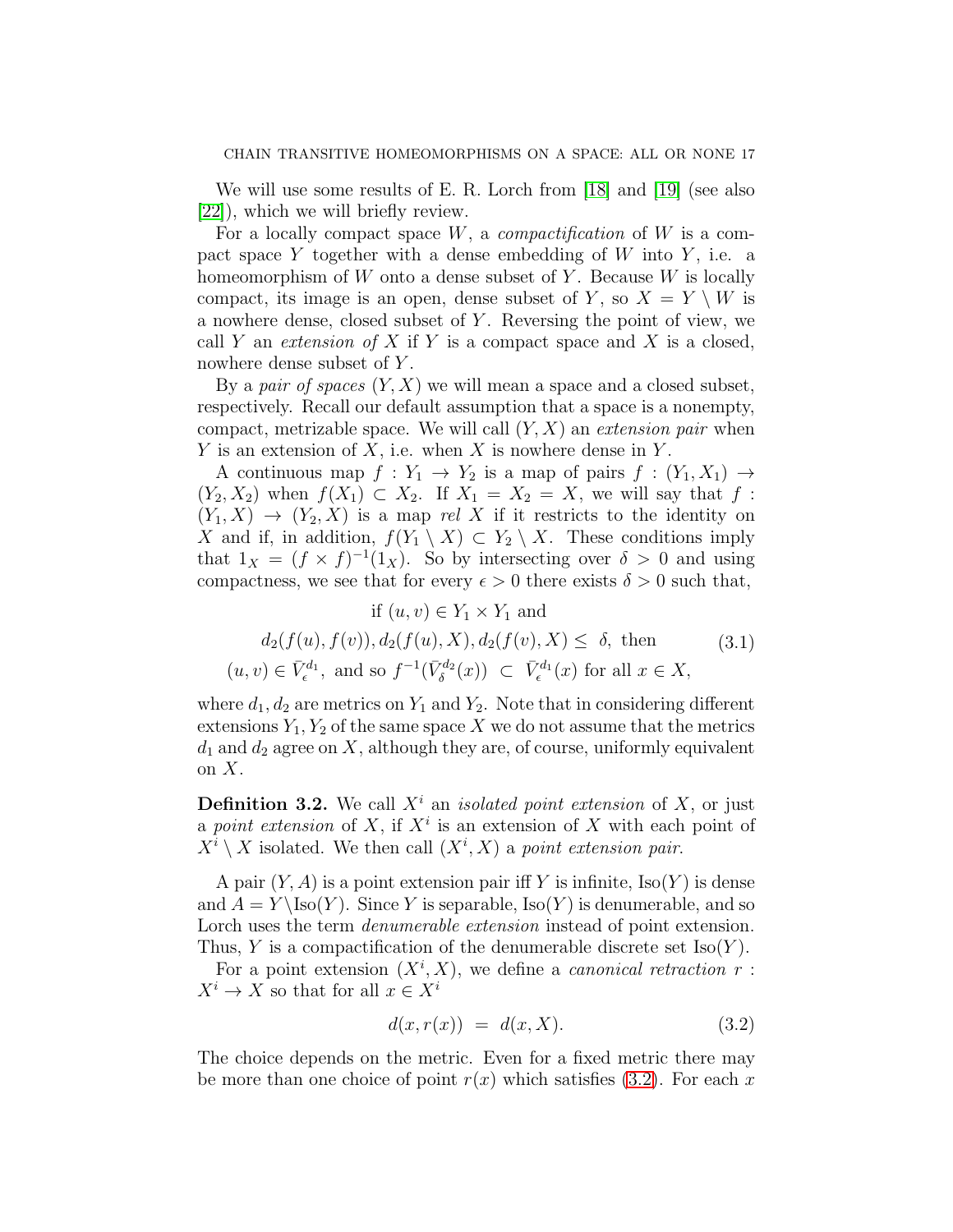We will use some results of E. R. Lorch from [\[18\]](#page-48-10) and [\[19\]](#page-48-11) (see also [\[22\]](#page-49-1)), which we will briefly review.

For a locally compact space  $W$ , a *compactification* of  $W$  is a compact space Y together with a dense embedding of  $W$  into  $Y$ , i.e. a homeomorphism of  $W$  onto a dense subset of Y. Because  $W$  is locally compact, its image is an open, dense subset of Y, so  $X = Y \setminus W$  is a nowhere dense, closed subset of  $Y$ . Reversing the point of view, we call Y an *extension of X* if Y is a compact space and X is a closed, nowhere dense subset of Y.

By a pair of spaces  $(Y, X)$  we will mean a space and a closed subset, respectively. Recall our default assumption that a space is a nonempty, compact, metrizable space. We will call  $(Y, X)$  an extension pair when Y is an extension of X, i.e. when X is nowhere dense in Y.

A continuous map  $f: Y_1 \to Y_2$  is a map of pairs  $f: (Y_1, X_1) \to Y_2$  $(Y_2, X_2)$  when  $f(X_1) \subset X_2$ . If  $X_1 = X_2 = X$ , we will say that f:  $(Y_1, X) \rightarrow (Y_2, X)$  is a map rel X if it restricts to the identity on X and if, in addition,  $f(Y_1 \setminus X) \subset Y_2 \setminus X$ . These conditions imply that  $1_X = (f \times f)^{-1}(1_X)$ . So by intersecting over  $\delta > 0$  and using compactness, we see that for every  $\epsilon > 0$  there exists  $\delta > 0$  such that,

<span id="page-16-1"></span>
$$
\text{if } (u, v) \in Y_1 \times Y_1 \text{ and}
$$
\n
$$
d_2(f(u), f(v)), d_2(f(u), X), d_2(f(v), X) \leq \delta, \text{ then } (3.1)
$$
\n
$$
(u, v) \in \bar{V}_{\epsilon}^{d_1}, \text{ and so } f^{-1}(\bar{V}_{\delta}^{d_2}(x)) \subset \bar{V}_{\epsilon}^{d_1}(x) \text{ for all } x \in X,
$$

where  $d_1, d_2$  are metrics on  $Y_1$  and  $Y_2$ . Note that in considering different extensions  $Y_1, Y_2$  of the same space X we do not assume that the metrics  $d_1$  and  $d_2$  agree on X, although they are, of course, uniformly equivalent on  $X$ .

**Definition 3.2.** We call  $X^i$  an *isolated point extension* of X, or just a point extension of X, if  $X^i$  is an extension of X with each point of  $X^i \setminus X$  isolated. We then call  $(X^i, X)$  a point extension pair.

A pair  $(Y, A)$  is a point extension pair iff Y is infinite,  $\text{Iso}(Y)$  is dense and  $A = Y \setminus \text{Iso}(Y)$ . Since Y is separable,  $\text{Iso}(Y)$  is denumerable, and so Lorch uses the term *denumerable extension* instead of point extension. Thus, Y is a compactification of the denumerable discrete set  $\text{Iso}(Y)$ .

For a point extension  $(X^i, X)$ , we define a *canonical retraction*  $r$ :  $X^i \to X$  so that for all  $x \in X^i$ 

<span id="page-16-0"></span>
$$
d(x, r(x)) = d(x, X). \tag{3.2}
$$

The choice depends on the metric. Even for a fixed metric there may be more than one choice of point  $r(x)$  which satisfies [\(3.2\)](#page-16-0). For each x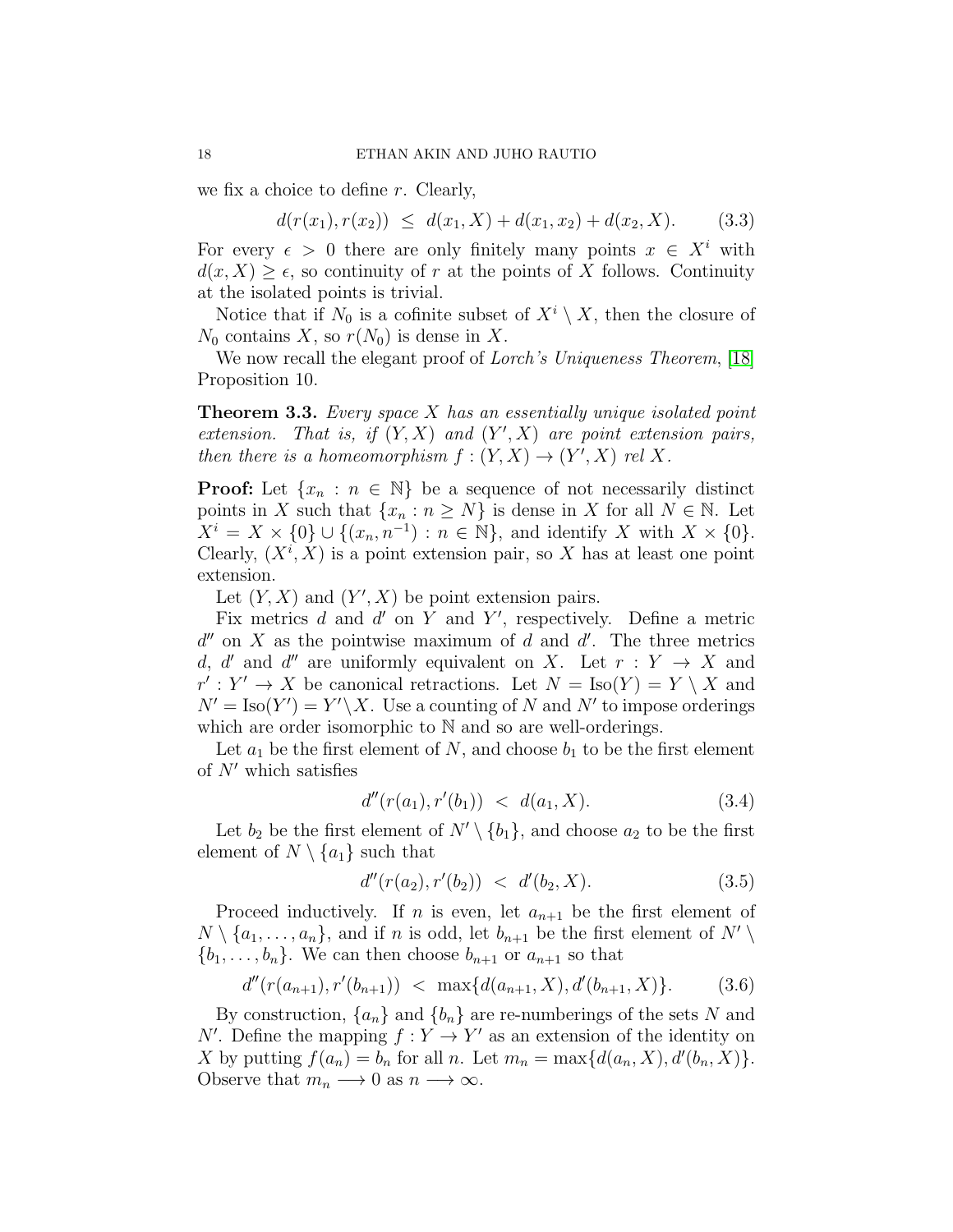we fix a choice to define r. Clearly,

 $d(r(x_1), r(x_2)) \leq d(x_1, X) + d(x_1, x_2) + d(x_2, X).$  (3.3)

For every  $\epsilon > 0$  there are only finitely many points  $x \in X^i$  with  $d(x, X) \geq \epsilon$ , so continuity of r at the points of X follows. Continuity at the isolated points is trivial.

Notice that if  $N_0$  is a cofinite subset of  $X^i \setminus X$ , then the closure of  $N_0$  contains X, so  $r(N_0)$  is dense in X.

We now recall the elegant proof of *Lorch's Uniqueness Theorem*, [\[18\]](#page-48-10) Proposition 10.

<span id="page-17-0"></span>**Theorem 3.3.** Every space  $X$  has an essentially unique isolated point extension. That is, if  $(Y, X)$  and  $(Y', X)$  are point extension pairs, then there is a homeomorphism  $f:(Y,X)\to (Y',X)$  rel X.

**Proof:** Let  $\{x_n : n \in \mathbb{N}\}\$ be a sequence of not necessarily distinct points in X such that  $\{x_n : n \geq N\}$  is dense in X for all  $N \in \mathbb{N}$ . Let  $X^i = X \times \{0\} \cup \{(x_n, n^{-1}) : n \in \mathbb{N}\},\$ and identify X with  $X \times \{0\}.$ Clearly,  $(X^i, X)$  is a point extension pair, so X has at least one point extension.

Let  $(Y, X)$  and  $(Y', X)$  be point extension pairs.

Fix metrics  $d$  and  $d'$  on  $Y$  and  $Y'$ , respectively. Define a metric  $d''$  on X as the pointwise maximum of d and d'. The three metrics d, d' and d'' are uniformly equivalent on X. Let  $r: Y \to X$  and  $r': Y' \to X$  be canonical retractions. Let  $N = \text{Iso}(Y) = Y \setminus X$  and  $N' = \text{Iso}(Y') = Y' \setminus X$ . Use a counting of N and N' to impose orderings which are order isomorphic to  $\mathbb N$  and so are well-orderings.

Let  $a_1$  be the first element of N, and choose  $b_1$  to be the first element of  $N'$  which satisfies

$$
d''(r(a_1), r'(b_1)) < d(a_1, X). \tag{3.4}
$$

Let  $b_2$  be the first element of  $N' \setminus \{b_1\}$ , and choose  $a_2$  to be the first element of  $N \setminus \{a_1\}$  such that

$$
d''(r(a_2), r'(b_2)) < d'(b_2, X). \tag{3.5}
$$

Proceed inductively. If *n* is even, let  $a_{n+1}$  be the first element of  $N \setminus \{a_1, \ldots, a_n\}$ , and if n is odd, let  $b_{n+1}$  be the first element of  $N' \setminus$  $\{b_1, \ldots, b_n\}$ . We can then choose  $b_{n+1}$  or  $a_{n+1}$  so that

$$
d''(r(a_{n+1}), r'(b_{n+1})) < \max\{d(a_{n+1}, X), d'(b_{n+1}, X)\}.
$$
 (3.6)

By construction,  $\{a_n\}$  and  $\{b_n\}$  are re-numberings of the sets N and N'. Define the mapping  $f: Y \to Y'$  as an extension of the identity on X by putting  $f(a_n) = b_n$  for all n. Let  $m_n = \max\{d(a_n, X), d'(b_n, X)\}.$ Observe that  $m_n \longrightarrow 0$  as  $n \longrightarrow \infty$ .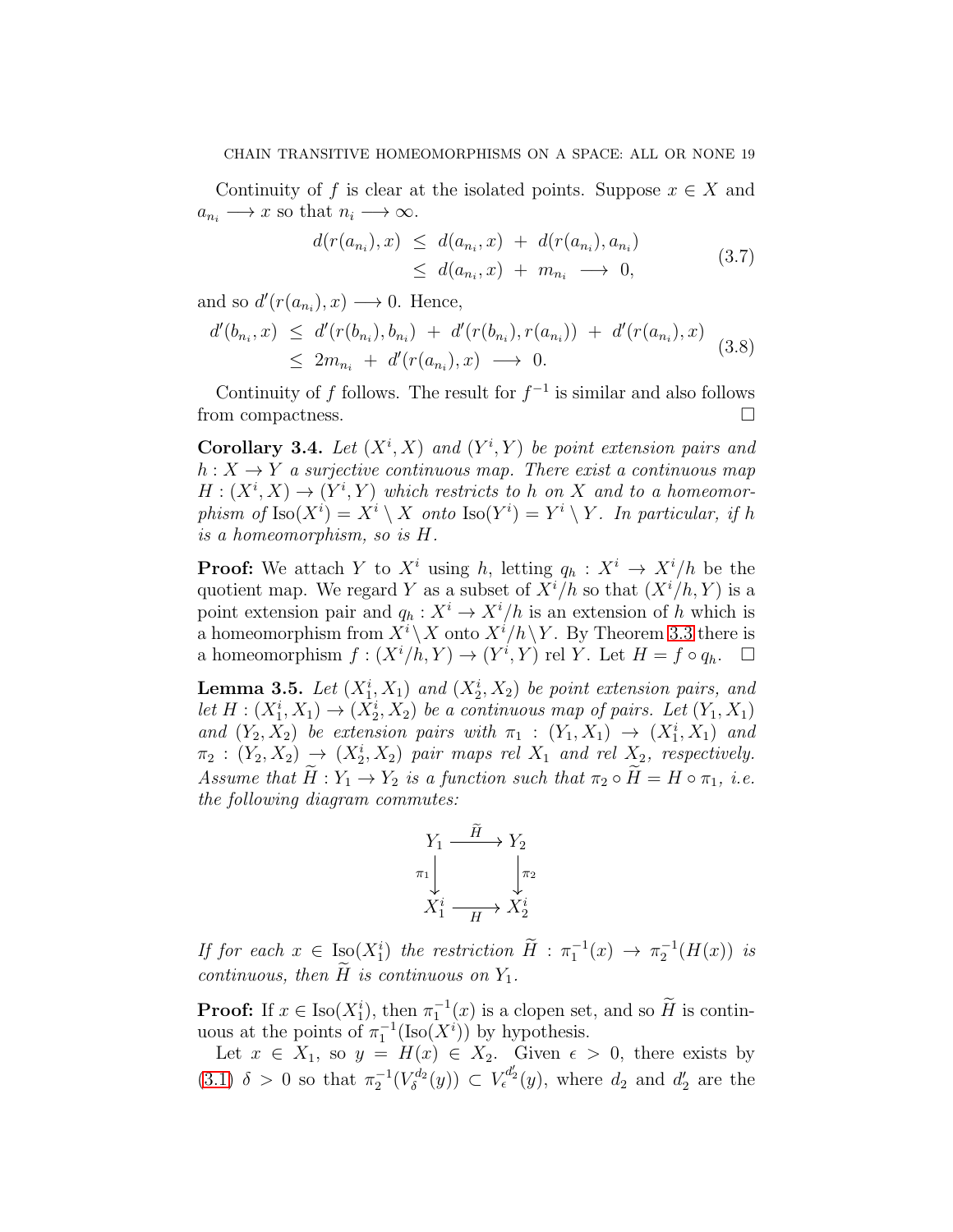Continuity of f is clear at the isolated points. Suppose  $x \in X$  and  $a_{n_i} \longrightarrow x$  so that  $n_i \longrightarrow \infty$ .

$$
d(r(a_{n_i}),x) \leq d(a_{n_i},x) + d(r(a_{n_i}),a_{n_i})
$$
  
\n
$$
\leq d(a_{n_i},x) + m_{n_i} \longrightarrow 0,
$$
\n(3.7)

and so  $d'(r(a_{n_i}), x) \longrightarrow 0$ . Hence,

$$
d'(b_{n_i}, x) \le d'(r(b_{n_i}), b_{n_i}) + d'(r(b_{n_i}), r(a_{n_i})) + d'(r(a_{n_i}), x)
$$
  

$$
\le 2m_{n_i} + d'(r(a_{n_i}), x) \longrightarrow 0.
$$
 (3.8)

Continuity of f follows. The result for  $f^{-1}$  is similar and also follows from compactness.

<span id="page-18-0"></span>Corollary 3.4. Let  $(X^i, X)$  and  $(Y^i, Y)$  be point extension pairs and  $h: X \to Y$  a surjective continuous map. There exist a continuous map  $H: (X^i, X) \to (Y^i, Y)$  which restricts to h on X and to a homeomorphism of  $\text{Iso}(X^i) = X^i \setminus X$  onto  $\text{Iso}(Y^i) = Y^i \setminus Y$ . In particular, if h is a homeomorphism, so is H.

**Proof:** We attach Y to  $X^i$  using h, letting  $q_h : X^i \to X^i/h$  be the quotient map. We regard Y as a subset of  $X^{i}/h$  so that  $(X^{i}/h, Y)$  is a point extension pair and  $q_h: X^i \to X^i/h$  is an extension of h which is a homeomorphism from  $X^i \backslash X$  onto  $X^i/h \backslash Y$ . By Theorem [3.3](#page-17-0) there is a homeomorphism  $f: (X^i/h, Y) \to (Y^i, Y)$  rel Y. Let  $H = f \circ q_h$ .  $\Box$ 

<span id="page-18-1"></span>**Lemma 3.5.** Let  $(X_1^i, X_1)$  and  $(X_2^i, X_2)$  be point extension pairs, and let  $H: (X_1^i, X_1) \to (X_2^i, X_2)$  be a continuous map of pairs. Let  $(Y_1, X_1)$ and  $(Y_2, X_2)$  be extension pairs with  $\pi_1 : (Y_1, X_1) \to (X_1^i, X_1)$  and  $\pi_2 : (Y_2, X_2) \rightarrow (X_2^i, X_2)$  pair maps rel  $X_1$  and rel  $X_2$ , respectively. Assume that  $H: Y_1 \to Y_2$  is a function such that  $\pi_2 \circ H = H \circ \pi_1$ , i.e. the following diagram commutes:

$$
Y_1 \xrightarrow{\tilde{H}} Y_2
$$
  

$$
\pi_1 \downarrow \qquad \qquad \downarrow \pi_2
$$
  

$$
X_1^i \xrightarrow{\qquad \qquad } X_2^i
$$

If for each  $x \in \text{Iso}(X_1^i)$  the restriction  $\widetilde{H} : \pi_1^{-1}(x) \to \pi_2^{-1}(H(x))$  is continuous, then  $\overline{H}$  is continuous on  $Y_1$ .

**Proof:** If  $x \in \text{Iso}(X_1^i)$ , then  $\pi_1^{-1}(x)$  is a clopen set, and so  $\widetilde{H}$  is continuous at the points of  $\pi_1^{-1}(\text{Iso}(X^i))$  by hypothesis.

Let  $x \in X_1$ , so  $y = H(x) \in X_2$ . Given  $\epsilon > 0$ , there exists by [\(3.1\)](#page-16-1)  $\delta > 0$  so that  $\pi_2^{-1}(V_\delta^{d_2})$  $\overline{V}_{\delta}^{d_2}(y)$   $\subset V_{\epsilon}^{d'_2}(y)$ , where  $d_2$  and  $d'_2$  are the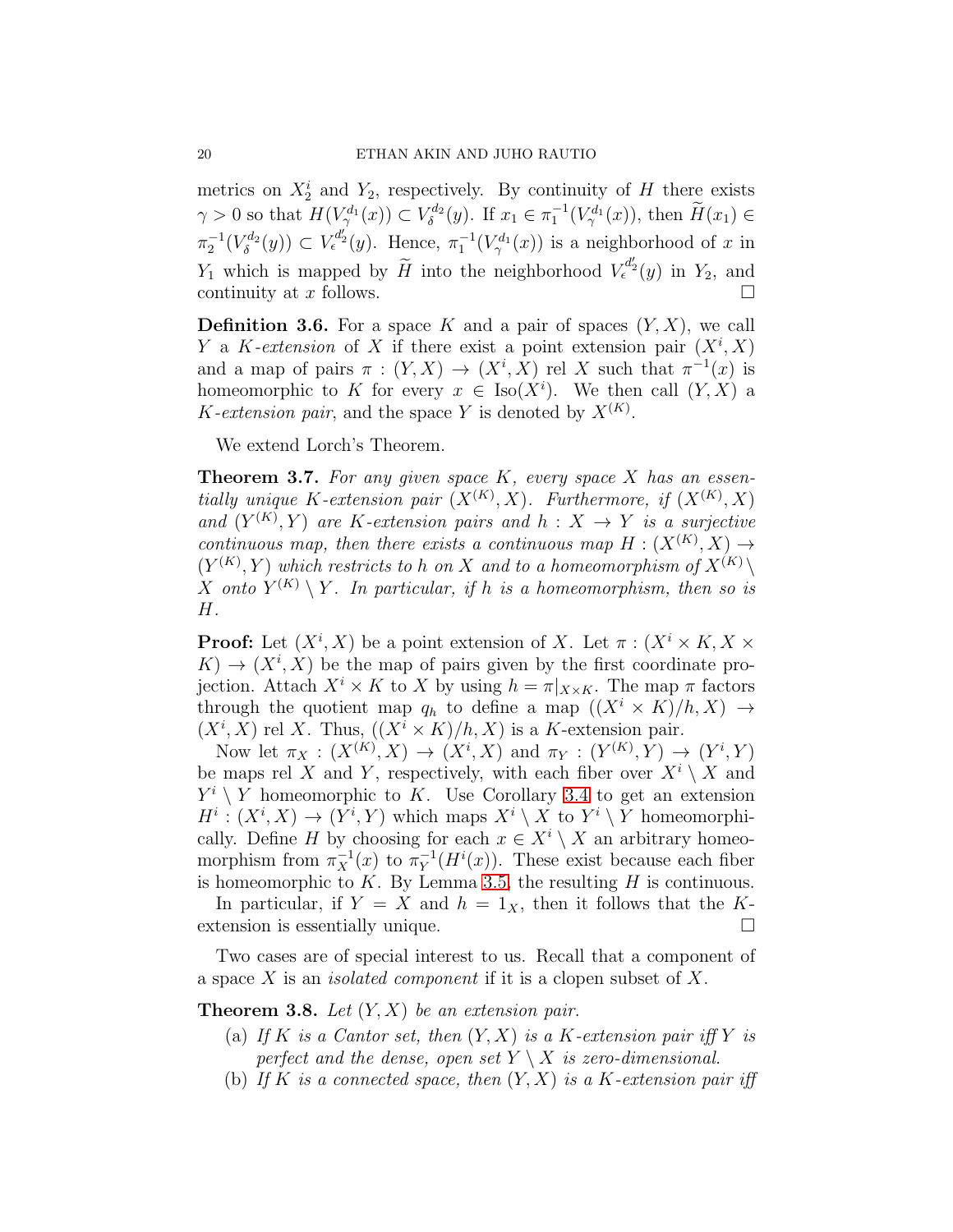metrics on  $X_2^i$  and  $Y_2$ , respectively. By continuity of H there exists  $\gamma > 0$  so that  $H(V^{d_1}_{\gamma}(x)) \subset V^{d_2}_{\delta}$  $\tilde{\delta}^{d_2}(y)$ . If  $x_1 \in \pi_1^{-1}(V^{d_1}_{\gamma}(x))$ , then  $\tilde{H}(x_1) \in$  $\pi_2^{-1}(V^{d_2}_{\delta}$  $\mathcal{L}_{\delta}(y)$   $\subset V_{\epsilon}^{d'_2}(y)$ . Hence,  $\pi_1^{-1}(V_{\gamma}^{d_1}(x))$  is a neighborhood of x in  $Y_1$  which is mapped by  $\widetilde{H}$  into the neighborhood  $V_{\epsilon}^{d'_2}(y)$  in  $Y_2$ , and continuity at x follows.

**Definition 3.6.** For a space K and a pair of spaces  $(Y, X)$ , we call Y a K-extension of X if there exist a point extension pair  $(X^i, X)$ and a map of pairs  $\pi : (Y, X) \to (X^i, X)$  rel X such that  $\pi^{-1}(x)$  is homeomorphic to K for every  $x \in Iso(X^i)$ . We then call  $(Y, X)$  a K-extension pair, and the space Y is denoted by  $X^{(K)}$ .

We extend Lorch's Theorem.

<span id="page-19-1"></span>**Theorem 3.7.** For any given space  $K$ , every space  $X$  has an essentially unique K-extension pair  $(X^{(K)}, X)$ . Furthermore, if  $(X^{(K)}, X)$ and  $(Y^{(K)}, Y)$  are K-extension pairs and  $h: X \to Y$  is a surjective continuous map, then there exists a continuous map  $H: (X^{(K)}, X) \rightarrow$  $(Y^{(K)}, Y)$  which restricts to h on X and to a homeomorphism of  $X^{(K)} \setminus Y$ X onto  $Y^{(K)} \setminus Y$ . In particular, if h is a homeomorphism, then so is H.

**Proof:** Let  $(X^i, X)$  be a point extension of X. Let  $\pi : (X^i \times K, X \times$  $K) \rightarrow (X^i, X)$  be the map of pairs given by the first coordinate projection. Attach  $X^i \times K$  to X by using  $h = \pi|_{X \times K}$ . The map  $\pi$  factors through the quotient map  $q_h$  to define a map  $((X^i \times K)/h, X) \rightarrow$  $(X^i, X)$  rel X. Thus,  $((X^i \times K)/h, X)$  is a K-extension pair.

Now let  $\pi_X : (X^{(K)}, X) \to (X^i, X)$  and  $\pi_Y : (Y^{(K)}, Y) \to (Y^i, Y)$ be maps rel X and Y, respectively, with each fiber over  $X^i \setminus X$  and  $Y^i \setminus Y$  homeomorphic to K. Use Corollary [3.4](#page-18-0) to get an extension  $H^i: (X^i, X) \to (Y^i, Y)$  which maps  $X^i \setminus X$  to  $Y^i \setminus Y$  homeomorphically. Define H by choosing for each  $x \in X^i \setminus X$  an arbitrary homeomorphism from  $\pi_X^{-1}(x)$  to  $\pi_Y^{-1}$  $_Y^{-1}(H^i(x))$ . These exist because each fiber is homeomorphic to  $K$ . By Lemma [3.5,](#page-18-1) the resulting  $H$  is continuous.

In particular, if  $Y = X$  and  $h = 1_X$ , then it follows that the Kextension is essentially unique.

Two cases are of special interest to us. Recall that a component of a space X is an isolated component if it is a clopen subset of X.

<span id="page-19-0"></span>**Theorem 3.8.** Let  $(Y, X)$  be an extension pair.

- (a) If K is a Cantor set, then  $(Y, X)$  is a K-extension pair iff Y is perfect and the dense, open set  $Y \setminus X$  is zero-dimensional.
- (b) If K is a connected space, then  $(Y, X)$  is a K-extension pair iff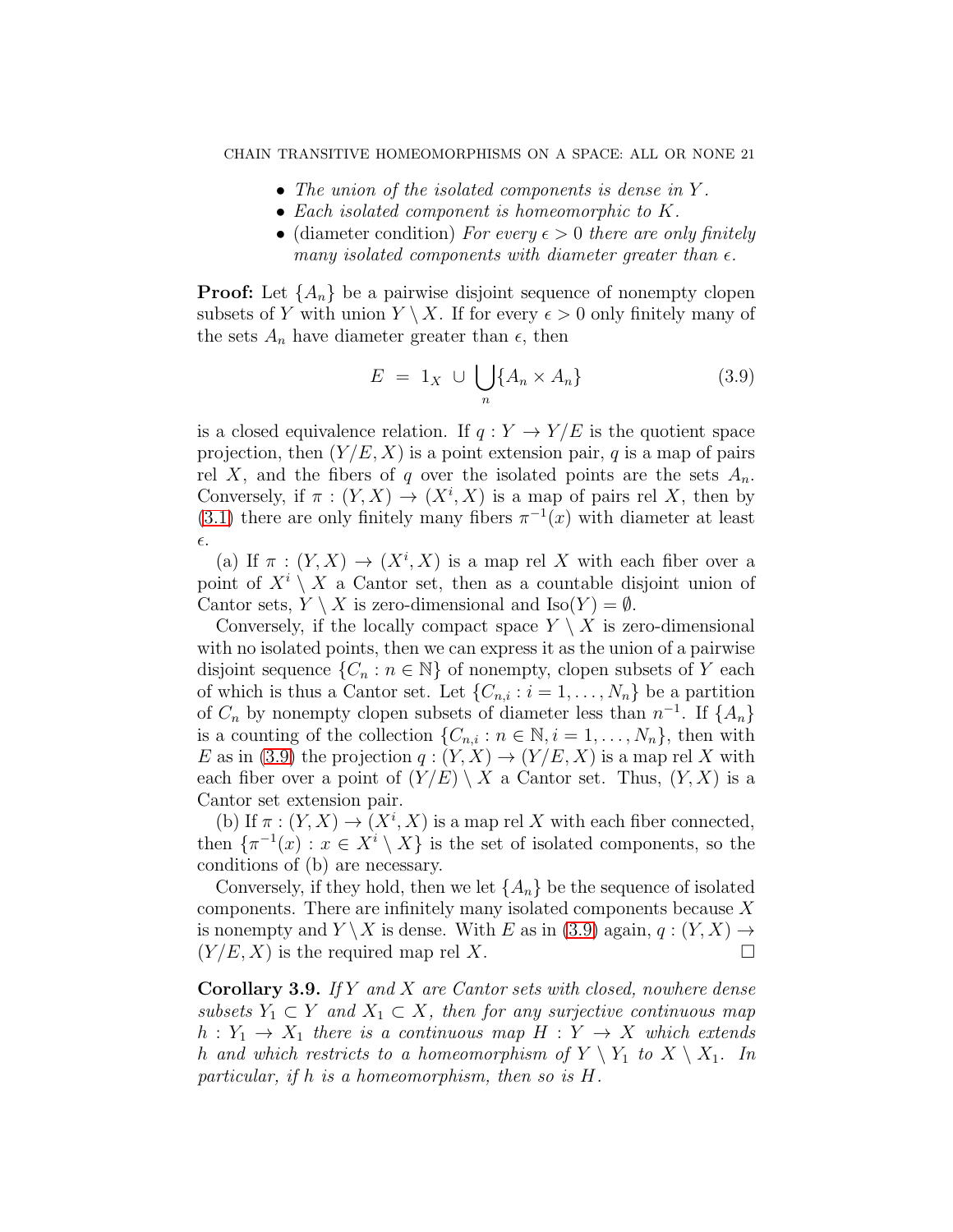- The union of the isolated components is dense in Y.
- Each isolated component is homeomorphic to K.
- (diameter condition) For every  $\epsilon > 0$  there are only finitely many isolated components with diameter greater than  $\epsilon$ .

**Proof:** Let  $\{A_n\}$  be a pairwise disjoint sequence of nonempty clopen subsets of Y with union  $Y \setminus X$ . If for every  $\epsilon > 0$  only finitely many of the sets  $A_n$  have diameter greater than  $\epsilon$ , then

<span id="page-20-0"></span>
$$
E = 1_X \cup \bigcup_{n} \{A_n \times A_n\} \tag{3.9}
$$

is a closed equivalence relation. If  $q: Y \to Y/E$  is the quotient space projection, then  $(Y/E, X)$  is a point extension pair, q is a map of pairs rel X, and the fibers of q over the isolated points are the sets  $A_n$ . Conversely, if  $\pi : (Y, X) \to (X^i, X)$  is a map of pairs rel X, then by [\(3.1\)](#page-16-1) there are only finitely many fibers  $\pi^{-1}(x)$  with diameter at least  $\epsilon.$ 

(a) If  $\pi : (Y,X) \to (X^i, X)$  is a map rel X with each fiber over a point of  $X^i \setminus X$  a Cantor set, then as a countable disjoint union of Cantor sets,  $Y \setminus X$  is zero-dimensional and  $\text{Iso}(Y) = \emptyset$ .

Conversely, if the locally compact space  $Y \setminus X$  is zero-dimensional with no isolated points, then we can express it as the union of a pairwise disjoint sequence  $\{C_n : n \in \mathbb{N}\}\$  of nonempty, clopen subsets of Y each of which is thus a Cantor set. Let  $\{C_{n,i}: i=1,\ldots,N_n\}$  be a partition of  $C_n$  by nonempty clopen subsets of diameter less than  $n^{-1}$ . If  $\{A_n\}$ is a counting of the collection  $\{C_{n,i} : n \in \mathbb{N}, i = 1, \ldots, N_n\}$ , then with E as in [\(3.9\)](#page-20-0) the projection  $q:(Y,X)\to (Y/E, X)$  is a map rel X with each fiber over a point of  $(Y/E) \setminus X$  a Cantor set. Thus,  $(Y, X)$  is a Cantor set extension pair.

(b) If  $\pi : (Y, X) \to (X^i, X)$  is a map rel X with each fiber connected, then  $\{\pi^{-1}(x) : x \in X^i \setminus X\}$  is the set of isolated components, so the conditions of (b) are necessary.

Conversely, if they hold, then we let  $\{A_n\}$  be the sequence of isolated components. There are infinitely many isolated components because  $X$ is nonempty and  $Y \backslash X$  is dense. With E as in [\(3.9\)](#page-20-0) again,  $q: (Y, X) \rightarrow$  $(Y/E, X)$  is the required map rel X.

**Corollary 3.9.** If Y and X are Cantor sets with closed, nowhere dense subsets  $Y_1 \subset Y$  and  $X_1 \subset X$ , then for any surjective continuous map  $h: Y_1 \to X_1$  there is a continuous map  $H: Y \to X$  which extends h and which restricts to a homeomorphism of  $Y \setminus Y_1$  to  $X \setminus X_1$ . In particular, if h is a homeomorphism, then so is H.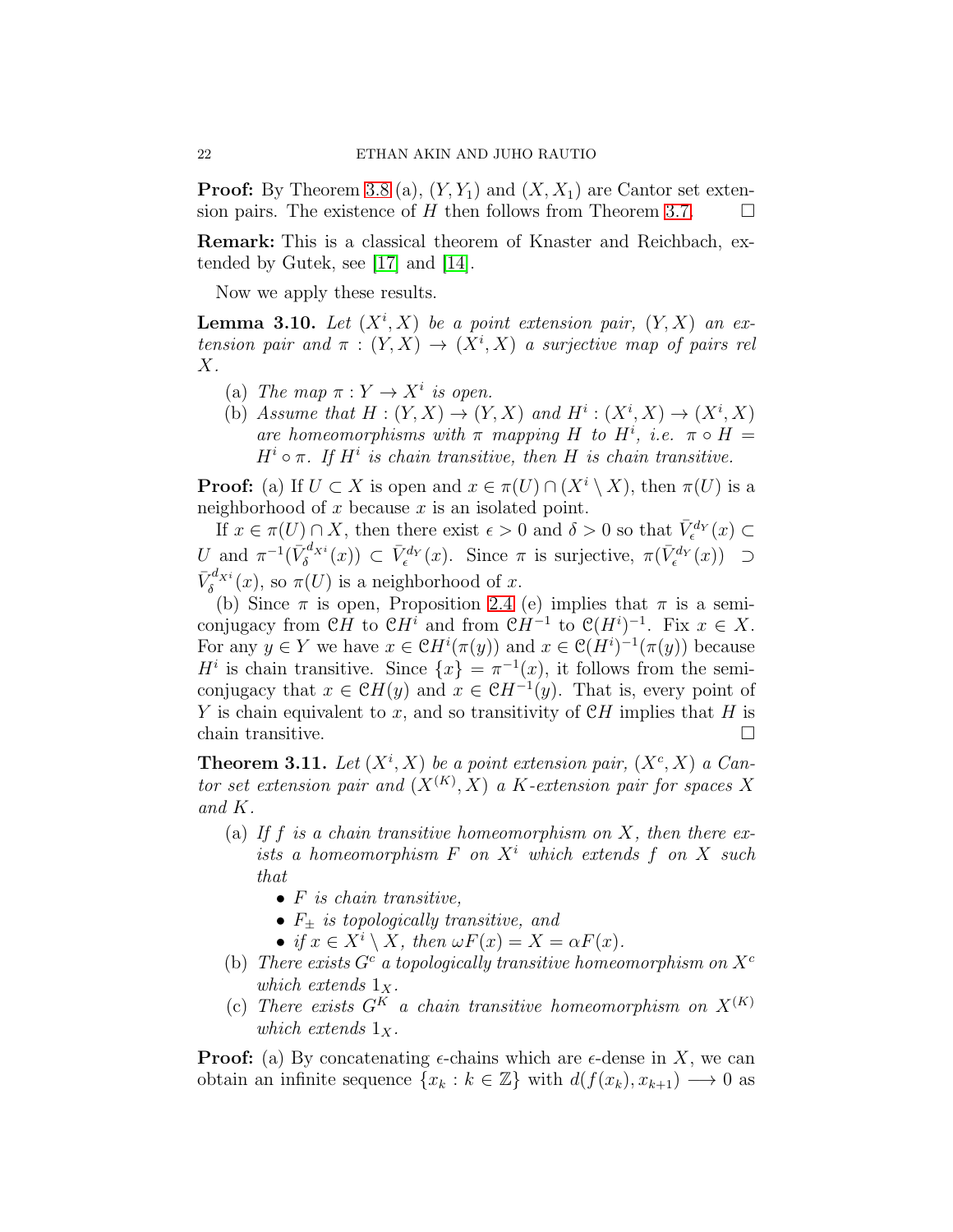**Proof:** By Theorem [3.8](#page-19-0) (a),  $(Y, Y_1)$  and  $(X, X_1)$  are Cantor set extension pairs. The existence of  $H$  then follows from Theorem [3.7.](#page-19-1)

Remark: This is a classical theorem of Knaster and Reichbach, extended by Gutek, see [\[17\]](#page-48-12) and [\[14\]](#page-48-13).

Now we apply these results.

<span id="page-21-1"></span>**Lemma 3.10.** Let  $(X^i, X)$  be a point extension pair,  $(Y, X)$  an extension pair and  $\pi : (Y,X) \to (X^i,X)$  a surjective map of pairs rel  $X$ .

- (a) The map  $\pi: Y \to X^i$  is open.
- (b) Assume that  $H: (Y, X) \to (Y, X)$  and  $H^i: (X^i, X) \to (X^i, X)$ are homeomorphisms with  $\pi$  mapping H to H<sup>i</sup>, i.e.  $\pi \circ H =$  $H^i \circ \pi$ . If  $H^i$  is chain transitive, then H is chain transitive.

**Proof:** (a) If  $U \subset X$  is open and  $x \in \pi(U) \cap (X^i \setminus X)$ , then  $\pi(U)$  is a neighborhood of x because x is an isolated point.

If  $x \in \pi(U) \cap X$ , then there exist  $\epsilon > 0$  and  $\delta > 0$  so that  $\bar{V}_{\epsilon}^{d_Y}(x) \subset$ U and  $\pi^{-1}(\bar{V}_{\delta}^{d_{X}i}(x)) \subset \bar{V}_{\epsilon}^{d_{Y}}(x)$ . Since  $\pi$  is surjective,  $\pi(\bar{V}_{\epsilon}^{d_{Y}}(x)) \supset$  $\bar{V}_{\delta}^{d_{X}i}(x)$ , so  $\pi(U)$  is a neighborhood of x.

(b) Since  $\pi$  is open, Proposition [2.4](#page-9-0) (e) implies that  $\pi$  is a semiconjugacy from  $\mathfrak{C}H$  to  $\mathfrak{C}H^i$  and from  $\mathfrak{C}H^{-1}$  to  $\mathfrak{C}(H^i)^{-1}$ . Fix  $x \in X$ . For any  $y \in Y$  we have  $x \in \mathcal{C}H^{i}(\pi(y))$  and  $x \in \mathcal{C}(H^{i})^{-1}(\pi(y))$  because  $H^i$  is chain transitive. Since  $\{x\} = \pi^{-1}(x)$ , it follows from the semiconjugacy that  $x \in \mathcal{C}H(y)$  and  $x \in \mathcal{C}H^{-1}(y)$ . That is, every point of Y is chain equivalent to x, and so transitivity of  $\mathcal{C}H$  implies that H is chain transitive.  $\Box$ 

<span id="page-21-0"></span>**Theorem 3.11.** Let  $(X^i, X)$  be a point extension pair,  $(X^c, X)$  a Cantor set extension pair and  $(X^{(K)}, X)$  a K-extension pair for spaces X and K.

- (a) If f is a chain transitive homeomorphism on X, then there exists a homeomorphism  $F$  on  $X<sup>i</sup>$  which extends  $f$  on  $X$  such that
	- $\bullet$  F is chain transitive,
	- $F_{\pm}$  is topologically transitive, and
	- if  $x \in X^i \setminus X$ , then  $\omega F(x) = X = \alpha F(x)$ .
- (b) There exists  $G^c$  a topologically transitive homeomorphism on  $X^c$ which extends  $1_X$ .
- (c) There exists  $G^K$  a chain transitive homeomorphism on  $X^{(K)}$ which extends  $1_{\mathbf{X}}$ .

**Proof:** (a) By concatenating  $\epsilon$ -chains which are  $\epsilon$ -dense in X, we can obtain an infinite sequence  $\{x_k : k \in \mathbb{Z}\}\$  with  $d(f(x_k), x_{k+1}) \longrightarrow 0$  as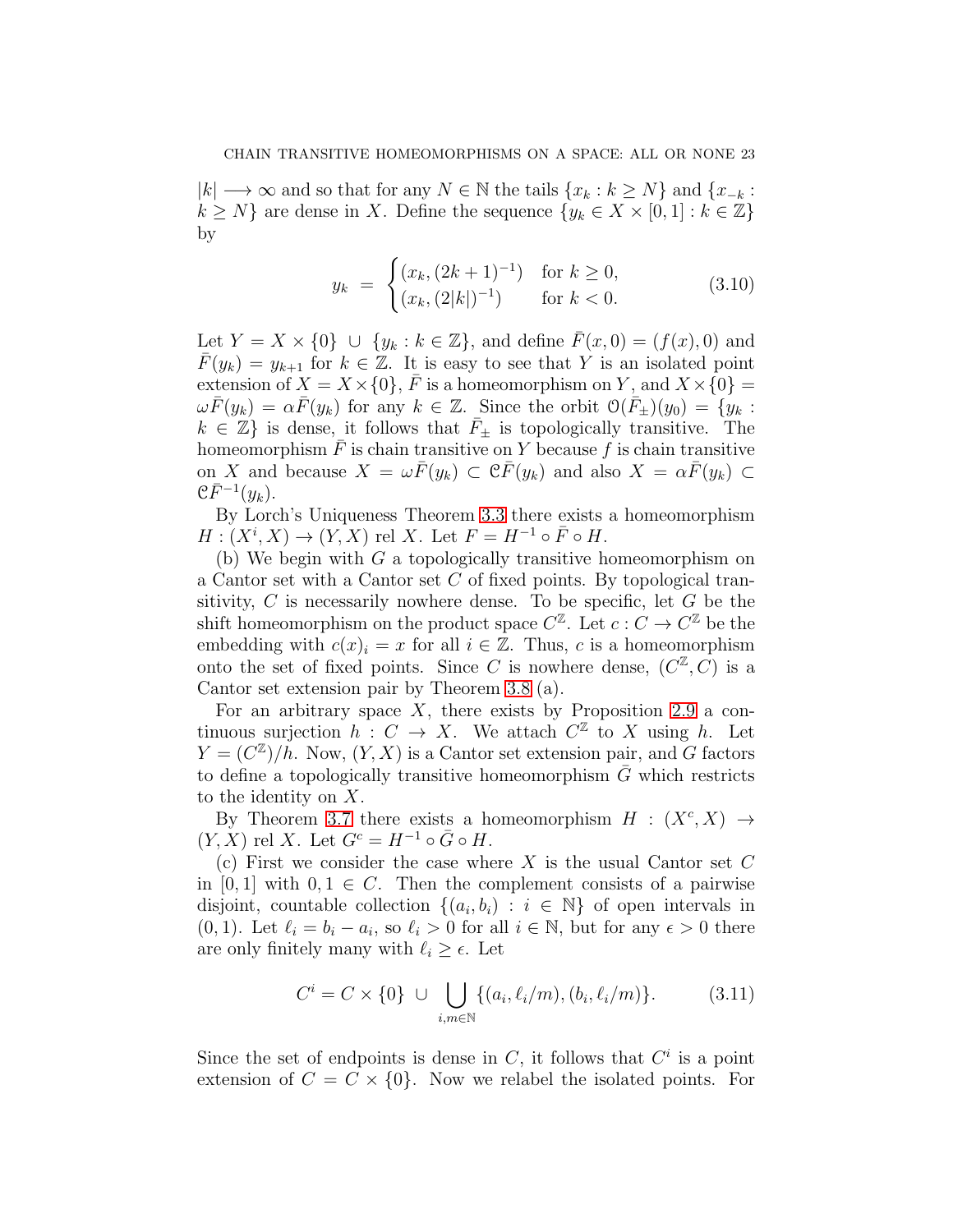$|k| \longrightarrow \infty$  and so that for any  $N \in \mathbb{N}$  the tails  $\{x_k : k \geq N\}$  and  $\{x_{-k} :$  $k \geq N$  are dense in X. Define the sequence  $\{y_k \in X \times [0,1]: k \in \mathbb{Z}\}\$ by

$$
y_k = \begin{cases} (x_k, (2k+1)^{-1}) & \text{for } k \ge 0, \\ (x_k, (2|k|)^{-1}) & \text{for } k < 0. \end{cases}
$$
 (3.10)

Let  $Y = X \times \{0\} \cup \{y_k : k \in \mathbb{Z}\},$  and define  $\overline{F}(x, 0) = (f(x), 0)$  and  $\overline{F}(y_k) = y_{k+1}$  for  $k \in \mathbb{Z}$ . It is easy to see that Y is an isolated point extension of  $X = X \times \{0\}$ ,  $\overline{F}$  is a homeomorphism on Y, and  $X \times \{0\}$  $\omega \bar{F}(y_k) = \alpha \bar{F}(y_k)$  for any  $k \in \mathbb{Z}$ . Since the orbit  $\mathcal{O}(\bar{F}_\pm)(y_0) = \{y_k :$  $k \in \mathbb{Z}$  is dense, it follows that  $\bar{F}_{\pm}$  is topologically transitive. The homeomorphism  $F$  is chain transitive on Y because f is chain transitive on X and because  $X = \omega \bar{F}(y_k) \subset \mathcal{C} \bar{F}(y_k)$  and also  $X = \alpha \bar{F}(y_k) \subset$  $\mathfrak{C} \bar{F}^{-1}(y_k)$ .

By Lorch's Uniqueness Theorem [3.3](#page-17-0) there exists a homeomorphism  $H: (X^i, X) \to (Y, X)$  rel X. Let  $F = H^{-1} \circ \overline{F} \circ H$ .

(b) We begin with  $G$  a topologically transitive homeomorphism on a Cantor set with a Cantor set C of fixed points. By topological transitivity,  $C$  is necessarily nowhere dense. To be specific, let  $G$  be the shift homeomorphism on the product space  $C^{\mathbb{Z}}$ . Let  $c: C \to C^{\mathbb{Z}}$  be the embedding with  $c(x)_i = x$  for all  $i \in \mathbb{Z}$ . Thus, c is a homeomorphism onto the set of fixed points. Since C is nowhere dense,  $(C^{\mathbb{Z}}, C)$  is a Cantor set extension pair by Theorem [3.8](#page-19-0) (a).

For an arbitrary space  $X$ , there exists by Proposition [2.9](#page-14-1) a continuous surjection  $h: C \to X$ . We attach  $C^{\mathbb{Z}}$  to X using h. Let  $Y = (C^{\mathbb{Z}})/h$ . Now,  $(Y, X)$  is a Cantor set extension pair, and G factors to define a topologically transitive homeomorphism  $\overline{G}$  which restricts to the identity on X.

By Theorem [3.7](#page-19-1) there exists a homeomorphism  $H : (X^c, X) \rightarrow$  $(Y, X)$  rel X. Let  $G^c = H^{-1} \circ \bar{G} \circ H$ .

(c) First we consider the case where X is the usual Cantor set  $C$ in [0, 1] with  $0, 1 \in C$ . Then the complement consists of a pairwise disjoint, countable collection  $\{(a_i, b_i) : i \in \mathbb{N}\}\$  of open intervals in (0, 1). Let  $\ell_i = b_i - a_i$ , so  $\ell_i > 0$  for all  $i \in \mathbb{N}$ , but for any  $\epsilon > 0$  there are only finitely many with  $\ell_i \geq \epsilon$ . Let

$$
C^{i} = C \times \{0\} \cup \bigcup_{i,m \in \mathbb{N}} \{(a_{i}, \ell_{i}/m), (b_{i}, \ell_{i}/m)\}.
$$
 (3.11)

Since the set of endpoints is dense in  $C$ , it follows that  $C<sup>i</sup>$  is a point extension of  $C = C \times \{0\}$ . Now we relabel the isolated points. For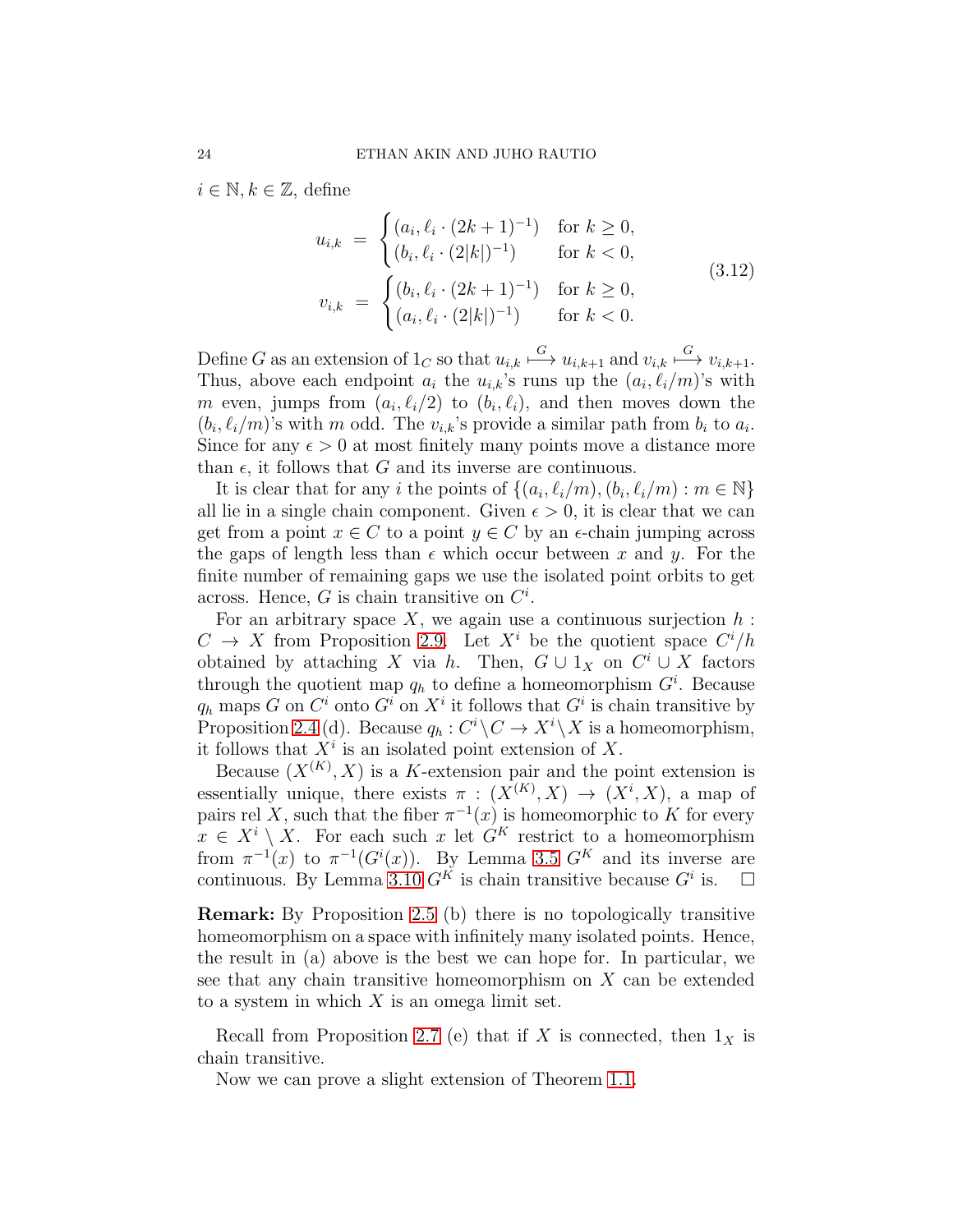$i \in \mathbb{N}, k \in \mathbb{Z}$ , define

$$
u_{i,k} = \begin{cases} (a_i, \ell_i \cdot (2k+1)^{-1}) & \text{for } k \ge 0, \\ (b_i, \ell_i \cdot (2|k|)^{-1}) & \text{for } k < 0, \end{cases}
$$
  

$$
v_{i,k} = \begin{cases} (b_i, \ell_i \cdot (2k+1)^{-1}) & \text{for } k \ge 0, \\ (a_i, \ell_i \cdot (2|k|)^{-1}) & \text{for } k < 0. \end{cases}
$$
 (3.12)

Define G as an extension of  $1_C$  so that  $u_{i,k} \stackrel{G}{\longmapsto} u_{i,k+1}$  and  $v_{i,k} \stackrel{G}{\longmapsto} v_{i,k+1}$ . Thus, above each endpoint  $a_i$  the  $u_{i,k}$ 's runs up the  $(a_i, \ell_i/m)$ 's with m even, jumps from  $(a_i, \ell_i/2)$  to  $(b_i, \ell_i)$ , and then moves down the  $(b_i, \ell_i/m)$ 's with m odd. The  $v_{i,k}$ 's provide a similar path from  $b_i$  to  $a_i$ . Since for any  $\epsilon > 0$  at most finitely many points move a distance more than  $\epsilon$ , it follows that G and its inverse are continuous.

It is clear that for any i the points of  $\{(a_i, \ell_i/m), (b_i, \ell_i/m) : m \in \mathbb{N}\}\$ all lie in a single chain component. Given  $\epsilon > 0$ , it is clear that we can get from a point  $x \in C$  to a point  $y \in C$  by an  $\epsilon$ -chain jumping across the gaps of length less than  $\epsilon$  which occur between x and y. For the finite number of remaining gaps we use the isolated point orbits to get across. Hence,  $G$  is chain transitive on  $C^i$ .

For an arbitrary space X, we again use a continuous surjection  $h$ :  $C \to X$  from Proposition [2.9.](#page-14-1) Let  $X^i$  be the quotient space  $C^i/h$ obtained by attaching X via h. Then,  $G \cup 1_X$  on  $C^i \cup X$  factors through the quotient map  $q_h$  to define a homeomorphism  $G^i$ . Because  $q_h$  maps G on  $C^i$  onto  $G^i$  on  $X^i$  it follows that  $G^i$  is chain transitive by Proposition [2.4](#page-9-0) (d). Because  $q_h: C^i \backslash C \to X^i \backslash X$  is a homeomorphism, it follows that  $X^i$  is an isolated point extension of X.

Because  $(X^{(K)}, X)$  is a K-extension pair and the point extension is essentially unique, there exists  $\pi : (X^{(K)}, X) \to (X^i, X)$ , a map of pairs rel X, such that the fiber  $\pi^{-1}(x)$  is homeomorphic to K for every  $x \in X^i \setminus X$ . For each such x let  $G^K$  restrict to a homeomorphism from  $\pi^{-1}(x)$  to  $\pi^{-1}(G^i(x))$ . By Lemma [3.5](#page-18-1)  $G^K$  and its inverse are continuous. By Lemma [3.10](#page-21-1)  $G^K$  is chain transitive because  $G^i$  is.  $\Box$ 

Remark: By Proposition [2.5](#page-11-2) (b) there is no topologically transitive homeomorphism on a space with infinitely many isolated points. Hence, the result in (a) above is the best we can hope for. In particular, we see that any chain transitive homeomorphism on X can be extended to a system in which  $X$  is an omega limit set.

Recall from Proposition [2.7](#page-13-1) (e) that if X is connected, then  $1_X$  is chain transitive.

Now we can prove a slight extension of Theorem [1.1.](#page-3-0)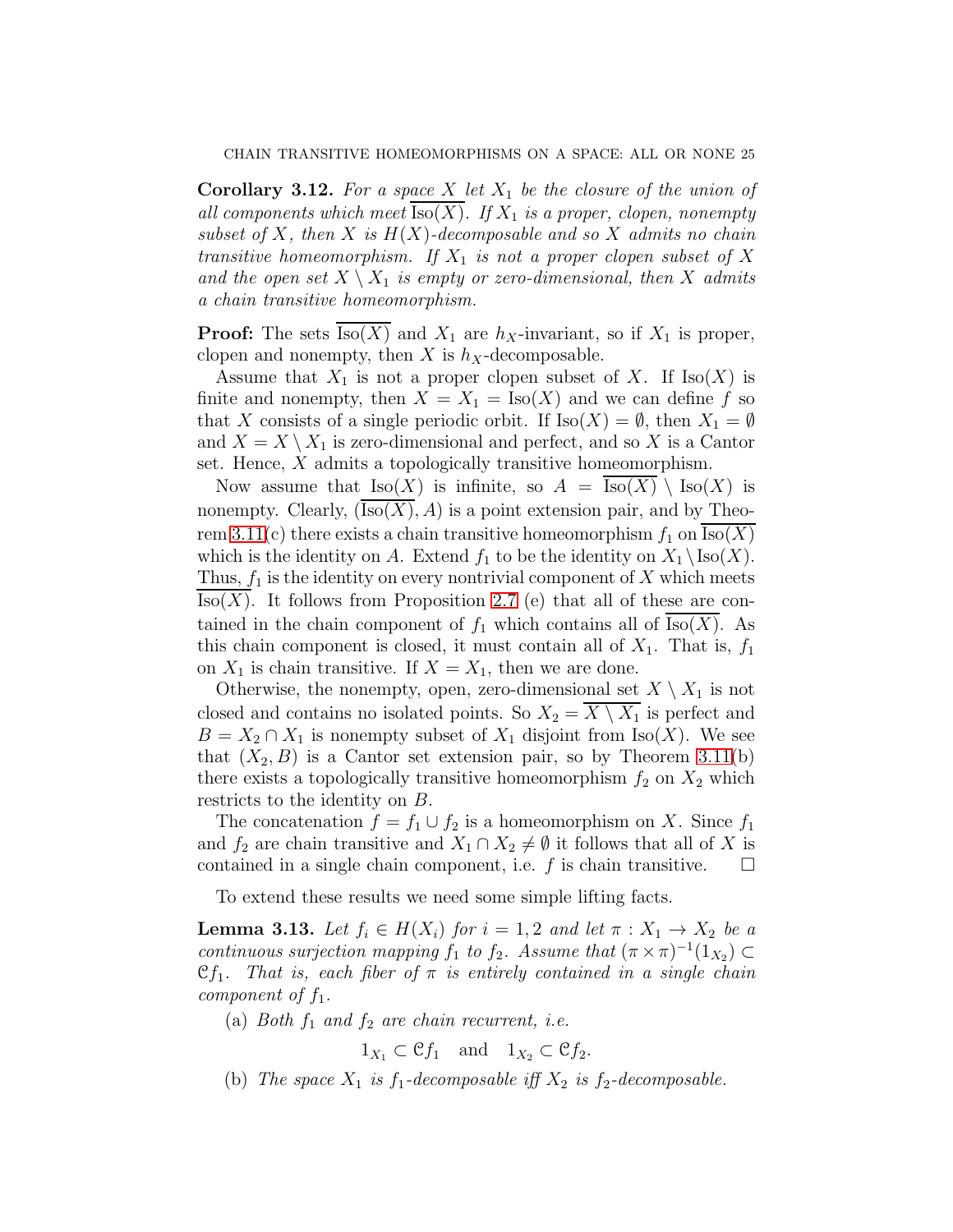<span id="page-24-1"></span>**Corollary 3.12.** For a space X let  $X_1$  be the closure of the union of all components which meet  $\text{Iso}(X)$ . If  $X_1$  is a proper, clopen, nonempty subset of X, then X is  $H(X)$ -decomposable and so X admits no chain transitive homeomorphism. If  $X_1$  is not a proper clopen subset of X and the open set  $X \setminus X_1$  is empty or zero-dimensional, then X admits a chain transitive homeomorphism.

**Proof:** The sets  $\text{Iso}(X)$  and  $X_1$  are  $h_X$ -invariant, so if  $X_1$  is proper, clopen and nonempty, then X is  $h_X$ -decomposable.

Assume that  $X_1$  is not a proper clopen subset of X. If  $\text{Iso}(X)$  is finite and nonempty, then  $X = X_1 = \text{Iso}(X)$  and we can define f so that X consists of a single periodic orbit. If  $\text{Iso}(X) = \emptyset$ , then  $X_1 = \emptyset$ and  $X = X \setminus X_1$  is zero-dimensional and perfect, and so X is a Cantor set. Hence, X admits a topologically transitive homeomorphism.

Now assume that  $\text{Iso}(X)$  is infinite, so  $A = \text{Iso}(X) \setminus \text{Iso}(X)$  is nonempty. Clearly,  $(Iso(X), A)$  is a point extension pair, and by Theo-rem [3.11\(](#page-21-0)c) there exists a chain transitive homeomorphism  $f_1$  on  $\text{Iso}(X)$ which is the identity on A. Extend  $f_1$  to be the identity on  $X_1 \setminus \text{Iso}(X)$ . Thus,  $f_1$  is the identity on every nontrivial component of X which meets  $Iso(X)$ . It follows from Proposition [2.7](#page-13-1) (e) that all of these are contained in the chain component of  $f_1$  which contains all of Iso(X). As this chain component is closed, it must contain all of  $X_1$ . That is,  $f_1$ on  $X_1$  is chain transitive. If  $X = X_1$ , then we are done.

Otherwise, the nonempty, open, zero-dimensional set  $X \setminus X_1$  is not closed and contains no isolated points. So  $X_2 = X \setminus X_1$  is perfect and  $B = X_2 \cap X_1$  is nonempty subset of  $X_1$  disjoint from Iso(X). We see that  $(X_2, B)$  is a Cantor set extension pair, so by Theorem [3.11\(](#page-21-0)b) there exists a topologically transitive homeomorphism  $f_2$  on  $X_2$  which restricts to the identity on B.

The concatenation  $f = f_1 \cup f_2$  is a homeomorphism on X. Since  $f_1$ and  $f_2$  are chain transitive and  $X_1 \cap X_2 \neq \emptyset$  it follows that all of X is contained in a single chain component, i.e.  $f$  is chain transitive.

To extend these results we need some simple lifting facts.

<span id="page-24-0"></span>**Lemma 3.13.** Let  $f_i \in H(X_i)$  for  $i = 1, 2$  and let  $\pi : X_1 \to X_2$  be a continuous surjection mapping  $f_1$  to  $f_2$ . Assume that  $(\pi \times \pi)^{-1}(1_{X_2}) \subset$  $\mathfrak{C}f_1$ . That is, each fiber of  $\pi$  is entirely contained in a single chain component of  $f_1$ .

(a) Both  $f_1$  and  $f_2$  are chain recurrent, i.e.

$$
1_{X_1} \subset \mathfrak{C} f_1
$$
 and  $1_{X_2} \subset \mathfrak{C} f_2$ .

(b) The space  $X_1$  is  $f_1$ -decomposable iff  $X_2$  is  $f_2$ -decomposable.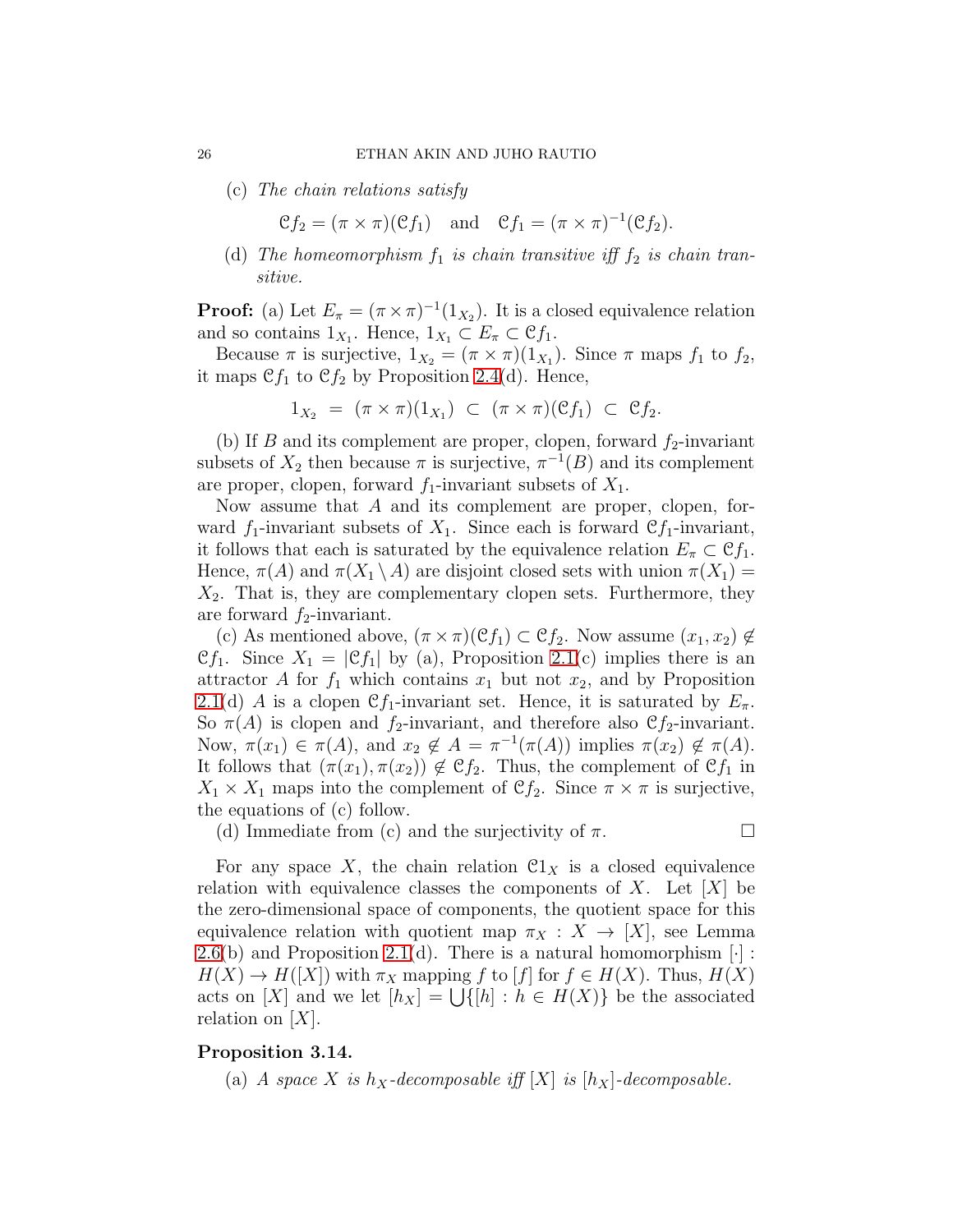#### 26 ETHAN AKIN AND JUHO RAUTIO

(c) The chain relations satisfy

 $\mathcal{C}f_2 = (\pi \times \pi)(\mathcal{C}f_1)$  and  $\mathcal{C}f_1 = (\pi \times \pi)^{-1}(\mathcal{C}f_2).$ 

(d) The homeomorphism  $f_1$  is chain transitive iff  $f_2$  is chain transitive.

**Proof:** (a) Let  $E_{\pi} = (\pi \times \pi)^{-1}(1_{X_2})$ . It is a closed equivalence relation and so contains  $1_{X_1}$ . Hence,  $1_{X_1} \subset E_{\pi} \subset \mathfrak{C} f_1$ .

Because  $\pi$  is surjective,  $1_{X_2} = (\pi \times \pi)(1_{X_1})$ . Since  $\pi$  maps  $f_1$  to  $f_2$ , it maps  $\mathfrak{C}f_1$  to  $\mathfrak{C}f_2$  by Proposition [2.4\(](#page-9-0)d). Hence,

$$
1_{X_2} = (\pi \times \pi)(1_{X_1}) \subset (\pi \times \pi)(\mathfrak{C}f_1) \subset \mathfrak{C}f_2.
$$

(b) If B and its complement are proper, clopen, forward  $f_2$ -invariant subsets of  $X_2$  then because  $\pi$  is surjective,  $\pi^{-1}(B)$  and its complement are proper, clopen, forward  $f_1$ -invariant subsets of  $X_1$ .

Now assume that A and its complement are proper, clopen, forward  $f_1$ -invariant subsets of  $X_1$ . Since each is forward  $\mathcal{C}f_1$ -invariant, it follows that each is saturated by the equivalence relation  $E_{\pi} \subset \mathfrak{C} f_1$ . Hence,  $\pi(A)$  and  $\pi(X_1 \setminus A)$  are disjoint closed sets with union  $\pi(X_1)$  =  $X_2$ . That is, they are complementary clopen sets. Furthermore, they are forward  $f_2$ -invariant.

(c) As mentioned above,  $(\pi \times \pi)(\mathfrak{C} f_1) \subset \mathfrak{C} f_2$ . Now assume  $(x_1, x_2) \notin$  $\mathfrak{C}f_1$ . Since  $X_1 = |\mathfrak{C}f_1|$  by (a), Proposition [2.1\(](#page-7-1)c) implies there is an attractor A for  $f_1$  which contains  $x_1$  but not  $x_2$ , and by Proposition [2.1\(](#page-7-1)d) A is a clopen Cf<sub>1</sub>-invariant set. Hence, it is saturated by  $E_{\pi}$ . So  $\pi(A)$  is clopen and  $f_2$ -invariant, and therefore also  $\mathfrak{C} f_2$ -invariant. Now,  $\pi(x_1) \in \pi(A)$ , and  $x_2 \notin A = \pi^{-1}(\pi(A))$  implies  $\pi(x_2) \notin \pi(A)$ . It follows that  $(\pi(x_1), \pi(x_2)) \notin \mathcal{C}f_2$ . Thus, the complement of  $\mathcal{C}f_1$  in  $X_1 \times X_1$  maps into the complement of  $\mathfrak{C} f_2$ . Since  $\pi \times \pi$  is surjective, the equations of (c) follow.

(d) Immediate from (c) and the surjectivity of  $\pi$ .

For any space X, the chain relation  $\mathfrak{C}1_X$  is a closed equivalence relation with equivalence classes the components of X. Let  $[X]$  be the zero-dimensional space of components, the quotient space for this equivalence relation with quotient map  $\pi_X : X \to [X]$ , see Lemma  $2.6(b)$  $2.6(b)$  and Proposition [2.1\(](#page-7-1)d). There is a natural homomorphism  $[\cdot]$ :  $H(X) \to H([X])$  with  $\pi_X$  mapping f to [f] for  $f \in H(X)$ . Thus,  $H(X)$ acts on [X] and we let  $[h_X] = \bigcup \{ [h] : h \in H(X) \}$  be the associated relation on  $[X]$ .

## Proposition 3.14.

(a) A space X is  $h_X$ -decomposable iff  $[X]$  is  $[h_X]$ -decomposable.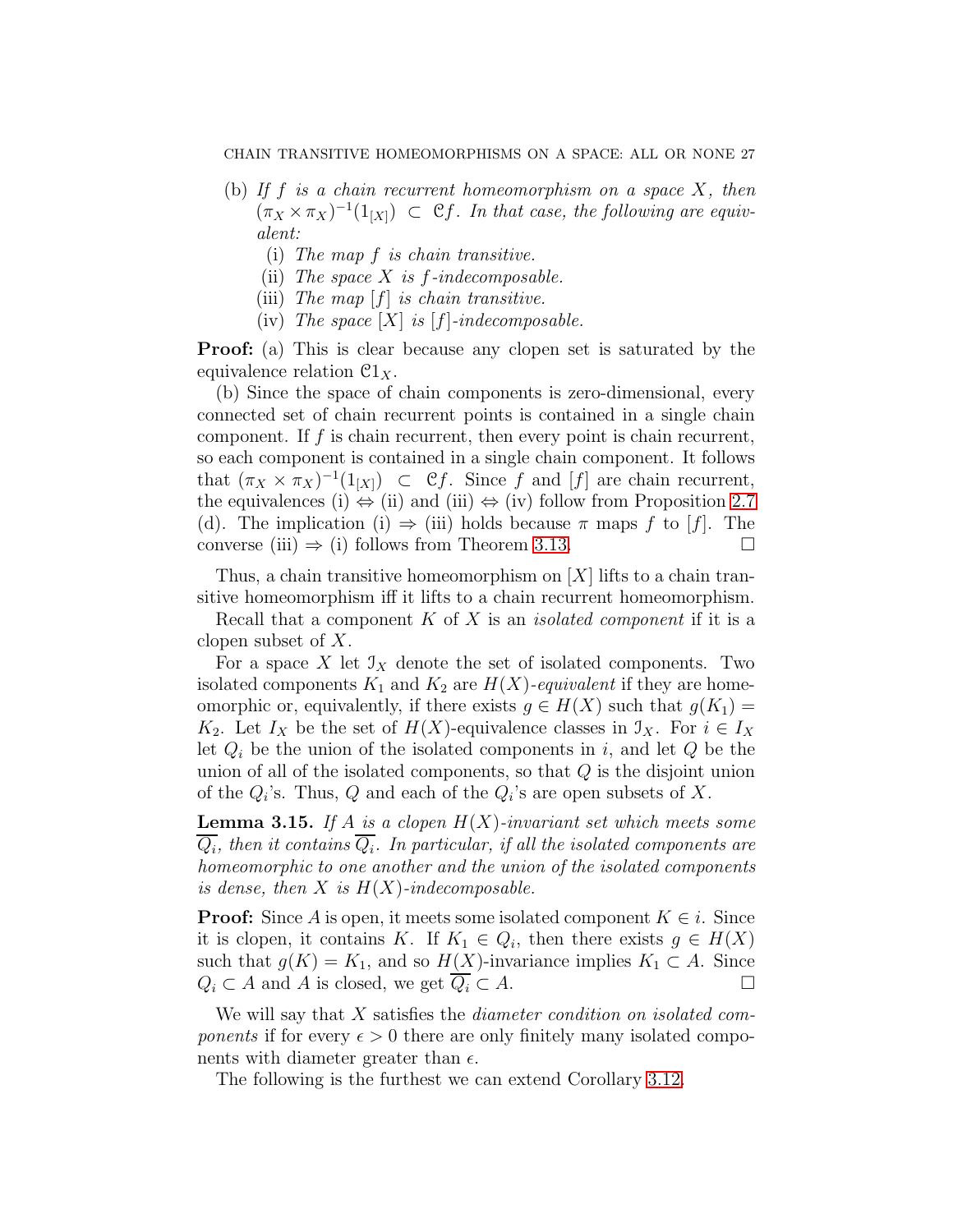- (b) If f is a chain recurrent homeomorphism on a space  $X$ , then  $(\pi_X \times \pi_X)^{-1}(1_{[X]}) \subset \mathcal{C}f$ . In that case, the following are equivalent:
	- (i) The map f is chain transitive.
	- (ii) The space  $X$  is  $f$ -indecomposable.
	- (iii) The map  $[f]$  is chain transitive.
	- (iv) The space  $[X]$  is  $[f]$ -indecomposable.

**Proof:** (a) This is clear because any clopen set is saturated by the equivalence relation  $\mathfrak{C}1_X$ .

(b) Since the space of chain components is zero-dimensional, every connected set of chain recurrent points is contained in a single chain component. If  $f$  is chain recurrent, then every point is chain recurrent, so each component is contained in a single chain component. It follows that  $(\pi_X \times \pi_X)^{-1}(1_{[X]}) \subset \mathcal{C}f$ . Since f and [f] are chain recurrent, the equivalences (i)  $\Leftrightarrow$  (ii) and (iii)  $\Leftrightarrow$  (iv) follow from Proposition [2.7](#page-13-1) (d). The implication (i)  $\Rightarrow$  (iii) holds because  $\pi$  maps f to [f]. The converse (iii)  $\Rightarrow$  (i) follows from Theorem [3.13.](#page-24-0)

Thus, a chain transitive homeomorphism on  $[X]$  lifts to a chain transitive homeomorphism iff it lifts to a chain recurrent homeomorphism.

Recall that a component  $K$  of  $X$  is an *isolated component* if it is a clopen subset of X.

For a space X let  $\mathcal{I}_X$  denote the set of isolated components. Two isolated components  $K_1$  and  $K_2$  are  $H(X)$ -equivalent if they are homeomorphic or, equivalently, if there exists  $g \in H(X)$  such that  $g(K_1) =$ K<sub>2</sub>. Let  $I_X$  be the set of  $H(X)$ -equivalence classes in  $\mathcal{I}_X$ . For  $i \in I_X$ let  $Q_i$  be the union of the isolated components in i, and let  $Q$  be the union of all of the isolated components, so that  $Q$  is the disjoint union of the  $Q_i$ 's. Thus,  $Q$  and each of the  $Q_i$ 's are open subsets of X.

<span id="page-26-0"></span>**Lemma 3.15.** If A is a clopen  $H(X)$ -invariant set which meets some  $Q_i$ , then it contains  $Q_i$ . In particular, if all the isolated components are homeomorphic to one another and the union of the isolated components is dense, then  $X$  is  $H(X)$ -indecomposable.

**Proof:** Since A is open, it meets some isolated component  $K \in i$ . Since it is clopen, it contains K. If  $K_1 \in Q_i$ , then there exists  $g \in H(X)$ such that  $g(K) = K_1$ , and so  $H(X)$ -invariance implies  $K_1 \subset A$ . Since  $Q_i \subset A$  and A is closed, we get  $\overline{Q_i} \subset A$ .

We will say that X satisfies the *diameter condition* on *isolated com*ponents if for every  $\epsilon > 0$  there are only finitely many isolated components with diameter greater than  $\epsilon$ .

The following is the furthest we can extend Corollary [3.12.](#page-24-1)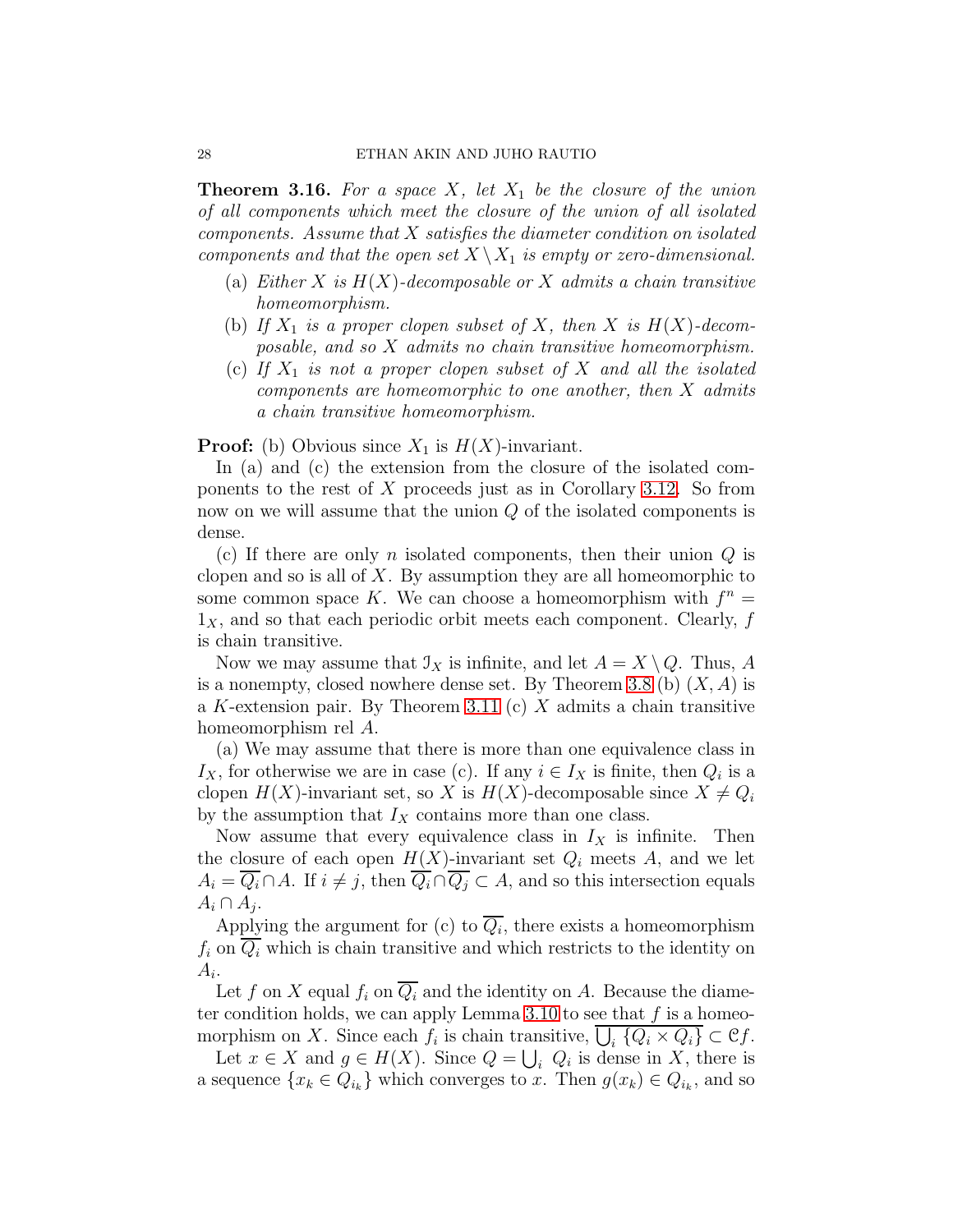**Theorem 3.16.** For a space X, let  $X_1$  be the closure of the union of all components which meet the closure of the union of all isolated  $components.$  Assume that  $X$  satisfies the diameter condition on isolated components and that the open set  $X \setminus X_1$  is empty or zero-dimensional.

- (a) Either X is  $H(X)$ -decomposable or X admits a chain transitive homeomorphism.
- (b) If  $X_1$  is a proper clopen subset of X, then X is  $H(X)$ -decomposable, and so X admits no chain transitive homeomorphism.
- (c) If  $X_1$  is not a proper clopen subset of X and all the isolated components are homeomorphic to one another, then X admits a chain transitive homeomorphism.

**Proof:** (b) Obvious since  $X_1$  is  $H(X)$ -invariant.

In (a) and (c) the extension from the closure of the isolated components to the rest of  $X$  proceeds just as in Corollary [3.12.](#page-24-1) So from now on we will assume that the union Q of the isolated components is dense.

(c) If there are only n isolated components, then their union  $Q$  is clopen and so is all of  $X$ . By assumption they are all homeomorphic to some common space K. We can choose a homeomorphism with  $f^n =$  $1<sub>X</sub>$ , and so that each periodic orbit meets each component. Clearly, f is chain transitive.

Now we may assume that  $\mathcal{I}_X$  is infinite, and let  $A = X \setminus Q$ . Thus, A is a nonempty, closed nowhere dense set. By Theorem [3.8](#page-19-0) (b)  $(X, A)$  is a K-extension pair. By Theorem [3.11](#page-21-0) (c)  $X$  admits a chain transitive homeomorphism rel A.

(a) We may assume that there is more than one equivalence class in  $I_X$ , for otherwise we are in case (c). If any  $i \in I_X$  is finite, then  $Q_i$  is a clopen  $H(X)$ -invariant set, so X is  $H(X)$ -decomposable since  $X \neq Q_i$ by the assumption that  $I_X$  contains more than one class.

Now assume that every equivalence class in  $I_X$  is infinite. Then the closure of each open  $H(X)$ -invariant set  $Q_i$  meets A, and we let  $A_i = \overline{Q_i} \cap A$ . If  $i \neq j$ , then  $\overline{Q_i} \cap \overline{Q_j} \subset A$ , and so this intersection equals  $A_i \cap A_j$ .

Applying the argument for (c) to  $Q_i$ , there exists a homeomorphism  $f_i$  on  $\overline{Q_i}$  which is chain transitive and which restricts to the identity on  $A_i$ .

Let f on X equal  $f_i$  on  $\overline{Q_i}$  and the identity on A. Because the diame-ter condition holds, we can apply Lemma [3.10](#page-21-1) to see that  $f$  is a homeomorphism on X. Since each  $f_i$  is chain transitive,  $\overline{\bigcup_i {Q_i \times Q_i}} \subset \mathfrak{C}f$ .

Let  $x \in X$  and  $g \in H(X)$ . Since  $Q = \bigcup_i Q_i$  is dense in X, there is a sequence  $\{x_k \in Q_{i_k}\}\$  which converges to x. Then  $g(x_k) \in Q_{i_k}$ , and so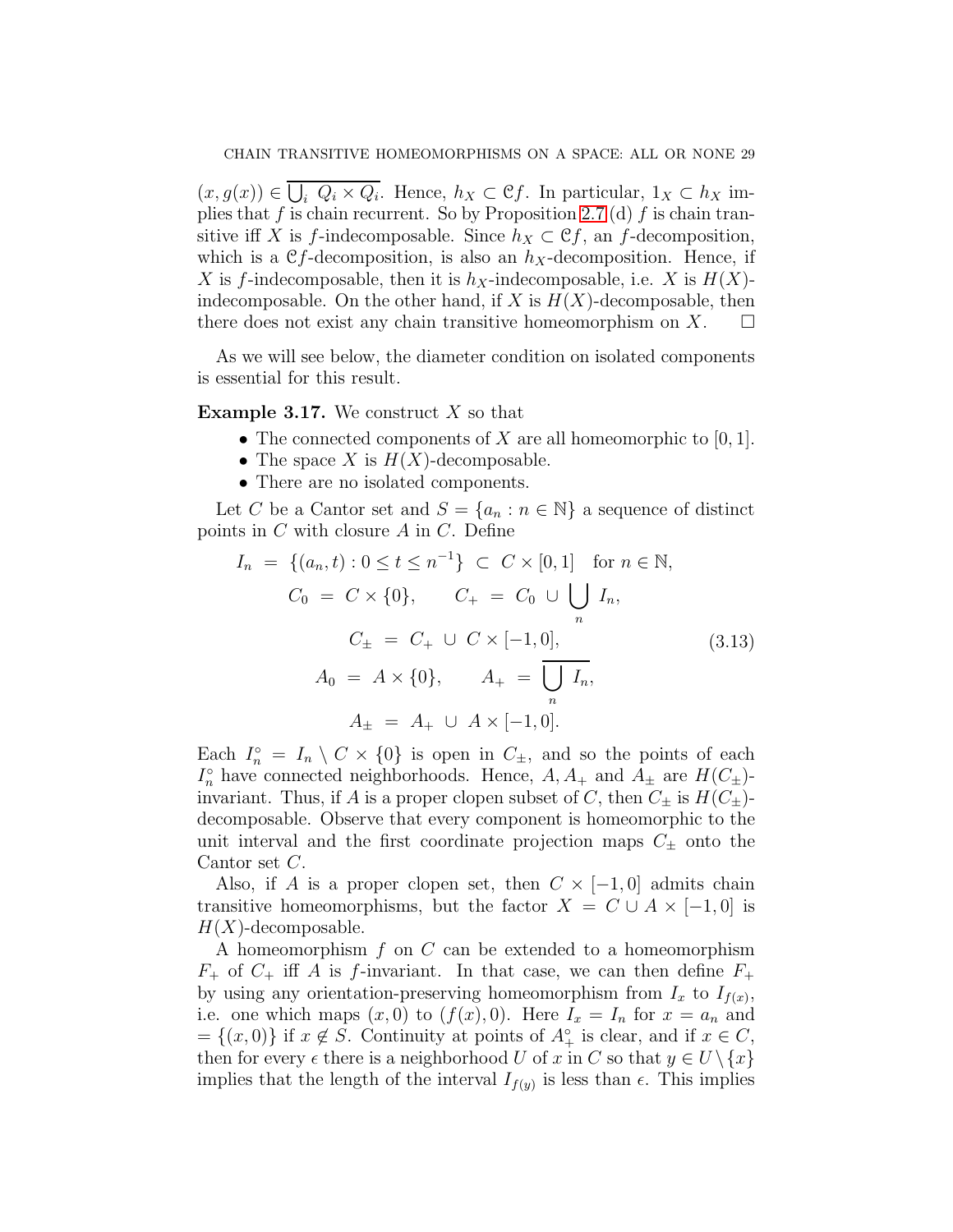$(x, g(x)) \in \overline{\bigcup_i Q_i \times Q_i}$ . Hence,  $h_X \subset \mathcal{C}f$ . In particular,  $1_X \subset h_X$  im-plies that f is chain recurrent. So by Proposition [2.7](#page-13-1) (d) f is chain transitive iff X is f-indecomposable. Since  $h_X \subset \mathcal{C}f$ , an f-decomposition, which is a Cf-decomposition, is also an  $h<sub>X</sub>$ -decomposition. Hence, if X is f-indecomposable, then it is  $h_X$ -indecomposable, i.e. X is  $H(X)$ indecomposable. On the other hand, if X is  $H(X)$ -decomposable, then there does not exist any chain transitive homeomorphism on  $X$ .  $\Box$ 

As we will see below, the diameter condition on isolated components is essential for this result.

**Example 3.17.** We construct  $X$  so that

- The connected components of X are all homeomorphic to  $[0, 1]$ .
- The space X is  $H(X)$ -decomposable.
- There are no isolated components.

Let C be a Cantor set and  $S = \{a_n : n \in \mathbb{N}\}\$ a sequence of distinct points in  $C$  with closure  $A$  in  $C$ . Define

$$
I_n = \{(a_n, t) : 0 \le t \le n^{-1}\} \subset C \times [0, 1] \text{ for } n \in \mathbb{N},
$$
  
\n
$$
C_0 = C \times \{0\}, \qquad C_+ = C_0 \cup \bigcup_n I_n,
$$
  
\n
$$
C_{\pm} = C_+ \cup C \times [-1, 0],
$$
  
\n
$$
A_0 = A \times \{0\}, \qquad A_+ = \overline{\bigcup_n I_n},
$$
  
\n
$$
A_{\pm} = A_+ \cup A \times [-1, 0].
$$
\n(3.13)

Each  $I_n^{\circ} = I_n \setminus C \times \{0\}$  is open in  $C_{\pm}$ , and so the points of each  $I_n^{\circ}$  have connected neighborhoods. Hence,  $A, A_+$  and  $A_{\pm}$  are  $H(C_{\pm})$ invariant. Thus, if A is a proper clopen subset of C, then  $C_{\pm}$  is  $H(C_{\pm})$ decomposable. Observe that every component is homeomorphic to the unit interval and the first coordinate projection maps  $C_{\pm}$  onto the Cantor set C.

Also, if A is a proper clopen set, then  $C \times [-1,0]$  admits chain transitive homeomorphisms, but the factor  $X = C \cup A \times [-1,0]$  is  $H(X)$ -decomposable.

A homeomorphism  $f$  on  $C$  can be extended to a homeomorphism  $F_{+}$  of  $C_{+}$  iff A is f-invariant. In that case, we can then define  $F_{+}$ by using any orientation-preserving homeomorphism from  $I_x$  to  $I_{f(x)}$ , i.e. one which maps  $(x, 0)$  to  $(f(x), 0)$ . Here  $I_x = I_n$  for  $x = a_n$  and  $=\{(x, 0)\}\$ if  $x \notin S$ . Continuity at points of  $A^{\circ}_{+}$  is clear, and if  $x \in C$ , then for every  $\epsilon$  there is a neighborhood U of x in C so that  $y \in U \setminus \{x\}$ implies that the length of the interval  $I_{f(y)}$  is less than  $\epsilon$ . This implies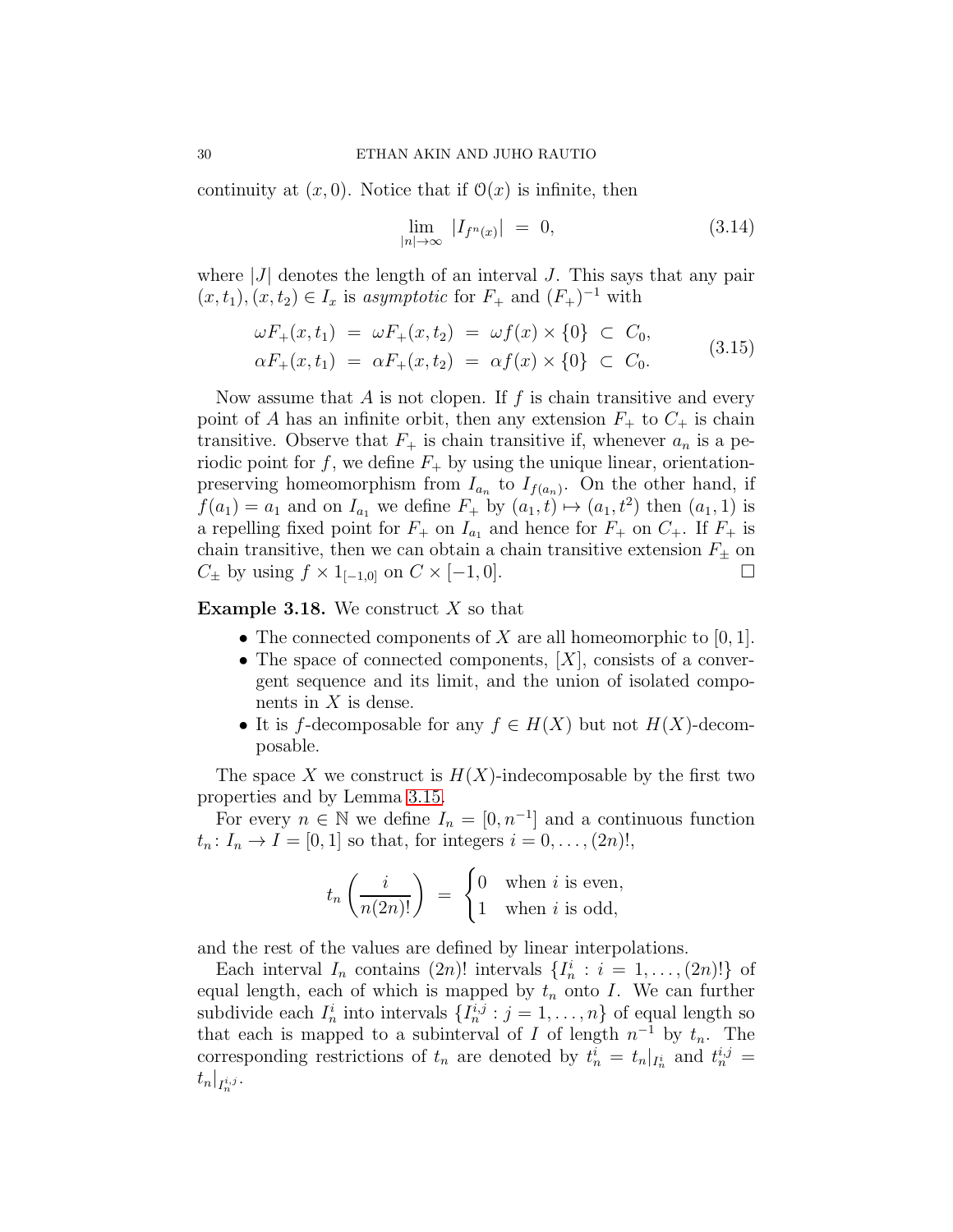continuity at  $(x, 0)$ . Notice that if  $\mathcal{O}(x)$  is infinite, then

$$
\lim_{|n| \to \infty} |I_{f^n(x)}| = 0,
$$
\n(3.14)

where  $|J|$  denotes the length of an interval J. This says that any pair  $(x, t_1), (x, t_2) \in I_x$  is asymptotic for  $F_+$  and  $(F_+)^{-1}$  with

$$
\omega F_{+}(x, t_{1}) = \omega F_{+}(x, t_{2}) = \omega f(x) \times \{0\} \subset C_{0},
$$
  
\n
$$
\alpha F_{+}(x, t_{1}) = \alpha F_{+}(x, t_{2}) = \alpha f(x) \times \{0\} \subset C_{0}.
$$
\n(3.15)

Now assume that  $A$  is not clopen. If  $f$  is chain transitive and every point of A has an infinite orbit, then any extension  $F_+$  to  $C_+$  is chain transitive. Observe that  $F_+$  is chain transitive if, whenever  $a_n$  is a periodic point for f, we define  $F_+$  by using the unique linear, orientationpreserving homeomorphism from  $I_{a_n}$  to  $I_{f(a_n)}$ . On the other hand, if  $f(a_1) = a_1$  and on  $I_{a_1}$  we define  $F_+$  by  $(a_1, t) \mapsto (a_1, t^2)$  then  $(a_1, 1)$  is a repelling fixed point for  $F_+$  on  $I_{a_1}$  and hence for  $F_+$  on  $C_+$ . If  $F_+$  is chain transitive, then we can obtain a chain transitive extension  $F_{\pm}$  on  $C_{\pm}$  by using  $f \times 1_{[-1,0]}$  on  $C \times [-1,0].$ 

**Example 3.18.** We construct  $X$  so that

- The connected components of X are all homeomorphic to  $[0, 1]$ .
- The space of connected components,  $[X]$ , consists of a convergent sequence and its limit, and the union of isolated components in  $X$  is dense.
- It is f-decomposable for any  $f \in H(X)$  but not  $H(X)$ -decomposable.

The space X we construct is  $H(X)$ -indecomposable by the first two properties and by Lemma [3.15.](#page-26-0)

For every  $n \in \mathbb{N}$  we define  $I_n = [0, n^{-1}]$  and a continuous function  $t_n: I_n \to I = [0,1]$  so that, for integers  $i = 0, \ldots, (2n)!$ ,

$$
t_n\left(\frac{i}{n(2n)!}\right) = \begin{cases} 0 & \text{when } i \text{ is even,} \\ 1 & \text{when } i \text{ is odd,} \end{cases}
$$

and the rest of the values are defined by linear interpolations.

Each interval  $I_n$  contains  $(2n)!$  intervals  $\{I_n^i : i = 1, \ldots, (2n)!\}$  of equal length, each of which is mapped by  $t_n$  onto I. We can further subdivide each  $I_n^i$  into intervals  $\{I_n^{i,j}: j = 1, \ldots, n\}$  of equal length so that each is mapped to a subinterval of I of length  $n^{-1}$  by  $t_n$ . The corresponding restrictions of  $t_n$  are denoted by  $t_n^i = t_n |_{I_n^i}$  and  $t_n^{i,j} =$  $t_n|_{I_n^{i,j}}.$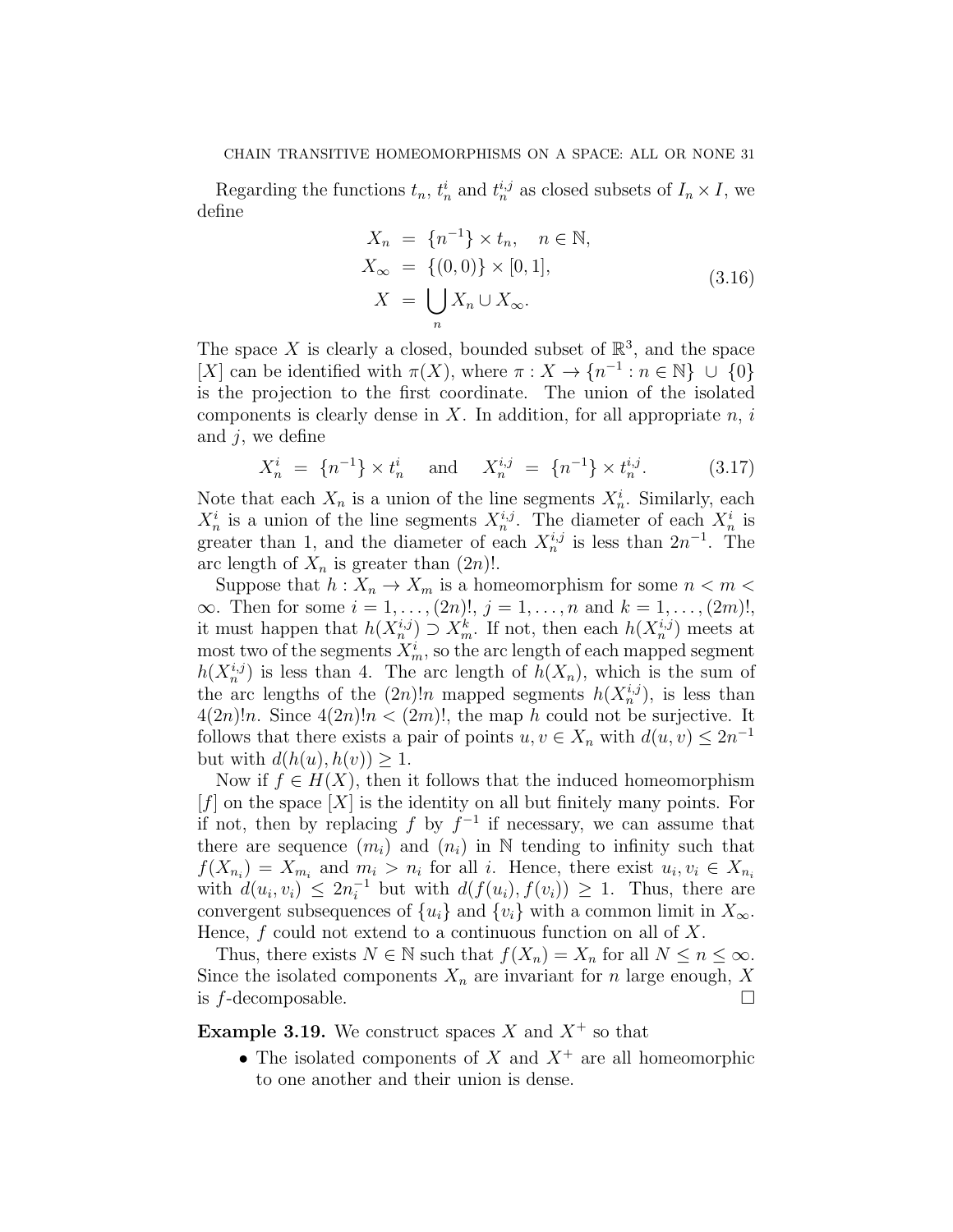Regarding the functions  $t_n$ ,  $t_n^i$  and  $t_n^{i,j}$  as closed subsets of  $I_n \times I$ , we define

$$
X_n = \{n^{-1}\} \times t_n, \quad n \in \mathbb{N},
$$
  
\n
$$
X_{\infty} = \{(0,0)\} \times [0,1],
$$
  
\n
$$
X = \bigcup_n X_n \cup X_{\infty}.
$$
  
\n(3.16)

The space X is clearly a closed, bounded subset of  $\mathbb{R}^3$ , and the space [X] can be identified with  $\pi(X)$ , where  $\pi: X \to \{n^{-1} : n \in \mathbb{N}\} \cup \{0\}$ is the projection to the first coordinate. The union of the isolated components is clearly dense in X. In addition, for all appropriate  $n, i$ and  $j$ , we define

$$
X_n^i = \{n^{-1}\} \times t_n^i \quad \text{and} \quad X_n^{i,j} = \{n^{-1}\} \times t_n^{i,j}.
$$
 (3.17)

Note that each  $X_n$  is a union of the line segments  $X_n^i$ . Similarly, each  $X_n^i$  is a union of the line segments  $X_n^{i,j}$ . The diameter of each  $X_n^i$  is greater than 1, and the diameter of each  $X_n^{i,j}$  is less than  $2n^{-1}$ . The arc length of  $X_n$  is greater than  $(2n)!$ .

Suppose that  $h: X_n \to X_m$  is a homeomorphism for some  $n < m <$  $\infty$ . Then for some  $i = 1, ..., (2n)!$ ,  $j = 1, ..., n$  and  $k = 1, ..., (2m)!$ , it must happen that  $h(X_n^{i,j}) \supset X_m^k$ . If not, then each  $h(X_n^{i,j})$  meets at most two of the segments  $X_m^i$ , so the arc length of each mapped segment  $h(X_n^{i,j})$  is less than 4. The arc length of  $h(X_n)$ , which is the sum of the arc lengths of the  $(2n)!n$  mapped segments  $h(X_n^{i,j})$ , is less than  $4(2n)!n$ . Since  $4(2n)!n < (2m)!$ , the map h could not be surjective. It follows that there exists a pair of points  $u, v \in X_n$  with  $d(u, v) \leq 2n^{-1}$ but with  $d(h(u), h(v)) \geq 1$ .

Now if  $f \in H(X)$ , then it follows that the induced homeomorphism  $[f]$  on the space  $[X]$  is the identity on all but finitely many points. For if not, then by replacing f by  $f^{-1}$  if necessary, we can assume that there are sequence  $(m_i)$  and  $(n_i)$  in N tending to infinity such that  $f(X_{n_i}) = X_{m_i}$  and  $m_i > n_i$  for all i. Hence, there exist  $u_i, v_i \in X_{n_i}$ with  $d(u_i, v_i) \leq 2n_i^{-1}$  but with  $d(f(u_i), f(v_i)) \geq 1$ . Thus, there are convergent subsequences of  $\{u_i\}$  and  $\{v_i\}$  with a common limit in  $X_{\infty}$ . Hence,  $f$  could not extend to a continuous function on all of  $X$ .

Thus, there exists  $N \in \mathbb{N}$  such that  $f(X_n) = X_n$  for all  $N \leq n \leq \infty$ . Since the isolated components  $X_n$  are invariant for n large enough, X is  $f$ -decomposable.

**Example 3.19.** We construct spaces X and  $X^+$  so that

• The isolated components of  $X$  and  $X^+$  are all homeomorphic to one another and their union is dense.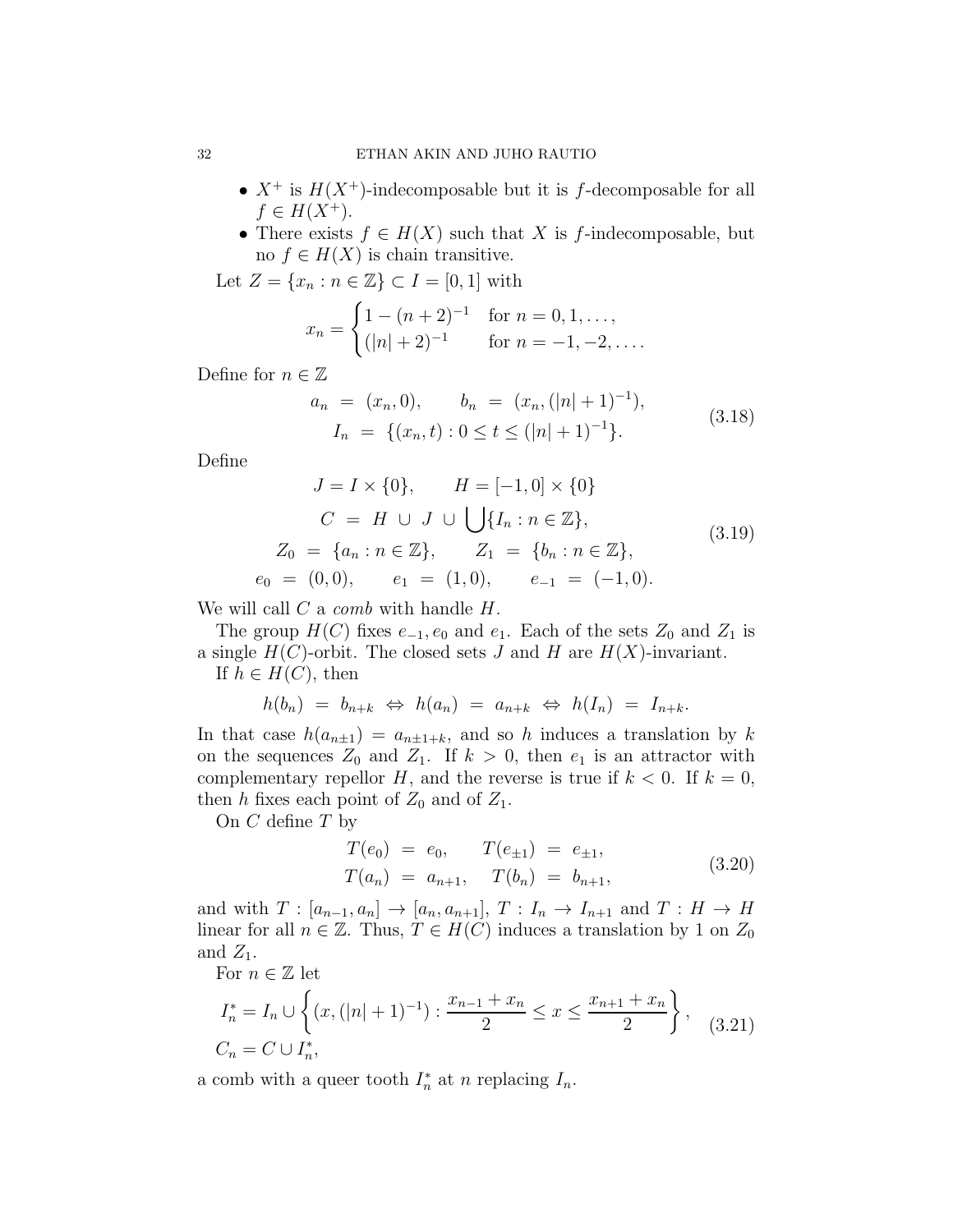- $X^+$  is  $H(X^+)$ -indecomposable but it is f-decomposable for all  $f \in H(X^+).$
- There exists  $f \in H(X)$  such that X is f-indecomposable, but no  $f \in H(X)$  is chain transitive.

Let  $Z = \{x_n : n \in \mathbb{Z}\}\subset I = [0,1]$  with

$$
x_n = \begin{cases} 1 - (n+2)^{-1} & \text{for } n = 0, 1, ..., \\ (|n|+2)^{-1} & \text{for } n = -1, -2, .... \end{cases}
$$

Define for  $n \in \mathbb{Z}$ 

$$
a_n = (x_n, 0), \qquad b_n = (x_n, (|n|+1)^{-1}),
$$
  
\n
$$
I_n = \{(x_n, t) : 0 \le t \le (|n|+1)^{-1}\}.
$$
\n(3.18)

Define

$$
J = I \times \{0\}, \qquad H = [-1, 0] \times \{0\}
$$
  
\n
$$
C = H \cup J \cup \bigcup \{I_n : n \in \mathbb{Z}\},
$$
  
\n
$$
Z_0 = \{a_n : n \in \mathbb{Z}\}, \qquad Z_1 = \{b_n : n \in \mathbb{Z}\},
$$
  
\n
$$
e_0 = (0, 0), \qquad e_1 = (1, 0), \qquad e_{-1} = (-1, 0).
$$
\n(3.19)

We will call  $C$  a *comb* with handle  $H$ .

The group  $H(C)$  fixes  $e_{-1}, e_0$  and  $e_1$ . Each of the sets  $Z_0$  and  $Z_1$  is a single  $H(C)$ -orbit. The closed sets J and H are  $H(X)$ -invariant. If  $h \in H(C)$ , then

$$
h(b_n) = b_{n+k} \Leftrightarrow h(a_n) = a_{n+k} \Leftrightarrow h(I_n) = I_{n+k}.
$$

In that case  $h(a_{n\pm 1}) = a_{n\pm 1+k}$ , and so h induces a translation by k on the sequences  $Z_0$  and  $Z_1$ . If  $k > 0$ , then  $e_1$  is an attractor with complementary repellor H, and the reverse is true if  $k < 0$ . If  $k = 0$ , then h fixes each point of  $Z_0$  and of  $Z_1$ .

On  $C$  define  $T$  by

$$
T(e_0) = e_0, \t T(e_{\pm 1}) = e_{\pm 1}, T(a_n) = a_{n+1}, \t T(b_n) = b_{n+1},
$$
\t(3.20)

and with  $T : [a_{n-1}, a_n] \rightarrow [a_n, a_{n+1}], T : I_n \rightarrow I_{n+1}$  and  $T : H \rightarrow H$ linear for all  $n \in \mathbb{Z}$ . Thus,  $T \in H(C)$  induces a translation by 1 on  $Z_0$ and  $Z_1$ .

For 
$$
n \in \mathbb{Z}
$$
 let  
\n
$$
I_n^* = I_n \cup \left\{ (x, (|n|+1)^{-1}) : \frac{x_{n-1} + x_n}{2} \le x \le \frac{x_{n+1} + x_n}{2} \right\}, \quad (3.21)
$$
\n
$$
C_n = C \cup I_n^*,
$$

a comb with a queer tooth  $I_n^*$  at n replacing  $I_n$ .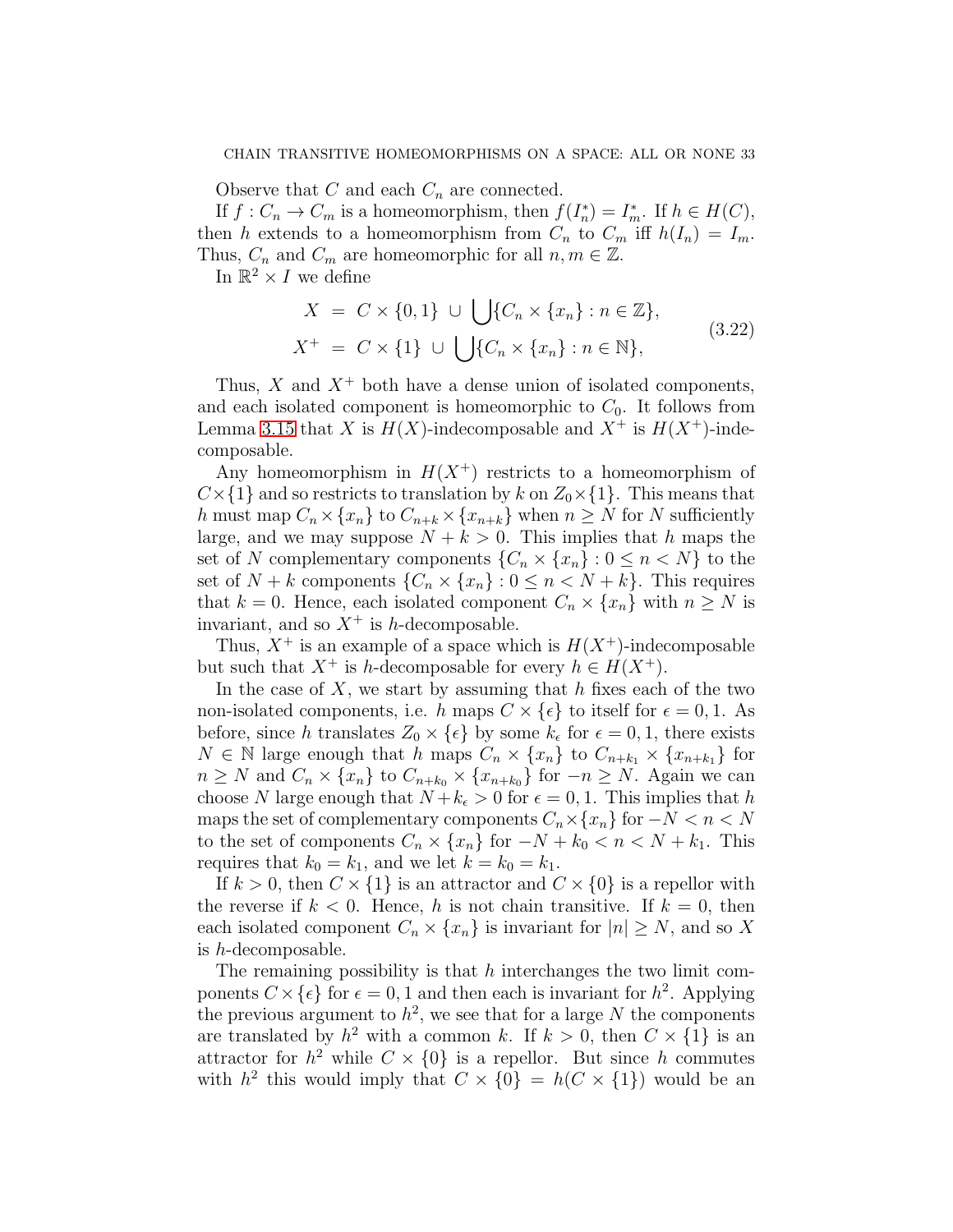Observe that C and each  $C_n$  are connected.

If  $f: C_n \to C_m$  is a homeomorphism, then  $f(I_n^*) = I_m^*$ . If  $h \in H(C)$ , then h extends to a homeomorphism from  $C_n$  to  $C_m$  iff  $h(I_n) = I_m$ . Thus,  $C_n$  and  $C_m$  are homeomorphic for all  $n, m \in \mathbb{Z}$ .

In  $\mathbb{R}^2 \times I$  we define

$$
X = C \times \{0, 1\} \cup \bigcup \{C_n \times \{x_n\} : n \in \mathbb{Z}\},
$$
  
\n
$$
X^+ = C \times \{1\} \cup \bigcup \{C_n \times \{x_n\} : n \in \mathbb{N}\},
$$
\n(3.22)

Thus,  $X$  and  $X^+$  both have a dense union of isolated components, and each isolated component is homeomorphic to  $C_0$ . It follows from Lemma [3.15](#page-26-0) that X is  $H(X)$ -indecomposable and  $X^+$  is  $H(X^+)$ -indecomposable.

Any homeomorphism in  $H(X^+)$  restricts to a homeomorphism of  $C\times\{1\}$  and so restricts to translation by k on  $Z_0\times\{1\}$ . This means that h must map  $C_n \times \{x_n\}$  to  $C_{n+k} \times \{x_{n+k}\}\$  when  $n \geq N$  for N sufficiently large, and we may suppose  $N + k > 0$ . This implies that h maps the set of N complementary components  $\{C_n \times \{x_n\} : 0 \leq n \leq N\}$  to the set of  $N + k$  components  $\{C_n \times \{x_n\} : 0 \le n \le N + k\}$ . This requires that  $k = 0$ . Hence, each isolated component  $C_n \times \{x_n\}$  with  $n \geq N$  is invariant, and so  $X^+$  is h-decomposable.

Thus,  $X^+$  is an example of a space which is  $H(X^+)$ -indecomposable but such that  $X^+$  is h-decomposable for every  $h \in H(X^+)$ .

In the case of  $X$ , we start by assuming that h fixes each of the two non-isolated components, i.e. h maps  $C \times \{\epsilon\}$  to itself for  $\epsilon = 0, 1$ . As before, since h translates  $Z_0 \times \{\epsilon\}$  by some  $k_{\epsilon}$  for  $\epsilon = 0, 1$ , there exists  $N \in \mathbb{N}$  large enough that h maps  $C_n \times \{x_n\}$  to  $C_{n+k_1} \times \{x_{n+k_1}\}$  for  $n \geq N$  and  $C_n \times \{x_n\}$  to  $C_{n+k_0} \times \{x_{n+k_0}\}$  for  $-n \geq N$ . Again we can choose N large enough that  $N + k_{\epsilon} > 0$  for  $\epsilon = 0, 1$ . This implies that h maps the set of complementary components  $C_n \times \{x_n\}$  for  $-N < n < N$ to the set of components  $C_n \times \{x_n\}$  for  $-N + k_0 < n < N + k_1$ . This requires that  $k_0 = k_1$ , and we let  $k = k_0 = k_1$ .

If  $k > 0$ , then  $C \times \{1\}$  is an attractor and  $C \times \{0\}$  is a repellor with the reverse if  $k < 0$ . Hence, h is not chain transitive. If  $k = 0$ , then each isolated component  $C_n \times \{x_n\}$  is invariant for  $|n| \geq N$ , and so X is h-decomposable.

The remaining possibility is that  $h$  interchanges the two limit components  $C \times \{\epsilon\}$  for  $\epsilon = 0, 1$  and then each is invariant for  $h^2$ . Applying the previous argument to  $h^2$ , we see that for a large N the components are translated by  $h^2$  with a common k. If  $k > 0$ , then  $C \times \{1\}$  is an attractor for  $h^2$  while  $C \times \{0\}$  is a repellor. But since h commutes with  $h^2$  this would imply that  $C \times \{0\} = h(C \times \{1\})$  would be an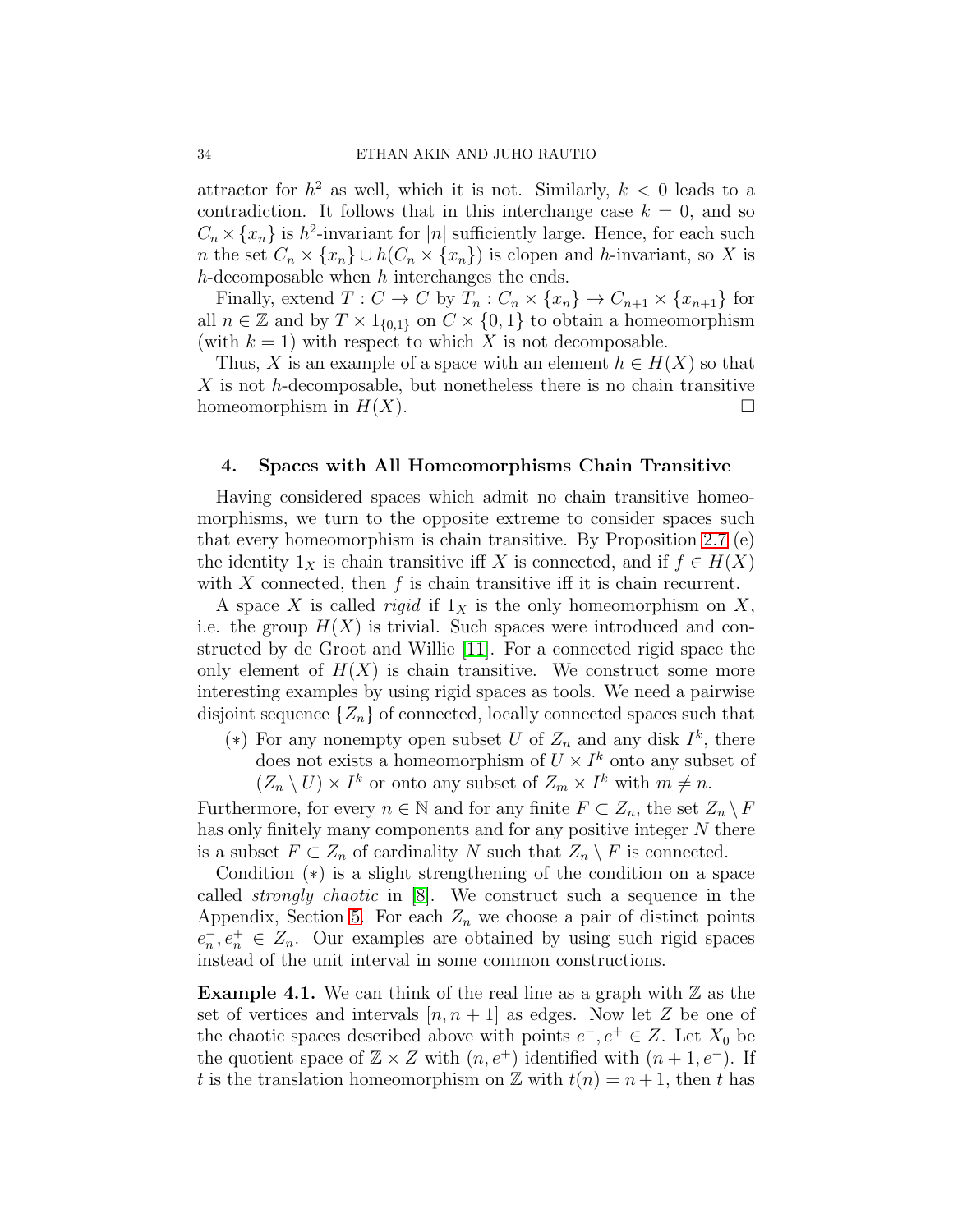attractor for  $h^2$  as well, which it is not. Similarly,  $k < 0$  leads to a contradiction. It follows that in this interchange case  $k = 0$ , and so  $C_n \times \{x_n\}$  is  $h^2$ -invariant for |n| sufficiently large. Hence, for each such n the set  $C_n \times \{x_n\} \cup h(C_n \times \{x_n\})$  is clopen and h-invariant, so X is  $h$ -decomposable when  $h$  interchanges the ends.

Finally, extend  $T: C \to C$  by  $T_n: C_n \times \{x_n\} \to C_{n+1} \times \{x_{n+1}\}\)$  for all  $n \in \mathbb{Z}$  and by  $T \times 1_{\{0,1\}}$  on  $C \times \{0,1\}$  to obtain a homeomorphism (with  $k = 1$ ) with respect to which X is not decomposable.

Thus, X is an example of a space with an element  $h \in H(X)$  so that  $X$  is not h-decomposable, but nonetheless there is no chain transitive homeomorphism in  $H(X)$ .

### <span id="page-33-0"></span>4. Spaces with All Homeomorphisms Chain Transitive

Having considered spaces which admit no chain transitive homeomorphisms, we turn to the opposite extreme to consider spaces such that every homeomorphism is chain transitive. By Proposition [2.7](#page-13-1) (e) the identity  $1_X$  is chain transitive iff X is connected, and if  $f \in H(X)$ with X connected, then  $f$  is chain transitive iff it is chain recurrent.

A space X is called *rigid* if  $1_X$  is the only homeomorphism on X, i.e. the group  $H(X)$  is trivial. Such spaces were introduced and constructed by de Groot and Willie [\[11\]](#page-48-6). For a connected rigid space the only element of  $H(X)$  is chain transitive. We construct some more interesting examples by using rigid spaces as tools. We need a pairwise disjoint sequence  $\{Z_n\}$  of connected, locally connected spaces such that

(\*) For any nonempty open subset U of  $Z_n$  and any disk  $I^k$ , there does not exists a homeomorphism of  $U \times I^k$  onto any subset of  $(Z_n \setminus U) \times I^k$  or onto any subset of  $Z_m \times I^k$  with  $m \neq n$ .

Furthermore, for every  $n \in \mathbb{N}$  and for any finite  $F \subset Z_n$ , the set  $Z_n \setminus F$ has only finitely many components and for any positive integer N there is a subset  $F \subset Z_n$  of cardinality N such that  $Z_n \setminus F$  is connected.

Condition (∗) is a slight strengthening of the condition on a space called strongly chaotic in [\[8\]](#page-48-14). We construct such a sequence in the Appendix, Section [5.](#page-45-0) For each  $Z_n$  we choose a pair of distinct points  $e_n, e_n^+ \in Z_n$ . Our examples are obtained by using such rigid spaces instead of the unit interval in some common constructions.

**Example 4.1.** We can think of the real line as a graph with  $\mathbb{Z}$  as the set of vertices and intervals  $[n, n+1]$  as edges. Now let Z be one of the chaotic spaces described above with points  $e^-, e^+ \in Z$ . Let  $X_0$  be the quotient space of  $\mathbb{Z} \times \mathbb{Z}$  with  $(n, e^+)$  identified with  $(n + 1, e^-)$ . If t is the translation homeomorphism on Z with  $t(n) = n + 1$ , then t has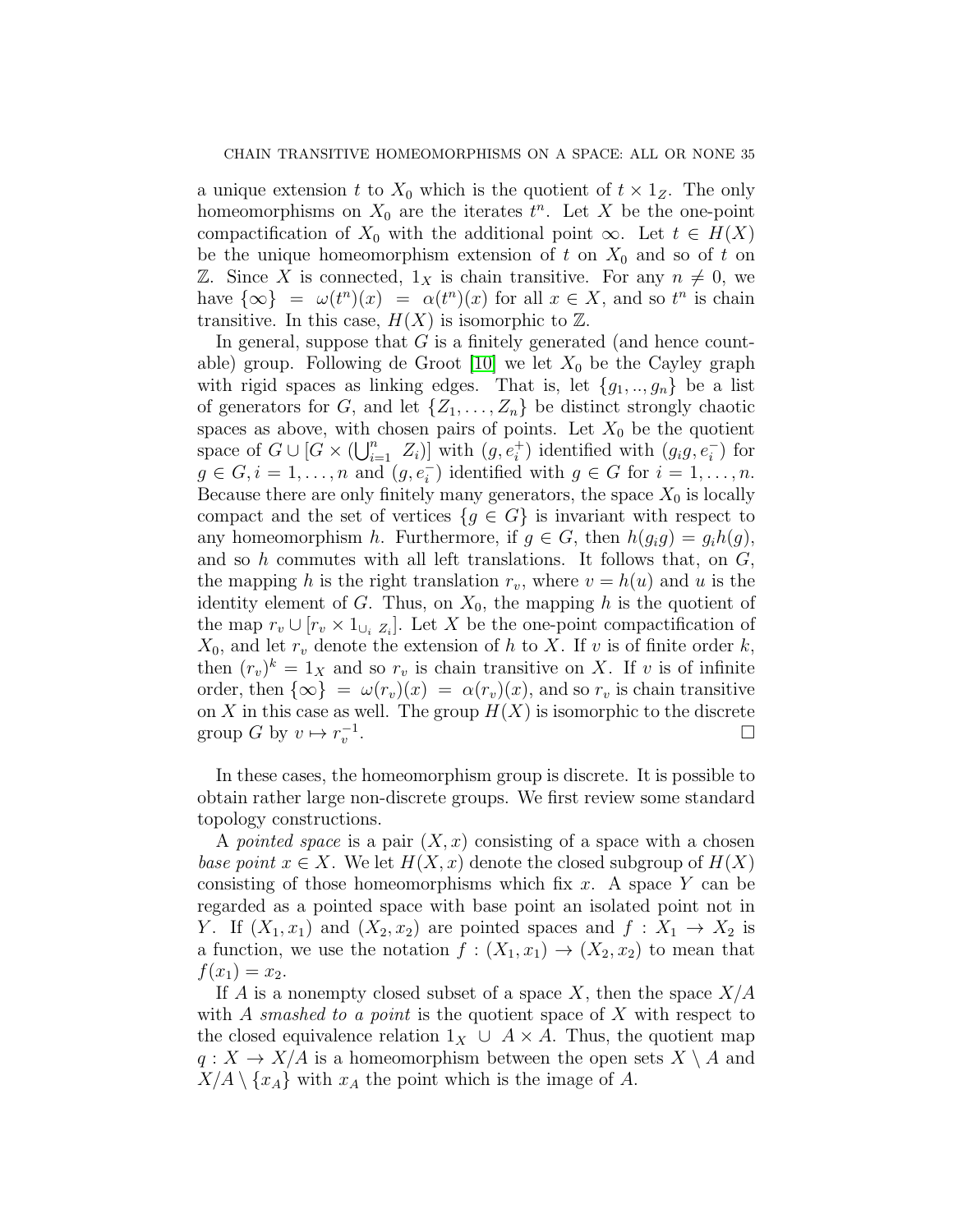a unique extension t to  $X_0$  which is the quotient of  $t \times 1_Z$ . The only homeomorphisms on  $X_0$  are the iterates  $t^n$ . Let X be the one-point compactification of  $X_0$  with the additional point  $\infty$ . Let  $t \in H(X)$ be the unique homeomorphism extension of t on  $X_0$  and so of t on Z. Since X is connected,  $1_X$  is chain transitive. For any  $n \neq 0$ , we have  $\{\infty\} = \omega(t^n)(x) = \alpha(t^n)(x)$  for all  $x \in X$ , and so  $t^n$  is chain transitive. In this case,  $H(X)$  is isomorphic to  $\mathbb{Z}$ .

In general, suppose that  $G$  is a finitely generated (and hence countable) group. Following de Groot  $[10]$  we let  $X_0$  be the Cayley graph with rigid spaces as linking edges. That is, let  ${g_1, ..., g_n}$  be a list of generators for G, and let  $\{Z_1, \ldots, Z_n\}$  be distinct strongly chaotic spaces as above, with chosen pairs of points. Let  $X_0$  be the quotient space of  $G \cup [G \times (\bigcup_{i=1}^{n} Z_i)]$  with  $(g, e_i^+)$  identified with  $(g_i g, e_i^-)$  for  $g \in G, i = 1, \ldots, n$  and  $(g, e_i^-)$  identified with  $g \in G$  for  $i = 1, \ldots, n$ . Because there are only finitely many generators, the space  $X_0$  is locally compact and the set of vertices  ${g \in G}$  is invariant with respect to any homeomorphism h. Furthermore, if  $g \in G$ , then  $h(g_i g) = g_i h(g)$ , and so h commutes with all left translations. It follows that, on  $G$ , the mapping h is the right translation  $r_v$ , where  $v = h(u)$  and u is the identity element of G. Thus, on  $X_0$ , the mapping h is the quotient of the map  $r_v \cup [r_v \times 1_{\cup_i Z_i}]$ . Let X be the one-point compactification of  $X_0$ , and let  $r_v$  denote the extension of h to X. If v is of finite order k, then  $(r_v)^k = 1_X$  and so  $r_v$  is chain transitive on X. If v is of infinite order, then  $\{\infty\} = \omega(r_v)(x) = \alpha(r_v)(x)$ , and so  $r_v$  is chain transitive on X in this case as well. The group  $H(X)$  is isomorphic to the discrete group G by  $v \mapsto r_v^{-1}$ . В последните при последните последните при последните последните последните последните последните последните<br>В последните последните последните последните последните последните последните последните последните последнит

In these cases, the homeomorphism group is discrete. It is possible to obtain rather large non-discrete groups. We first review some standard topology constructions.

A pointed space is a pair  $(X, x)$  consisting of a space with a chosen base point  $x \in X$ . We let  $H(X, x)$  denote the closed subgroup of  $H(X)$ consisting of those homeomorphisms which fix x. A space Y can be regarded as a pointed space with base point an isolated point not in Y. If  $(X_1, x_1)$  and  $(X_2, x_2)$  are pointed spaces and  $f : X_1 \to X_2$  is a function, we use the notation  $f : (X_1, x_1) \to (X_2, x_2)$  to mean that  $f(x_1) = x_2.$ 

If A is a nonempty closed subset of a space  $X$ , then the space  $X/A$ with A smashed to a point is the quotient space of X with respect to the closed equivalence relation  $1_X \cup A \times A$ . Thus, the quotient map  $q: X \to X/A$  is a homeomorphism between the open sets  $X \setminus A$  and  $X/A \setminus \{x_A\}$  with  $x_A$  the point which is the image of A.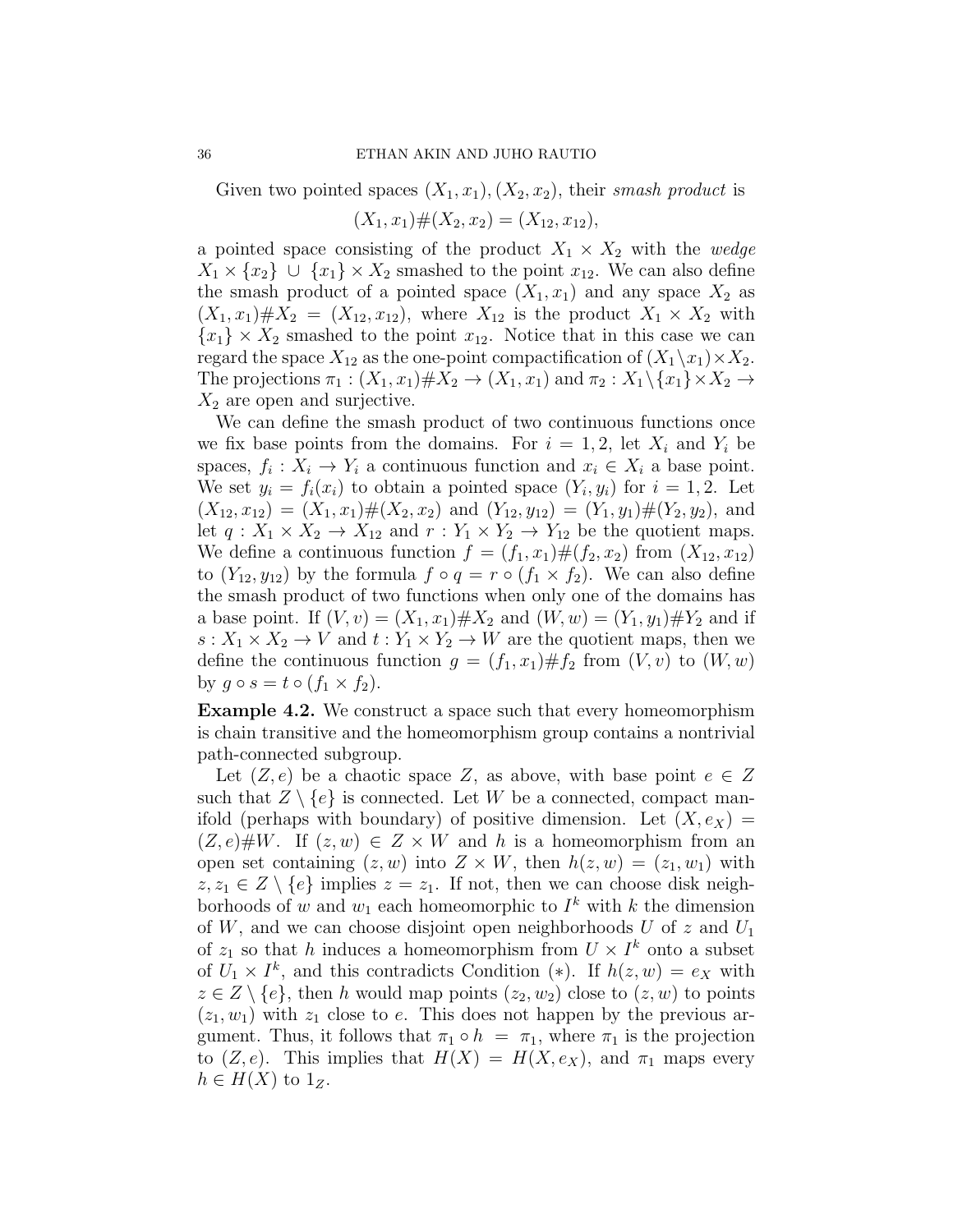Given two pointed spaces  $(X_1, x_1), (X_2, x_2)$ , their smash product is

$$
(X_1, x_1) \# (X_2, x_2) = (X_{12}, x_{12}),
$$

a pointed space consisting of the product  $X_1 \times X_2$  with the wedge  $X_1 \times \{x_2\} \cup \{x_1\} \times X_2$  smashed to the point  $x_{12}$ . We can also define the smash product of a pointed space  $(X_1, x_1)$  and any space  $X_2$  as  $(X_1, x_1) \# X_2 = (X_{12}, x_{12})$ , where  $X_{12}$  is the product  $X_1 \times X_2$  with  ${x_1} \times X_2$  smashed to the point  $x_{12}$ . Notice that in this case we can regard the space  $X_{12}$  as the one-point compactification of  $(X_1 \backslash x_1) \times X_2$ . The projections  $\pi_1 : (X_1, x_1) \# X_2 \to (X_1, x_1)$  and  $\pi_2 : X_1 \backslash \{x_1\} \times X_2 \to$  $X_2$  are open and surjective.

We can define the smash product of two continuous functions once we fix base points from the domains. For  $i = 1, 2$ , let  $X_i$  and  $Y_i$  be spaces,  $f_i: X_i \to Y_i$  a continuous function and  $x_i \in X_i$  a base point. We set  $y_i = f_i(x_i)$  to obtain a pointed space  $(Y_i, y_i)$  for  $i = 1, 2$ . Let  $(X_{12}, x_{12}) = (X_1, x_1) \# (X_2, x_2)$  and  $(Y_{12}, y_{12}) = (Y_1, y_1) \# (Y_2, y_2)$ , and let  $q: X_1 \times X_2 \to X_{12}$  and  $r: Y_1 \times Y_2 \to Y_{12}$  be the quotient maps. We define a continuous function  $f = (f_1, x_1) \# (f_2, x_2)$  from  $(X_{12}, x_{12})$ to  $(Y_{12}, y_{12})$  by the formula  $f \circ q = r \circ (f_1 \times f_2)$ . We can also define the smash product of two functions when only one of the domains has a base point. If  $(V, v) = (X_1, x_1) \# X_2$  and  $(W, w) = (Y_1, y_1) \# Y_2$  and if  $s: X_1 \times X_2 \to V$  and  $t: Y_1 \times Y_2 \to W$  are the quotient maps, then we define the continuous function  $g = (f_1, x_1) \# f_2$  from  $(V, v)$  to  $(W, w)$ by  $g \circ s = t \circ (f_1 \times f_2)$ .

<span id="page-35-0"></span>Example 4.2. We construct a space such that every homeomorphism is chain transitive and the homeomorphism group contains a nontrivial path-connected subgroup.

Let  $(Z, e)$  be a chaotic space Z, as above, with base point  $e \in Z$ such that  $Z \setminus \{e\}$  is connected. Let W be a connected, compact manifold (perhaps with boundary) of positive dimension. Let  $(X, e_X) =$  $(Z, e)$ #W. If  $(z, w) \in Z \times W$  and h is a homeomorphism from an open set containing  $(z, w)$  into  $Z \times W$ , then  $h(z, w) = (z_1, w_1)$  with  $z, z_1 \in Z \setminus \{e\}$  implies  $z = z_1$ . If not, then we can choose disk neighborhoods of w and  $w_1$  each homeomorphic to  $I^k$  with k the dimension of  $W$ , and we can choose disjoint open neighborhoods  $U$  of  $z$  and  $U_1$ of  $z_1$  so that h induces a homeomorphism from  $U \times I^k$  onto a subset of  $U_1 \times I^k$ , and this contradicts Condition (\*). If  $h(z, w) = e_X$  with  $z \in Z \setminus \{e\}$ , then h would map points  $(z_2, w_2)$  close to  $(z, w)$  to points  $(z_1, w_1)$  with  $z_1$  close to e. This does not happen by the previous argument. Thus, it follows that  $\pi_1 \circ h = \pi_1$ , where  $\pi_1$  is the projection to  $(Z, e)$ . This implies that  $H(X) = H(X, e_X)$ , and  $\pi_1$  maps every  $h \in H(X)$  to  $1_Z$ .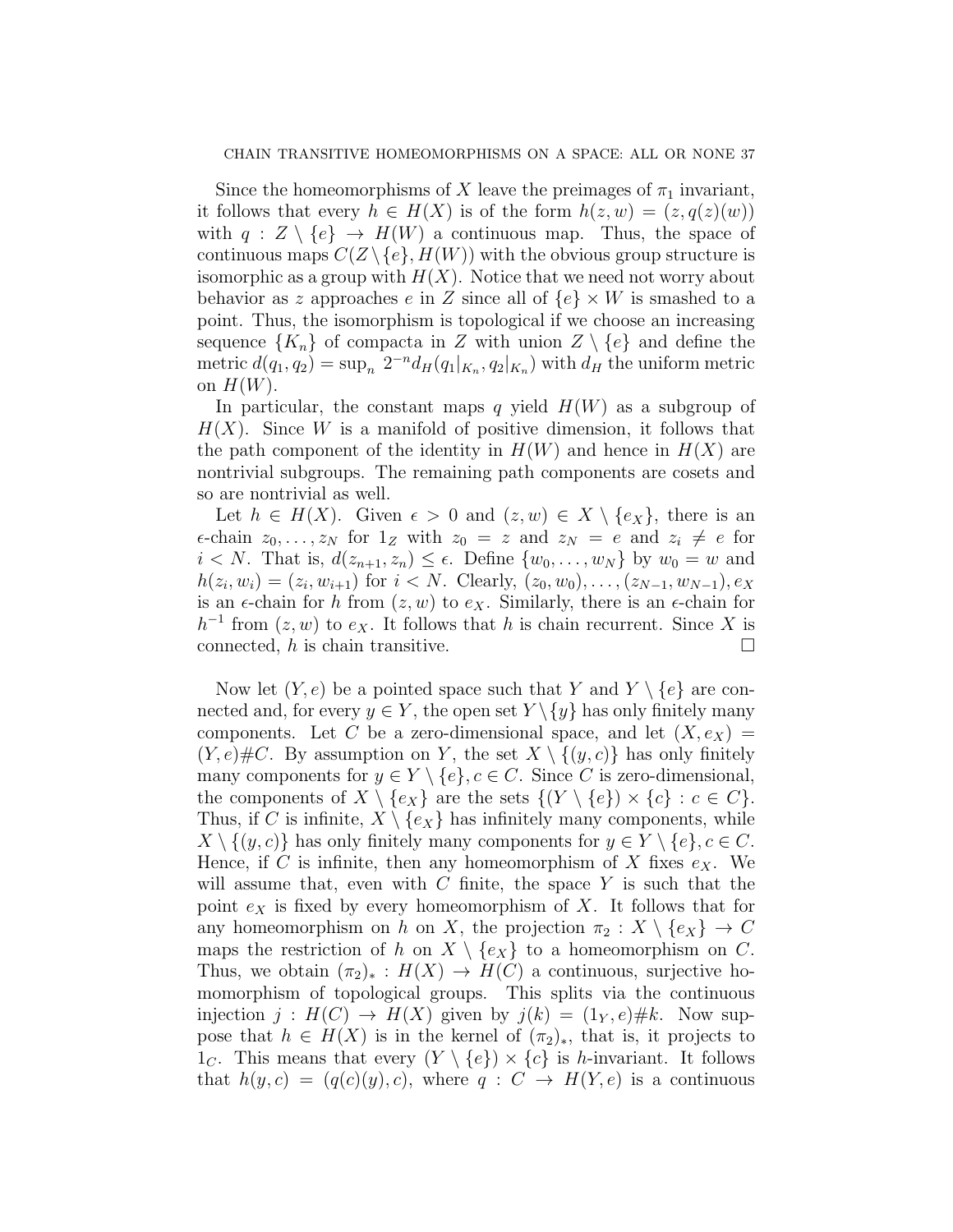Since the homeomorphisms of X leave the preimages of  $\pi_1$  invariant, it follows that every  $h \in H(X)$  is of the form  $h(z, w) = (z, q(z)(w))$ with  $q : Z \setminus \{e\} \to H(W)$  a continuous map. Thus, the space of continuous maps  $C(Z \setminus \{e\}, H(W))$  with the obvious group structure is isomorphic as a group with  $H(X)$ . Notice that we need not worry about behavior as z approaches e in Z since all of  $\{e\} \times W$  is smashed to a point. Thus, the isomorphism is topological if we choose an increasing sequence  ${K_n}$  of compacta in Z with union  $Z \setminus \{e\}$  and define the metric  $d(q_1, q_2) = \sup_n 2^{-n} d_H(q_1|_{K_n}, q_2|_{K_n})$  with  $d_H$  the uniform metric on  $H(W)$ .

In particular, the constant maps q yield  $H(W)$  as a subgroup of  $H(X)$ . Since W is a manifold of positive dimension, it follows that the path component of the identity in  $H(W)$  and hence in  $H(X)$  are nontrivial subgroups. The remaining path components are cosets and so are nontrivial as well.

Let  $h \in H(X)$ . Given  $\epsilon > 0$  and  $(z, w) \in X \setminus \{e_X\}$ , there is an  $\epsilon$ -chain  $z_0, \ldots, z_N$  for  $1_Z$  with  $z_0 = z$  and  $z_N = e$  and  $z_i \neq e$  for  $i < N$ . That is,  $d(z_{n+1}, z_n) \leq \epsilon$ . Define  $\{w_0, \ldots, w_N\}$  by  $w_0 = w$  and  $h(z_i, w_i) = (z_i, w_{i+1})$  for  $i < N$ . Clearly,  $(z_0, w_0), \ldots, (z_{N-1}, w_{N-1}), e_X$ is an  $\epsilon$ -chain for h from  $(z, w)$  to  $e_X$ . Similarly, there is an  $\epsilon$ -chain for  $h^{-1}$  from  $(z, w)$  to  $e_X$ . It follows that h is chain recurrent. Since X is connected,  $h$  is chain transitive.  $\Box$ 

Now let  $(Y, e)$  be a pointed space such that Y and  $Y \setminus \{e\}$  are connected and, for every  $y \in Y$ , the open set  $Y \setminus \{y\}$  has only finitely many components. Let C be a zero-dimensional space, and let  $(X, e_X)$  =  $(Y, e) \# C$ . By assumption on Y, the set  $X \setminus \{(y, c)\}\$  has only finitely many components for  $y \in Y \setminus \{e\}, c \in C$ . Since C is zero-dimensional, the components of  $X \setminus \{e_X\}$  are the sets  $\{(Y \setminus \{e\}) \times \{c\} : c \in C\}.$ Thus, if C is infinite,  $X \setminus \{e_X\}$  has infinitely many components, while  $X \setminus \{(y, c)\}\$ has only finitely many components for  $y \in Y \setminus \{e\}, c \in C$ . Hence, if C is infinite, then any homeomorphism of X fixes  $e_X$ . We will assume that, even with  $C$  finite, the space  $Y$  is such that the point  $e_X$  is fixed by every homeomorphism of X. It follows that for any homeomorphism on h on X, the projection  $\pi_2 : X \setminus \{e_X\} \to C$ maps the restriction of h on  $X \setminus \{e_X\}$  to a homeomorphism on C. Thus, we obtain  $(\pi_2)_*: H(X) \to H(C)$  a continuous, surjective homomorphism of topological groups. This splits via the continuous injection  $j : H(C) \to H(X)$  given by  $j(k) = (1_Y, e) \# k$ . Now suppose that  $h \in H(X)$  is in the kernel of  $(\pi_2)_*$ , that is, it projects to  $1<sub>C</sub>$ . This means that every  $(Y \setminus \{e\}) \times \{c\}$  is *h*-invariant. It follows that  $h(y, c) = (q(c)(y), c)$ , where  $q : C \rightarrow H(Y, e)$  is a continuous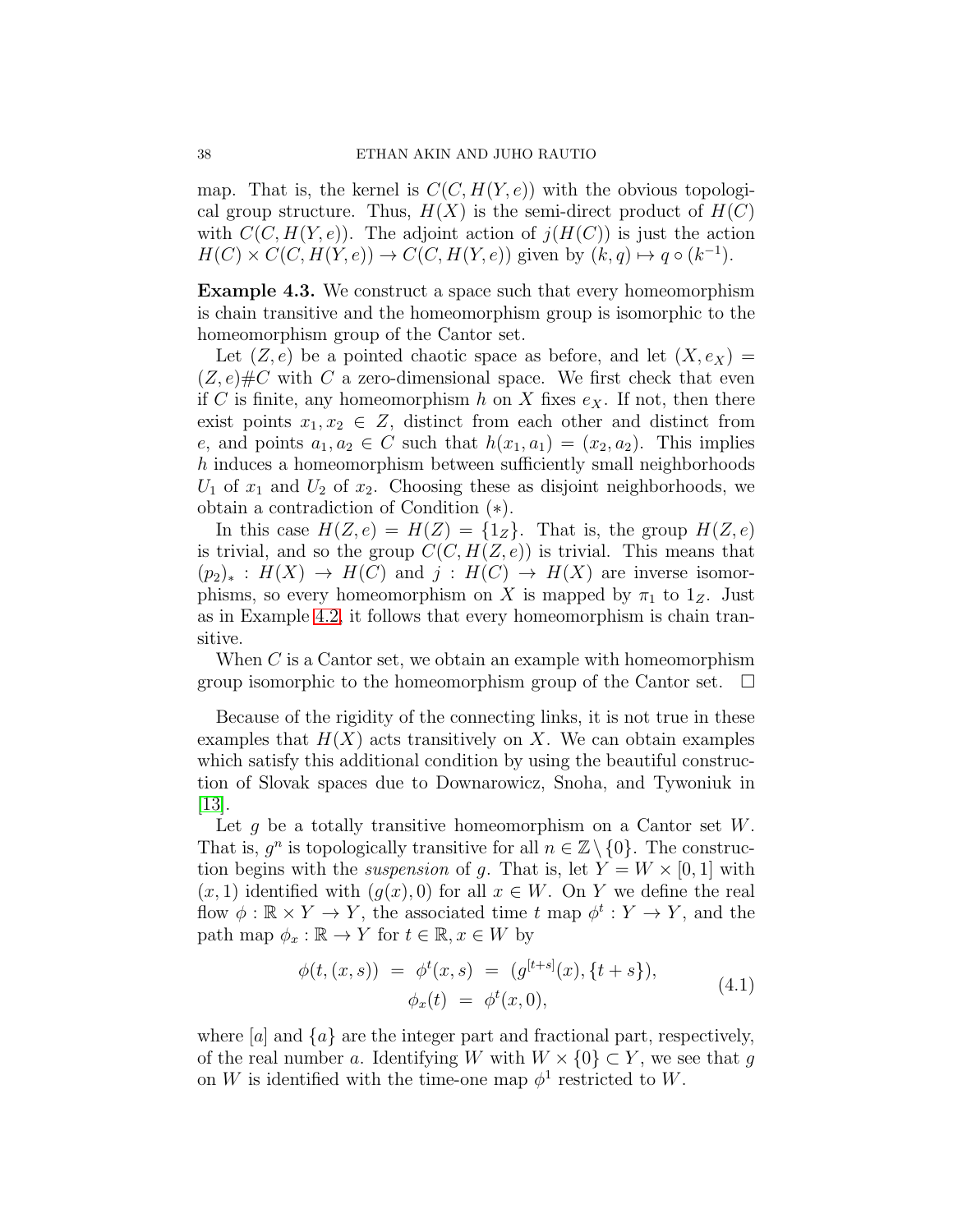map. That is, the kernel is  $C(C, H(Y, e))$  with the obvious topological group structure. Thus,  $H(X)$  is the semi-direct product of  $H(C)$ with  $C(C, H(Y, e))$ . The adjoint action of  $j(H(C))$  is just the action  $H(C) \times C(C, H(Y, e)) \to C(C, H(Y, e))$  given by  $(k, q) \mapsto q \circ (k^{-1})$ .

<span id="page-37-0"></span>Example 4.3. We construct a space such that every homeomorphism is chain transitive and the homeomorphism group is isomorphic to the homeomorphism group of the Cantor set.

Let  $(Z, e)$  be a pointed chaotic space as before, and let  $(X, e_X) =$  $(Z, e) \# C$  with C a zero-dimensional space. We first check that even if C is finite, any homeomorphism h on X fixes  $e<sub>X</sub>$ . If not, then there exist points  $x_1, x_2 \in Z$ , distinct from each other and distinct from e, and points  $a_1, a_2 \in C$  such that  $h(x_1, a_1) = (x_2, a_2)$ . This implies h induces a homeomorphism between sufficiently small neighborhoods  $U_1$  of  $x_1$  and  $U_2$  of  $x_2$ . Choosing these as disjoint neighborhoods, we obtain a contradiction of Condition (∗).

In this case  $H(Z, e) = H(Z) = \{1_Z\}$ . That is, the group  $H(Z, e)$ is trivial, and so the group  $C(C, H(Z, e))$  is trivial. This means that  $(p_2)_*: H(X) \to H(C)$  and  $j: H(C) \to H(X)$  are inverse isomorphisms, so every homeomorphism on X is mapped by  $\pi_1$  to  $1_Z$ . Just as in Example [4.2,](#page-35-0) it follows that every homeomorphism is chain transitive.

When C is a Cantor set, we obtain an example with homeomorphism group isomorphic to the homeomorphism group of the Cantor set.  $\Box$ 

Because of the rigidity of the connecting links, it is not true in these examples that  $H(X)$  acts transitively on X. We can obtain examples which satisfy this additional condition by using the beautiful construction of Slovak spaces due to Downarowicz, Snoha, and Tywoniuk in [\[13\]](#page-48-8).

Let g be a totally transitive homeomorphism on a Cantor set  $W$ . That is,  $g^n$  is topologically transitive for all  $n \in \mathbb{Z} \setminus \{0\}$ . The construction begins with the *suspension* of g. That is, let  $Y = W \times [0, 1]$  with  $(x, 1)$  identified with  $(g(x), 0)$  for all  $x \in W$ . On Y we define the real flow  $\phi : \mathbb{R} \times Y \to Y$ , the associated time t map  $\phi^t : Y \to Y$ , and the path map  $\phi_x : \mathbb{R} \to Y$  for  $t \in \mathbb{R}, x \in W$  by

$$
\phi(t,(x,s)) = \phi^t(x,s) = (g^{[t+s]}(x), \{t+s\}),
$$
  
\n
$$
\phi_x(t) = \phi^t(x,0),
$$
\n(4.1)

where  $[a]$  and  $\{a\}$  are the integer part and fractional part, respectively, of the real number a. Identifying W with  $W \times \{0\} \subset Y$ , we see that g on W is identified with the time-one map  $\phi^1$  restricted to W.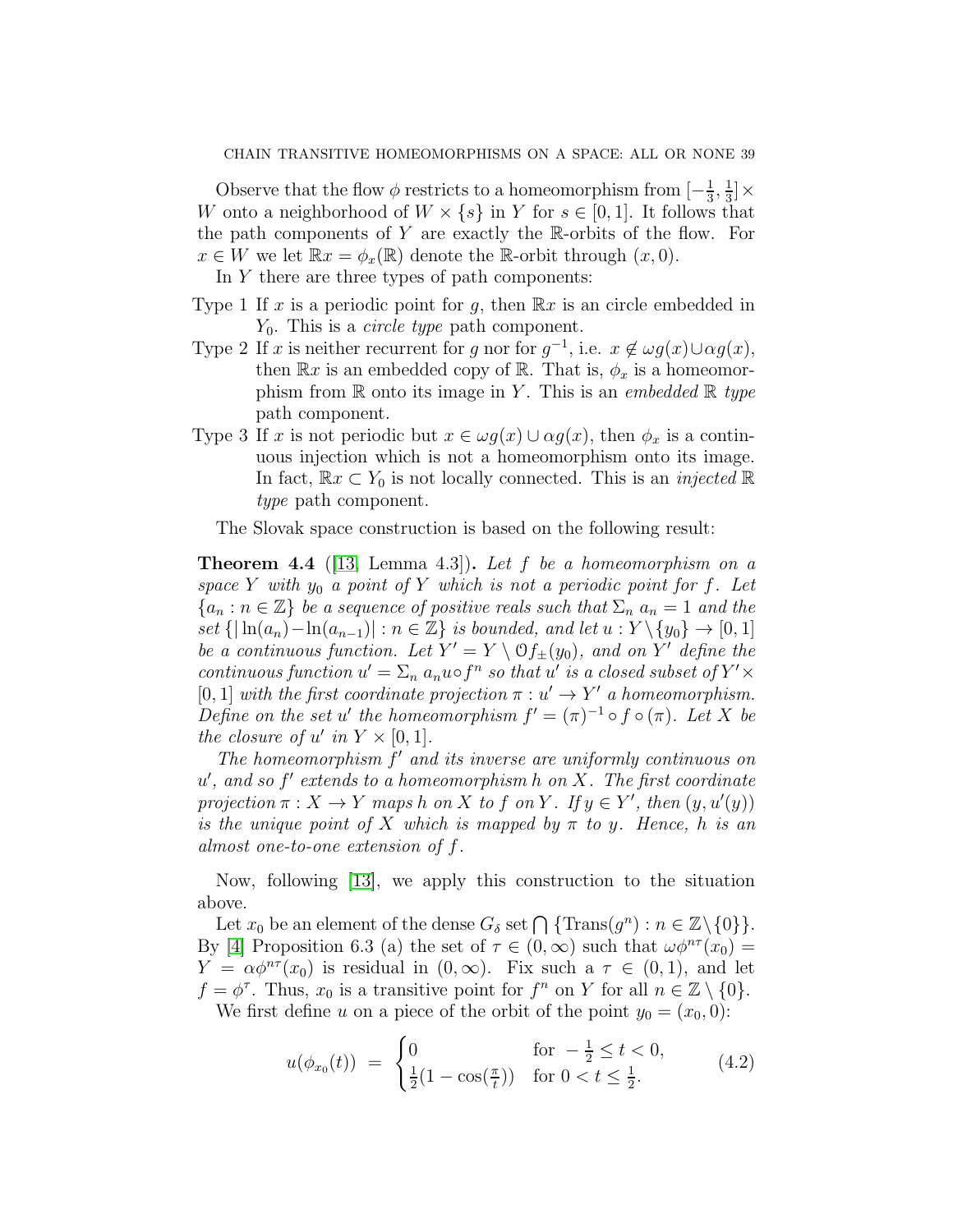Observe that the flow  $\phi$  restricts to a homeomorphism from  $\left[-\frac{1}{3}\right]$  $\frac{1}{3}, \frac{1}{3}$  $\frac{1}{3}]\times$ W onto a neighborhood of  $W \times \{s\}$  in Y for  $s \in [0,1]$ . It follows that the path components of Y are exactly the R-orbits of the flow. For  $x \in W$  we let  $\mathbb{R}x = \phi_x(\mathbb{R})$  denote the R-orbit through  $(x, 0)$ .

In Y there are three types of path components:

- Type 1 If x is a periodic point for g, then  $\mathbb{R}x$  is an circle embedded in  $Y_0$ . This is a *circle type* path component.
- Type 2 If x is neither recurrent for g nor for  $g^{-1}$ , i.e.  $x \notin \omega g(x) \cup \alpha g(x)$ , then  $\mathbb{R}x$  is an embedded copy of  $\mathbb{R}$ . That is,  $\phi_x$  is a homeomorphism from  $\mathbb R$  onto its image in Y. This is an *embedded*  $\mathbb R$  type path component.
- Type 3 If x is not periodic but  $x \in \omega g(x) \cup \alpha g(x)$ , then  $\phi_x$  is a continuous injection which is not a homeomorphism onto its image. In fact,  $\mathbb{R}x \subset Y_0$  is not locally connected. This is an *injected*  $\mathbb{R}$ type path component.

The Slovak space construction is based on the following result:

<span id="page-38-0"></span>**Theorem 4.4** ([\[13,](#page-48-8) Lemma 4.3]). Let f be a homeomorphism on a space Y with  $y_0$  a point of Y which is not a periodic point for f. Let  ${a_n : n \in \mathbb{Z}}$  be a sequence of positive reals such that  $\Sigma_n$   $a_n = 1$  and the set  $\{|\ln(a_n)-\ln(a_{n-1})| : n \in \mathbb{Z}\}\$ is bounded, and let  $u: Y \setminus \{y_0\} \to [0, 1]$ be a continuous function. Let  $Y' = Y \setminus \mathcal{O}f_{\pm}(y_0)$ , and on Y' define the continuous function  $u' = \sum_n a_n u \circ f^n$  so that u' is a closed subset of  $Y' \times$ [0, 1] with the first coordinate projection  $\pi : u' \to Y'$  a homeomorphism. Define on the set u' the homeomorphism  $f' = (\pi)^{-1} \circ f \circ (\pi)$ . Let X be the closure of u' in  $Y \times [0,1]$ .

The homeomorphism  $f'$  and its inverse are uniformly continuous on  $u'$ , and so  $f'$  extends to a homeomorphism h on X. The first coordinate projection  $\pi: X \to Y$  maps h on X to f on Y. If  $y \in Y'$ , then  $(y, u'(y))$ is the unique point of X which is mapped by  $\pi$  to y. Hence, h is an almost one-to-one extension of f.

Now, following [\[13\]](#page-48-8), we apply this construction to the situation above.

Let  $x_0$  be an element of the dense  $G_\delta$  set  $\bigcap$  {Trans $(g^n)$  :  $n \in \mathbb{Z}\backslash\{0\}$ }. By [\[4\]](#page-48-3) Proposition 6.3 (a) the set of  $\tau \in (0,\infty)$  such that  $\omega \phi^{n\tau}(x_0) =$  $Y = \alpha \phi^{n\tau}(x_0)$  is residual in  $(0, \infty)$ . Fix such a  $\tau \in (0, 1)$ , and let  $f = \phi^{\tau}$ . Thus,  $x_0$  is a transitive point for  $f^n$  on Y for all  $n \in \mathbb{Z} \setminus \{0\}$ .

We first define u on a piece of the orbit of the point  $y_0 = (x_0, 0)$ :

$$
u(\phi_{x_0}(t)) = \begin{cases} 0 & \text{for } -\frac{1}{2} \le t < 0, \\ \frac{1}{2}(1 - \cos(\frac{\pi}{t})) & \text{for } 0 < t \le \frac{1}{2}. \end{cases}
$$
(4.2)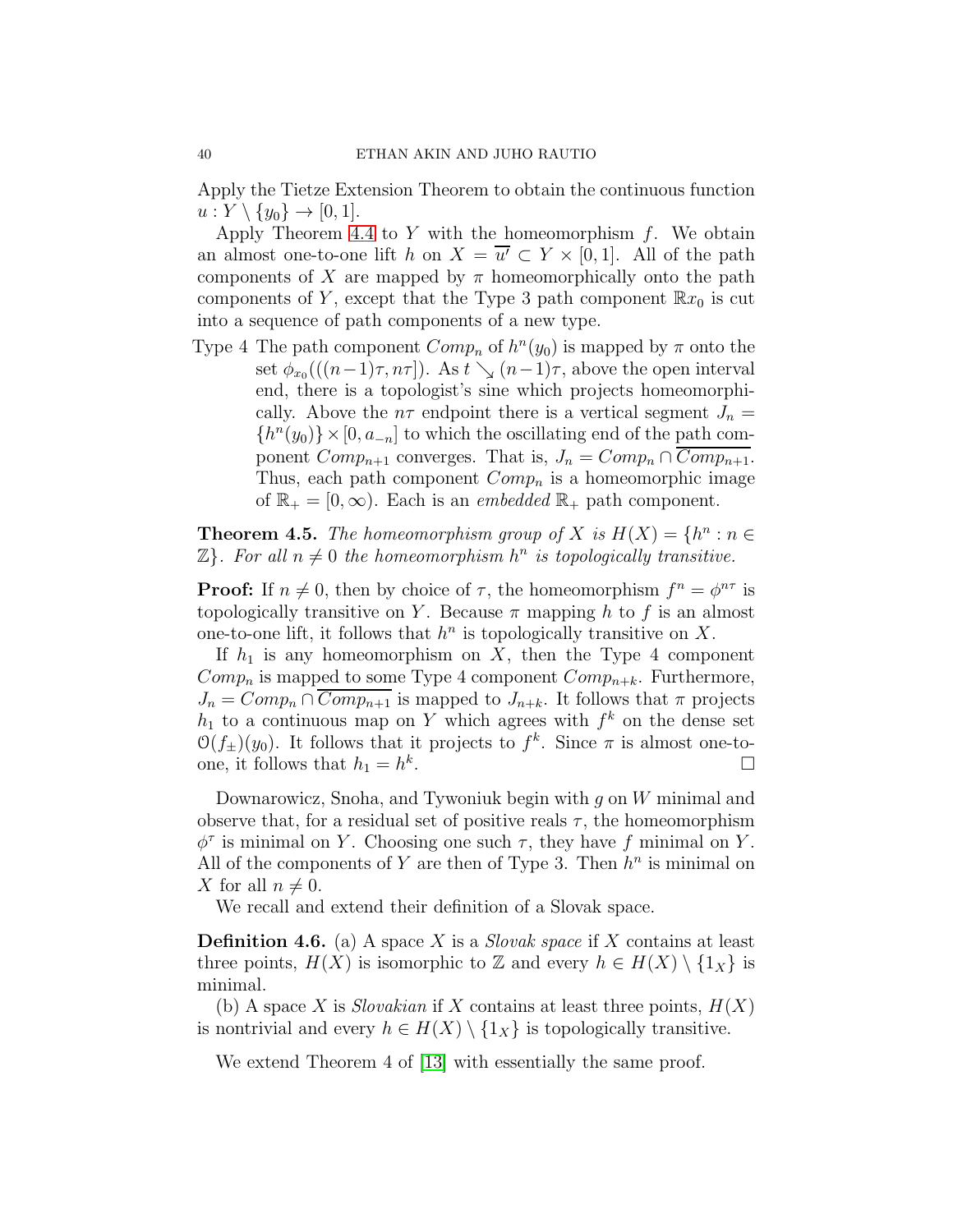Apply the Tietze Extension Theorem to obtain the continuous function  $u: Y \setminus \{y_0\} \rightarrow [0,1].$ 

Apply Theorem [4.4](#page-38-0) to  $Y$  with the homeomorphism  $f$ . We obtain an almost one-to-one lift h on  $X = \overline{u'} \subset Y \times [0,1]$ . All of the path components of X are mapped by  $\pi$  homeomorphically onto the path components of Y, except that the Type 3 path component  $\mathbb{R}x_0$  is cut into a sequence of path components of a new type.

Type 4 The path component  $Comp_n$  of  $h^n(y_0)$  is mapped by  $\pi$  onto the set  $\phi_{x_0}(((n-1)\tau, n\tau])$ . As  $t \searrow (n-1)\tau$ , above the open interval end, there is a topologist's sine which projects homeomorphically. Above the  $n\tau$  endpoint there is a vertical segment  $J_n =$  $\{h^{n}(y_0)\}\times[0, a_{-n}]$  to which the oscillating end of the path component  $Comp_{n+1}$  converges. That is,  $J_n = Comp_n \cap Comp_{n+1}$ . Thus, each path component  $Comp_n$  is a homeomorphic image of  $\mathbb{R}_+ = [0, \infty)$ . Each is an *embedded*  $\mathbb{R}_+$  path component.

<span id="page-39-0"></span>**Theorem 4.5.** The homeomorphism group of X is  $H(X) = \{h^n : n \in$  $\mathbb{Z}$ . For all  $n \neq 0$  the homeomorphism  $h^n$  is topologically transitive.

**Proof:** If  $n \neq 0$ , then by choice of  $\tau$ , the homeomorphism  $f^n = \phi^{n\tau}$  is topologically transitive on Y. Because  $\pi$  mapping h to f is an almost one-to-one lift, it follows that  $h^n$  is topologically transitive on X.

If  $h_1$  is any homeomorphism on X, then the Type 4 component  $Comp_n$  is mapped to some Type 4 component  $Comp_{n+k}$ . Furthermore,  $J_n = Comp_n \cap \overline{Comp_{n+1}}$  is mapped to  $J_{n+k}$ . It follows that  $\pi$  projects  $h_1$  to a continuous map on Y which agrees with  $f^k$  on the dense set  $\mathcal{O}(f_{\pm})(y_0)$ . It follows that it projects to  $f^k$ . Since  $\pi$  is almost one-toone, it follows that  $h_1 = h^k$ . В последните поставите на применение и производите на применение и применение и применение и применение и пр<br>В применение и применение и применение и применение и применение и применение и применение и применение и прим

Downarowicz, Snoha, and Tywoniuk begin with  $g$  on  $W$  minimal and observe that, for a residual set of positive reals  $\tau$ , the homeomorphism  $\phi^{\tau}$  is minimal on Y. Choosing one such  $\tau$ , they have f minimal on Y. All of the components of Y are then of Type 3. Then  $h^n$  is minimal on X for all  $n \neq 0$ .

We recall and extend their definition of a Slovak space.

**Definition 4.6.** (a) A space X is a *Slovak space* if X contains at least three points,  $H(X)$  is isomorphic to Z and every  $h \in H(X) \setminus \{1_X\}$  is minimal.

(b) A space X is *Slovakian* if X contains at least three points,  $H(X)$ is nontrivial and every  $h \in H(X) \setminus \{1_X\}$  is topologically transitive.

We extend Theorem 4 of [\[13\]](#page-48-8) with essentially the same proof.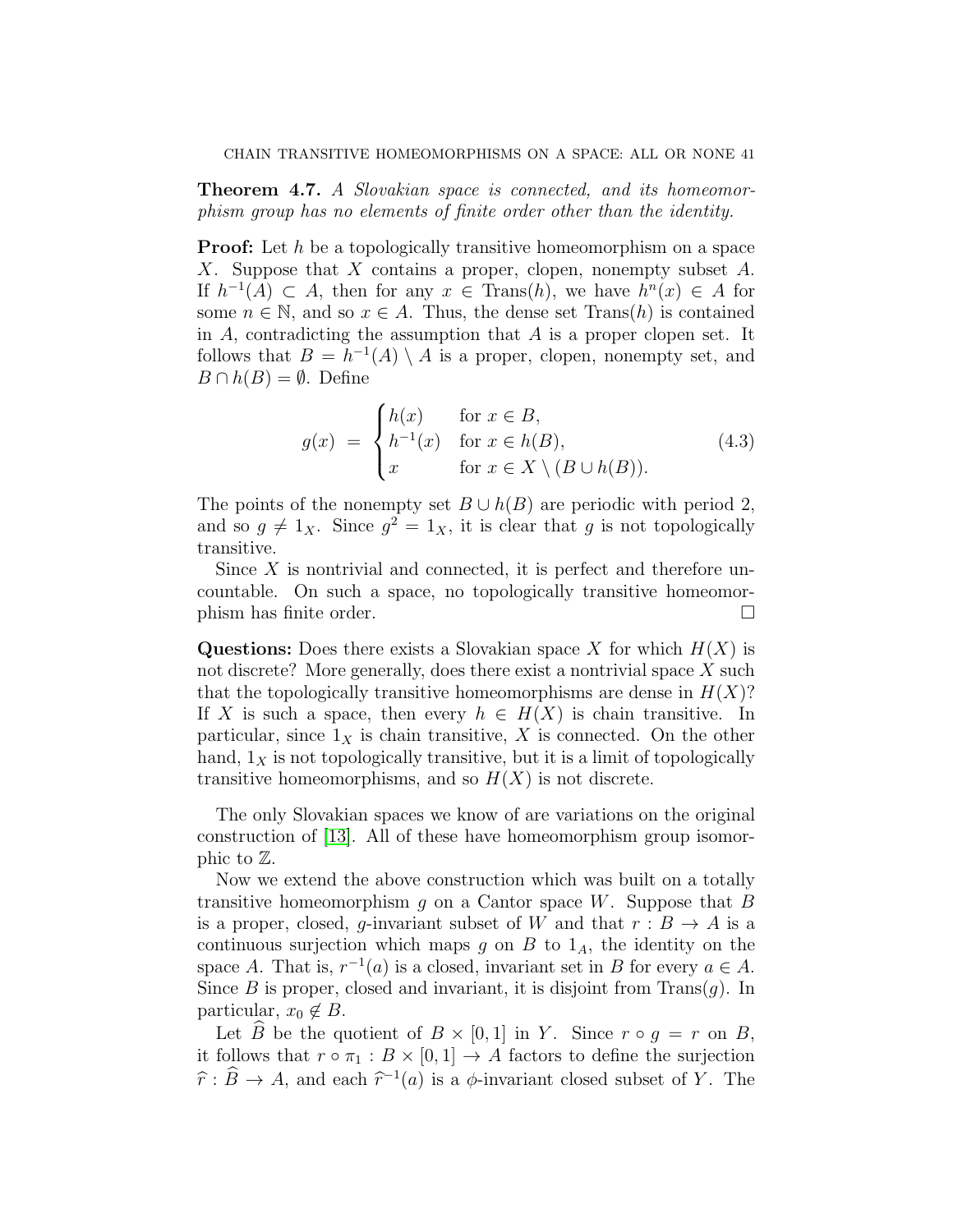**Theorem 4.7.** A Slovakian space is connected, and its homeomorphism group has no elements of finite order other than the identity.

**Proof:** Let h be a topologically transitive homeomorphism on a space X. Suppose that X contains a proper, clopen, nonempty subset  $A$ . If  $h^{-1}(A) \subset A$ , then for any  $x \in \text{Trans}(h)$ , we have  $h^{n}(x) \in A$  for some  $n \in \mathbb{N}$ , and so  $x \in A$ . Thus, the dense set  $\text{Trans}(h)$  is contained in  $A$ , contradicting the assumption that  $A$  is a proper clopen set. It follows that  $B = h^{-1}(A) \setminus A$  is a proper, clopen, nonempty set, and  $B \cap h(B) = \emptyset$ . Define

$$
g(x) = \begin{cases} h(x) & \text{for } x \in B, \\ h^{-1}(x) & \text{for } x \in h(B), \\ x & \text{for } x \in X \setminus (B \cup h(B)). \end{cases}
$$
(4.3)

The points of the nonempty set  $B \cup h(B)$  are periodic with period 2, and so  $g \neq 1_X$ . Since  $g^2 = 1_X$ , it is clear that g is not topologically transitive.

Since  $X$  is nontrivial and connected, it is perfect and therefore uncountable. On such a space, no topologically transitive homeomorphism has finite order.

**Questions:** Does there exists a Slovakian space X for which  $H(X)$  is not discrete? More generally, does there exist a nontrivial space X such that the topologically transitive homeomorphisms are dense in  $H(X)$ ? If X is such a space, then every  $h \in H(X)$  is chain transitive. In particular, since  $1_X$  is chain transitive, X is connected. On the other hand,  $1<sub>X</sub>$  is not topologically transitive, but it is a limit of topologically transitive homeomorphisms, and so  $H(X)$  is not discrete.

The only Slovakian spaces we know of are variations on the original construction of [\[13\]](#page-48-8). All of these have homeomorphism group isomorphic to Z.

Now we extend the above construction which was built on a totally transitive homeomorphism  $g$  on a Cantor space W. Suppose that  $B$ is a proper, closed, g-invariant subset of W and that  $r : B \to A$  is a continuous surjection which maps g on B to  $1_A$ , the identity on the space A. That is,  $r^{-1}(a)$  is a closed, invariant set in B for every  $a \in A$ . Since B is proper, closed and invariant, it is disjoint from  $Trans(q)$ . In particular,  $x_0 \notin B$ .

Let B be the quotient of  $B \times [0,1]$  in Y. Since  $r \circ q = r$  on B, it follows that  $r \circ \pi_1 : B \times [0,1] \to A$  factors to define the surjection  $\hat{r}$ :  $\hat{B} \to A$ , and each  $\hat{r}^{-1}(a)$  is a  $\phi$ -invariant closed subset of Y. The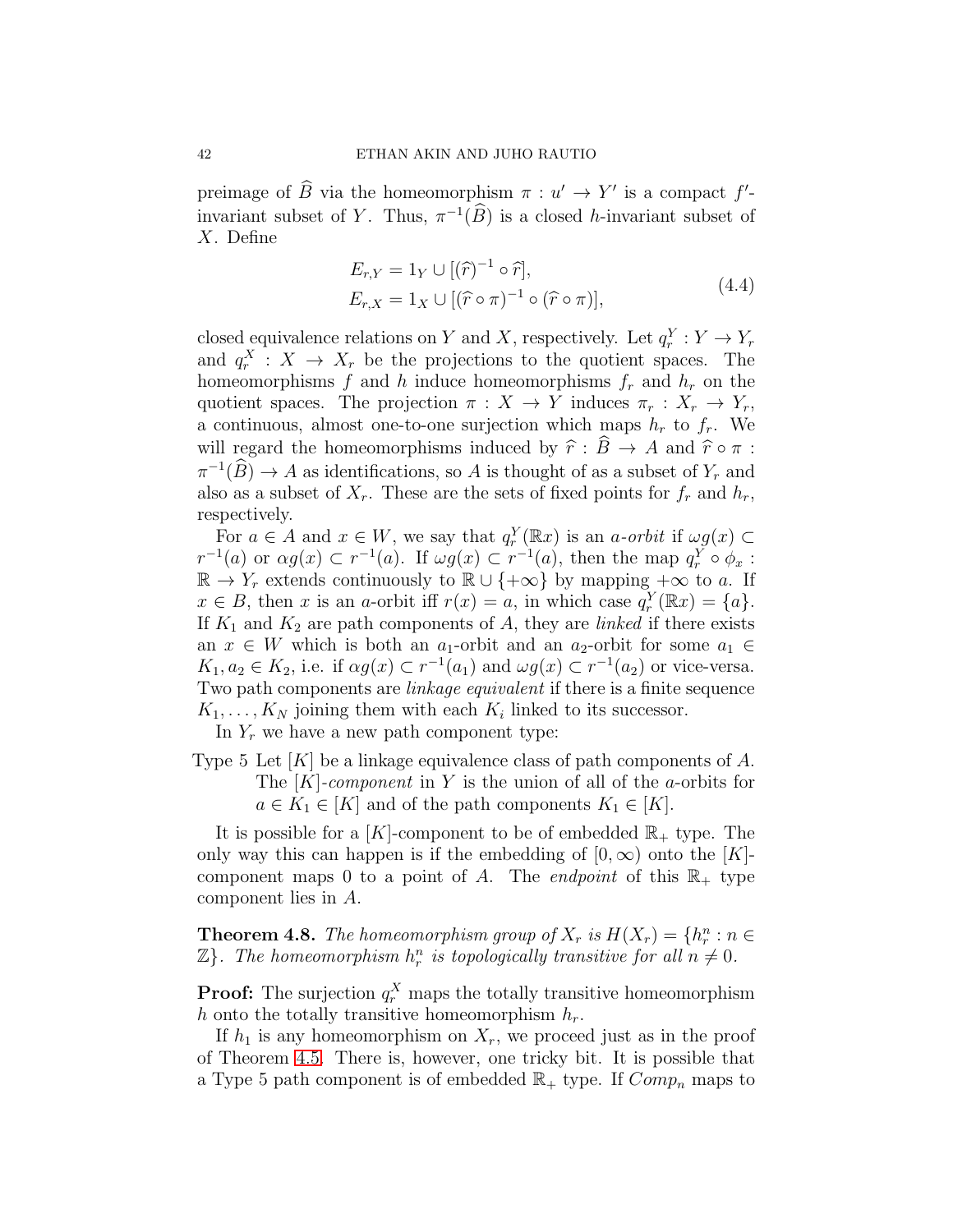preimage of B via the homeomorphism  $\pi : u' \to Y'$  is a compact  $f'$ invariant subset of Y. Thus,  $\pi^{-1}(B)$  is a closed h-invariant subset of X. Define

$$
E_{r,Y} = 1_Y \cup [(\hat{r})^{-1} \circ \hat{r}],
$$
  
\n
$$
E_{r,X} = 1_X \cup [(\hat{r} \circ \pi)^{-1} \circ (\hat{r} \circ \pi)],
$$
\n(4.4)

closed equivalence relations on Y and X, respectively. Let  $q_r^Y : Y \to Y_r$ and  $q_r^X$  :  $X \to X_r$  be the projections to the quotient spaces. The homeomorphisms f and h induce homeomorphisms  $f_r$  and  $h_r$  on the quotient spaces. The projection  $\pi : X \to Y$  induces  $\pi_r : X_r \to Y_r$ , a continuous, almost one-to-one surjection which maps  $h_r$  to  $f_r$ . We will regard the homeomorphisms induced by  $\hat{r}$  :  $\hat{B} \to A$  and  $\hat{r} \circ \pi$  :  $\pi^{-1}(B) \to A$  as identifications, so A is thought of as a subset of  $Y_r$  and also as a subset of  $X_r$ . These are the sets of fixed points for  $f_r$  and  $h_r$ , respectively.

For  $a \in A$  and  $x \in W$ , we say that  $q_r^Y(\mathbb{R}x)$  is an a-orbit if  $\omega g(x) \subset$  $r^{-1}(a)$  or  $\alpha g(x) \subset r^{-1}(a)$ . If  $\omega g(x) \subset r^{-1}(a)$ , then the map  $q_r^Y \circ \phi_x$ :  $\mathbb{R} \to Y_r$  extends continuously to  $\mathbb{R} \cup \{+\infty\}$  by mapping  $+\infty$  to a. If  $x \in B$ , then x is an a-orbit iff  $r(x) = a$ , in which case  $q_r^Y(\mathbb{R}x) = \{a\}.$ If  $K_1$  and  $K_2$  are path components of A, they are *linked* if there exists an  $x \in W$  which is both an  $a_1$ -orbit and an  $a_2$ -orbit for some  $a_1 \in$  $K_1, a_2 \in K_2$ , i.e. if  $\alpha g(x) \subset r^{-1}(a_1)$  and  $\omega g(x) \subset r^{-1}(a_2)$  or vice-versa. Two path components are linkage equivalent if there is a finite sequence  $K_1, \ldots, K_N$  joining them with each  $K_i$  linked to its successor.

In  $Y_r$  we have a new path component type:

Type 5 Let  $[K]$  be a linkage equivalence class of path components of A. The  $[K]$ -component in Y is the union of all of the a-orbits for  $a \in K_1 \in [K]$  and of the path components  $K_1 \in [K]$ .

It is possible for a  $[K]$ -component to be of embedded  $\mathbb{R}_+$  type. The only way this can happen is if the embedding of  $[0, \infty)$  onto the  $[K]$ component maps 0 to a point of A. The endpoint of this  $\mathbb{R}_+$  type component lies in A.

**Theorem 4.8.** The homeomorphism group of  $X_r$  is  $H(X_r) = \{h_r^n : n \in \mathbb{R}^n\}$  $\mathbb{Z}$ . The homeomorphism  $h_r^n$  is topologically transitive for all  $n \neq 0$ .

**Proof:** The surjection  $q_r^X$  maps the totally transitive homeomorphism h onto the totally transitive homeomorphism  $h_r$ .

If  $h_1$  is any homeomorphism on  $X_r$ , we proceed just as in the proof of Theorem [4.5.](#page-39-0) There is, however, one tricky bit. It is possible that a Type 5 path component is of embedded  $\mathbb{R}_+$  type. If  $Comp_n$  maps to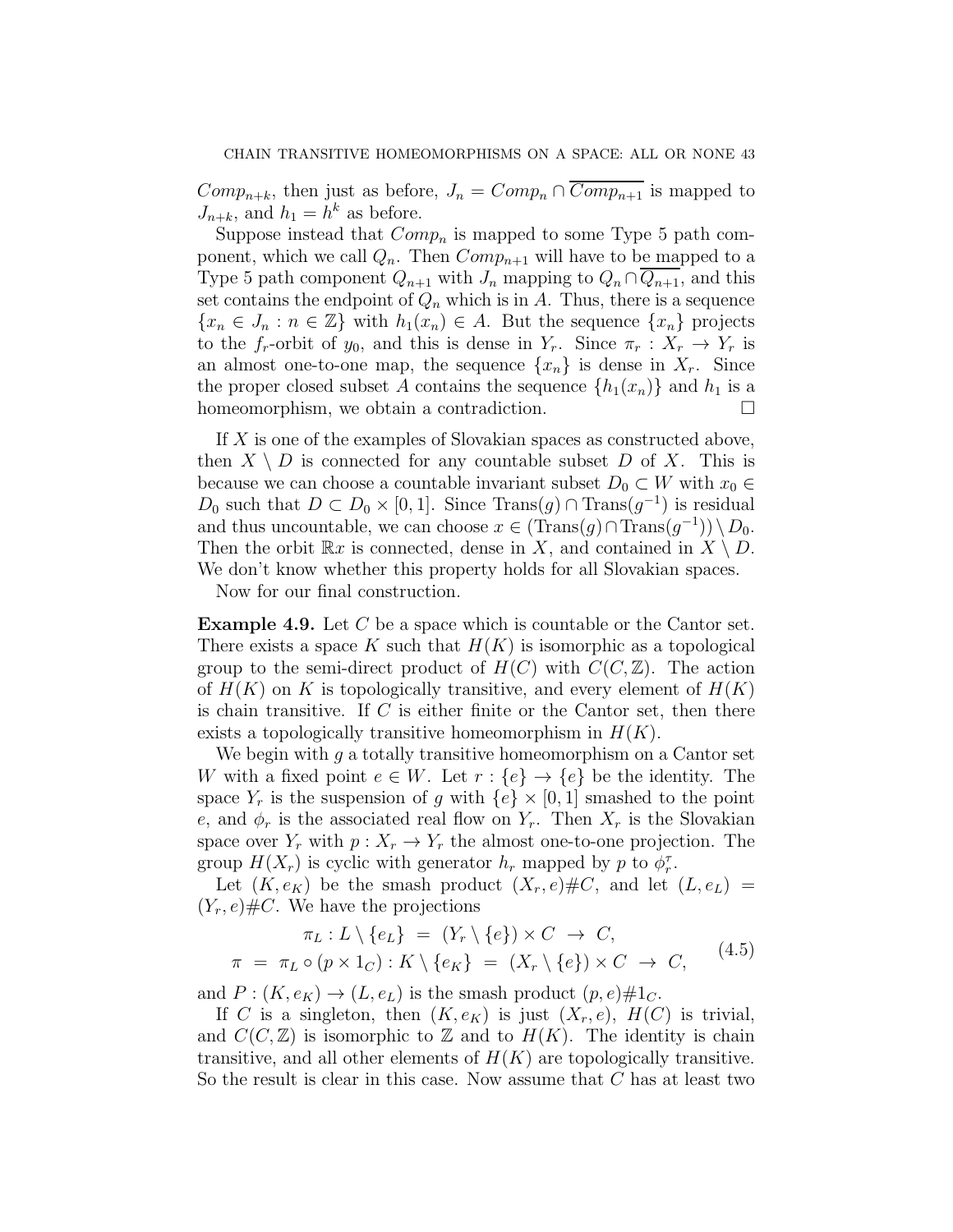$Comp_{n+k}$ , then just as before,  $J_n = Comp_n \cap \overline{Comp_{n+1}}$  is mapped to  $J_{n+k}$ , and  $h_1 = h^k$  as before.

Suppose instead that  $Comp_n$  is mapped to some Type 5 path component, which we call  $Q_n$ . Then  $Comp_{n+1}$  will have to be mapped to a Type 5 path component  $Q_{n+1}$  with  $J_n$  mapping to  $Q_n \cap \overline{Q_{n+1}}$ , and this set contains the endpoint of  $Q_n$  which is in A. Thus, there is a sequence  ${x_n \in J_n : n \in \mathbb{Z}}$  with  $h_1(x_n) \in A$ . But the sequence  ${x_n}$  projects to the  $f_r$ -orbit of  $y_0$ , and this is dense in  $Y_r$ . Since  $\pi_r : X_r \to Y_r$  is an almost one-to-one map, the sequence  $\{x_n\}$  is dense in  $X_r$ . Since the proper closed subset A contains the sequence  $\{h_1(x_n)\}\$  and  $h_1$  is a homeomorphism, we obtain a contradiction.

If X is one of the examples of Slovakian spaces as constructed above, then  $X \setminus D$  is connected for any countable subset D of X. This is because we can choose a countable invariant subset  $D_0 \subset W$  with  $x_0 \in$ D<sub>0</sub> such that  $D \subset D_0 \times [0,1]$ . Since Trans $(g) \cap \text{Trans}(g^{-1})$  is residual and thus uncountable, we can choose  $x \in (\text{Trans}(g) \cap \text{Trans}(g^{-1})) \setminus D_0$ . Then the orbit  $\mathbb{R}x$  is connected, dense in X, and contained in  $X \setminus D$ . We don't know whether this property holds for all Slovakian spaces.

Now for our final construction.

Example 4.9. Let C be a space which is countable or the Cantor set. There exists a space K such that  $H(K)$  is isomorphic as a topological group to the semi-direct product of  $H(C)$  with  $C(C, \mathbb{Z})$ . The action of  $H(K)$  on K is topologically transitive, and every element of  $H(K)$ is chain transitive. If  $C$  is either finite or the Cantor set, then there exists a topologically transitive homeomorphism in  $H(K)$ .

We begin with q a totally transitive homeomorphism on a Cantor set W with a fixed point  $e \in W$ . Let  $r : \{e\} \to \{e\}$  be the identity. The space  $Y_r$  is the suspension of g with  $\{e\} \times [0, 1]$  smashed to the point e, and  $\phi_r$  is the associated real flow on  $Y_r$ . Then  $X_r$  is the Slovakian space over  $Y_r$  with  $p: X_r \to Y_r$  the almost one-to-one projection. The group  $H(X_r)$  is cyclic with generator  $h_r$  mapped by p to  $\phi_r^{\tau}$ .

Let  $(K, e_K)$  be the smash product  $(X_r, e) \# C$ , and let  $(L, e_L)$  =  $(Y_r, e) \# C$ . We have the projections

$$
\pi_L: L \setminus \{e_L\} = (Y_r \setminus \{e\}) \times C \to C,
$$
  

$$
\pi = \pi_L \circ (p \times 1_C) : K \setminus \{e_K\} = (X_r \setminus \{e\}) \times C \to C,
$$
 (4.5)

and  $P: (K, e_K) \to (L, e_L)$  is the smash product  $(p, e) \# 1_C$ .

If C is a singleton, then  $(K, e_K)$  is just  $(X_r, e)$ ,  $H(C)$  is trivial, and  $C(C, \mathbb{Z})$  is isomorphic to  $\mathbb Z$  and to  $H(K)$ . The identity is chain transitive, and all other elements of  $H(K)$  are topologically transitive. So the result is clear in this case. Now assume that C has at least two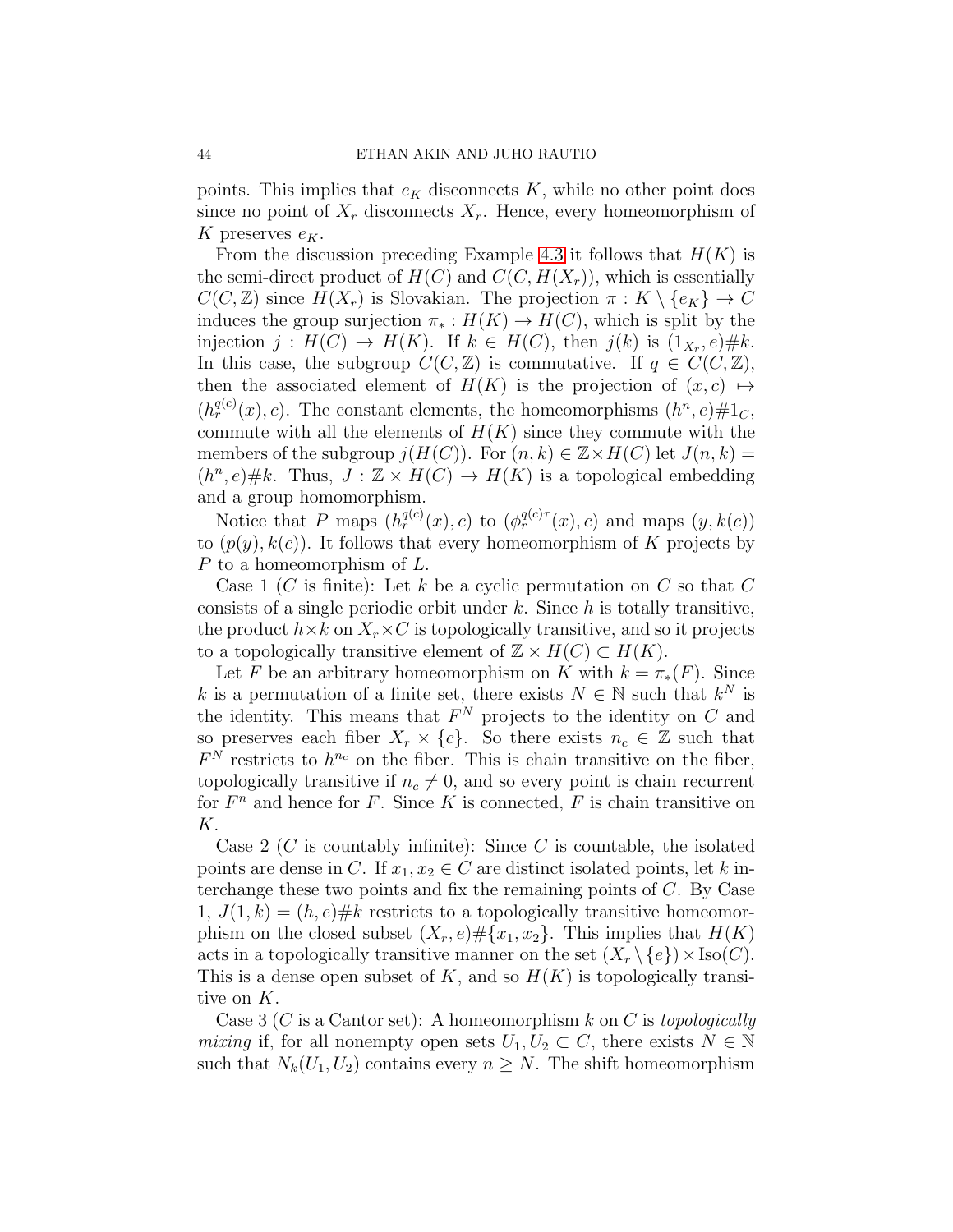points. This implies that  $e<sub>K</sub>$  disconnects K, while no other point does since no point of  $X_r$  disconnects  $X_r$ . Hence, every homeomorphism of K preserves  $e_K$ .

From the discussion preceding Example [4.3](#page-37-0) it follows that  $H(K)$  is the semi-direct product of  $H(C)$  and  $C(C, H(X_r))$ , which is essentially  $C(C, \mathbb{Z})$  since  $H(X_r)$  is Slovakian. The projection  $\pi : K \setminus \{e_K\} \to C$ induces the group surjection  $\pi_* : H(K) \to H(C)$ , which is split by the injection  $j: H(C) \to H(K)$ . If  $k \in H(C)$ , then  $j(k)$  is  $(1_{X_r}, e) \# k$ . In this case, the subgroup  $C(C, \mathbb{Z})$  is commutative. If  $q \in C(C, \mathbb{Z})$ , then the associated element of  $H(K)$  is the projection of  $(x, c) \rightarrow$  $(h_r^{q(c)}(x), c)$ . The constant elements, the homeomorphisms  $(h^n, e) \# 1_c$ , commute with all the elements of  $H(K)$  since they commute with the members of the subgroup  $j(H(C))$ . For  $(n, k) \in \mathbb{Z} \times H(C)$  let  $J(n, k) =$  $(h^n, e) \# k$ . Thus,  $J: \mathbb{Z} \times H(C) \to H(K)$  is a topological embedding and a group homomorphism.

Notice that P maps  $(h_r^{q(c)}(x), c)$  to  $(\phi_r^{q(c)\tau}(x), c)$  and maps  $(y, k(c))$ to  $(p(y), k(c))$ . It follows that every homeomorphism of K projects by P to a homeomorphism of L.

Case 1 (C is finite): Let k be a cyclic permutation on C so that C consists of a single periodic orbit under  $k$ . Since  $h$  is totally transitive, the product  $h \times k$  on  $X_r \times C$  is topologically transitive, and so it projects to a topologically transitive element of  $\mathbb{Z} \times H(C) \subset H(K)$ .

Let F be an arbitrary homeomorphism on K with  $k = \pi_*(F)$ . Since k is a permutation of a finite set, there exists  $N \in \mathbb{N}$  such that  $k^N$  is the identity. This means that  $F<sup>N</sup>$  projects to the identity on C and so preserves each fiber  $X_r \times \{c\}$ . So there exists  $n_c \in \mathbb{Z}$  such that  $F<sup>N</sup>$  restricts to  $h<sup>n<sub>c</sub></sup>$  on the fiber. This is chain transitive on the fiber, topologically transitive if  $n_c \neq 0$ , and so every point is chain recurrent for  $F^n$  and hence for F. Since K is connected, F is chain transitive on K.

Case 2 (C is countably infinite): Since C is countable, the isolated points are dense in C. If  $x_1, x_2 \in C$  are distinct isolated points, let k interchange these two points and fix the remaining points of C. By Case  $1, J(1, k) = (h, e) \# k$  restricts to a topologically transitive homeomorphism on the closed subset  $(X_r, e) \# \{x_1, x_2\}$ . This implies that  $H(K)$ acts in a topologically transitive manner on the set  $(X_r \setminus \{e\}) \times \text{Iso}(C)$ . This is a dense open subset of K, and so  $H(K)$  is topologically transitive on K.

Case 3 (C is a Cantor set): A homeomorphism k on C is topologically mixing if, for all nonempty open sets  $U_1, U_2 \subset C$ , there exists  $N \in \mathbb{N}$ such that  $N_k(U_1, U_2)$  contains every  $n \geq N$ . The shift homeomorphism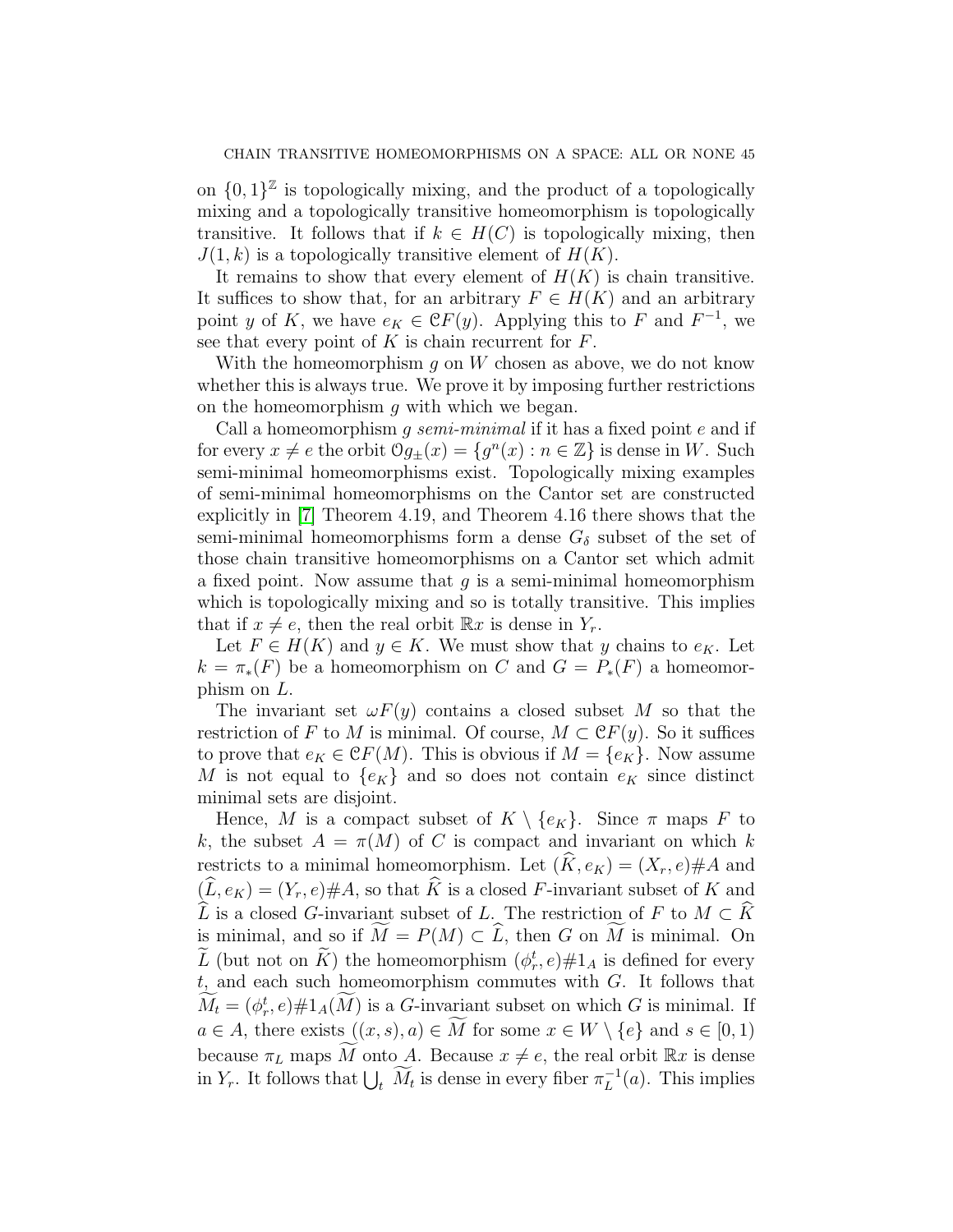on  $\{0,1\}^{\mathbb{Z}}$  is topologically mixing, and the product of a topologically mixing and a topologically transitive homeomorphism is topologically transitive. It follows that if  $k \in H(C)$  is topologically mixing, then  $J(1, k)$  is a topologically transitive element of  $H(K)$ .

It remains to show that every element of  $H(K)$  is chain transitive. It suffices to show that, for an arbitrary  $F \in H(K)$  and an arbitrary point y of K, we have  $e_K \in \mathcal{C}F(y)$ . Applying this to F and  $F^{-1}$ , we see that every point of  $K$  is chain recurrent for  $F$ .

With the homeomorphism q on W chosen as above, we do not know whether this is always true. We prove it by imposing further restrictions on the homeomorphism  $g$  with which we began.

Call a homeomorphism q semi-minimal if it has a fixed point  $e$  and if for every  $x \neq e$  the orbit  $\mathcal{O}g_{\pm}(x) = \{g^n(x) : n \in \mathbb{Z}\}\$ is dense in W. Such semi-minimal homeomorphisms exist. Topologically mixing examples of semi-minimal homeomorphisms on the Cantor set are constructed explicitly in [\[7\]](#page-48-15) Theorem 4.19, and Theorem 4.16 there shows that the semi-minimal homeomorphisms form a dense  $G_{\delta}$  subset of the set of those chain transitive homeomorphisms on a Cantor set which admit a fixed point. Now assume that  $q$  is a semi-minimal homeomorphism which is topologically mixing and so is totally transitive. This implies that if  $x \neq e$ , then the real orbit  $\mathbb{R}x$  is dense in  $Y_r$ .

Let  $F \in H(K)$  and  $y \in K$ . We must show that y chains to  $e_K$ . Let  $k = \pi_*(F)$  be a homeomorphism on C and  $G = P_*(F)$  a homeomorphism on L.

The invariant set  $\omega F(y)$  contains a closed subset M so that the restriction of F to M is minimal. Of course,  $M \subset \mathcal{C}F(y)$ . So it suffices to prove that  $e_K \in \mathcal{C}F(M)$ . This is obvious if  $M = \{e_K\}$ . Now assume M is not equal to  $\{e_K\}$  and so does not contain  $e_K$  since distinct minimal sets are disjoint.

Hence, M is a compact subset of  $K \setminus \{e_K\}$ . Since  $\pi$  maps F to k, the subset  $A = \pi(M)$  of C is compact and invariant on which k restricts to a minimal homeomorphism. Let  $(\widehat{K}, e_K) = (X_r, e) \# A$  and  $(\widehat{L}, e_K) = (Y_r, e) \# A$ , so that  $\widehat{K}$  is a closed F-invariant subset of K and  $\widehat{L}$  is a closed G-invariant subset of L. The restriction of F to  $M \subset \widehat{K}$ is minimal, and so if  $\widetilde{M} = P(M) \subset \widehat{L}$ , then G on  $\widetilde{M}$  is minimal. On L (but not on K) the homeomorphism  $(\phi_r^t, e) \# 1_A$  is defined for every  $t$ , and each such homeomorphism commutes with  $G$ . It follows that  $M_t = (\phi_r^t, e) \# 1_A(M)$  is a G-invariant subset on which G is minimal. If  $a \in A$ , there exists  $((x, s), a) \in M$  for some  $x \in W \setminus \{e\}$  and  $s \in [0, 1)$ because  $\pi_L$  maps M onto A. Because  $x \neq e$ , the real orbit  $\mathbb{R}x$  is dense in  $Y_r$ . It follows that  $\bigcup_t \widetilde{M}_t$  is dense in every fiber  $\pi_L^{-1}$  $L^{-1}(a)$ . This implies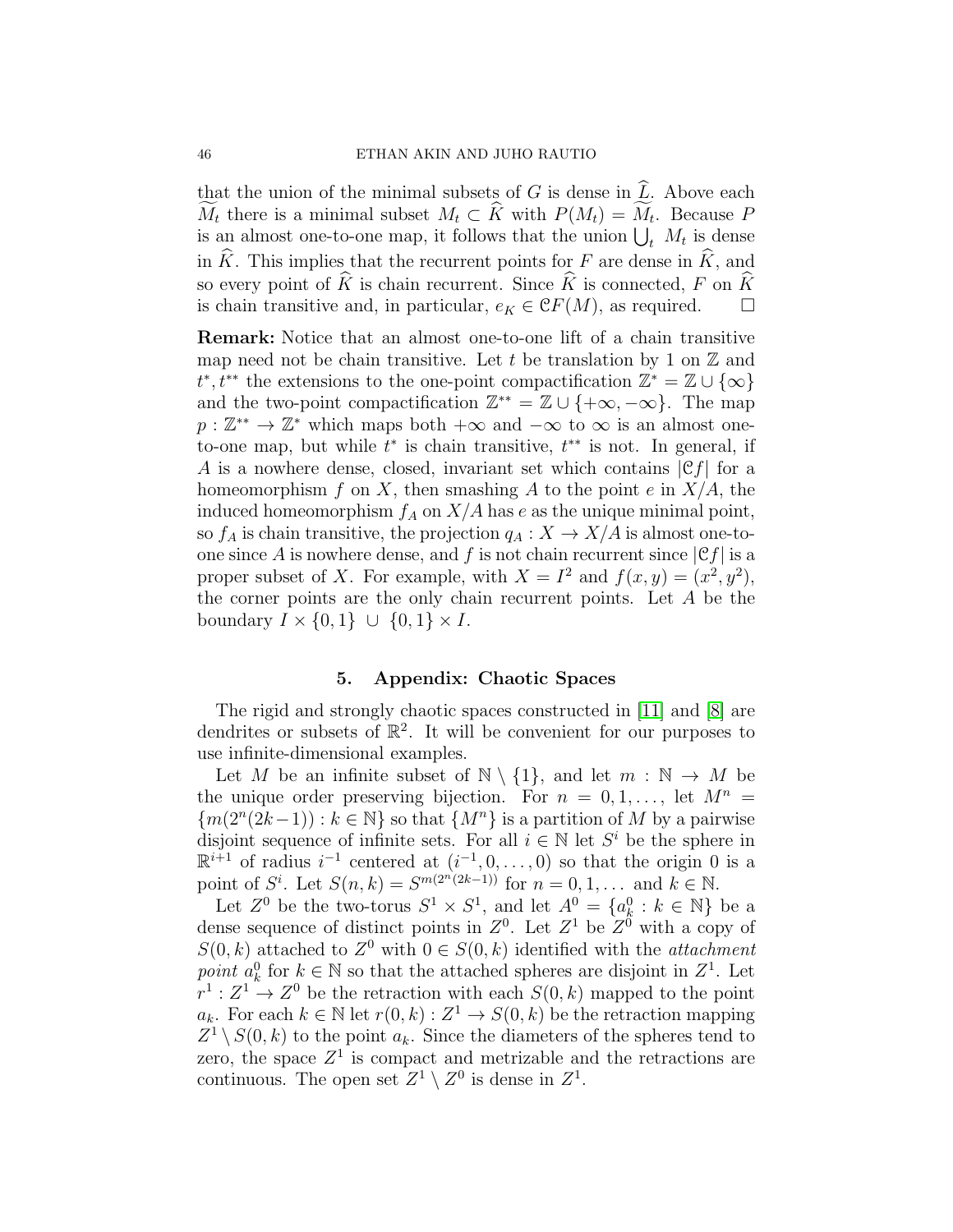that the union of the minimal subsets of G is dense in  $\widehat{L}$ . Above each  $M_t$  there is a minimal subset  $M_t \subset K$  with  $P(M_t) = M_t$ . Because P is an almost one-to-one map, it follows that the union  $\bigcup_t M_t$  is dense in  $\widehat{K}$ . This implies that the recurrent points for F are dense in  $\widehat{K}$ , and so every point of  $\widehat{K}$  is chain recurrent. Since  $\widehat{K}$  is connected, F on  $\widehat{K}$  is chain transitive and, in particular,  $e_K \in \mathcal{C}F(M)$ , as required. is chain transitive and, in particular,  $e_K \in \mathcal{C}F(M)$ , as required.

Remark: Notice that an almost one-to-one lift of a chain transitive map need not be chain transitive. Let t be translation by 1 on  $\mathbb Z$  and  $t^*, t^{**}$  the extensions to the one-point compactification  $\mathbb{Z}^* = \mathbb{Z} \cup \{\infty\}$ and the two-point compactification  $\mathbb{Z}^{**} = \mathbb{Z} \cup \{+\infty, -\infty\}$ . The map  $p: \mathbb{Z}^* \to \mathbb{Z}^*$  which maps both  $+\infty$  and  $-\infty$  to  $\infty$  is an almost oneto-one map, but while  $t^*$  is chain transitive,  $t^{**}$  is not. In general, if A is a nowhere dense, closed, invariant set which contains  $|\mathfrak{C} f|$  for a homeomorphism f on X, then smashing A to the point e in  $X/A$ , the induced homeomorphism  $f_A$  on  $X/A$  has e as the unique minimal point, so  $f_A$  is chain transitive, the projection  $q_A : X \to X/A$  is almost one-toone since A is nowhere dense, and f is not chain recurrent since  $|\mathfrak{C}_f|$  is a proper subset of X. For example, with  $X = I^2$  and  $f(x, y) = (x^2, y^2)$ , the corner points are the only chain recurrent points. Let A be the boundary  $I \times \{0,1\} \cup \{0,1\} \times I$ .

# 5. Appendix: Chaotic Spaces

<span id="page-45-0"></span>The rigid and strongly chaotic spaces constructed in [\[11\]](#page-48-6) and [\[8\]](#page-48-14) are dendrites or subsets of  $\mathbb{R}^2$ . It will be convenient for our purposes to use infinite-dimensional examples.

Let M be an infinite subset of  $\mathbb{N} \setminus \{1\}$ , and let  $m : \mathbb{N} \to M$  be the unique order preserving bijection. For  $n = 0, 1, \ldots$ , let  $M^n =$  ${m(2^{n}(2k-1)) : k \in \mathbb{N}}$  so that  ${M^{n}}$  is a partition of M by a pairwise disjoint sequence of infinite sets. For all  $i \in \mathbb{N}$  let  $S<sup>i</sup>$  be the sphere in  $\mathbb{R}^{i+1}$  of radius  $i^{-1}$  centered at  $(i^{-1},0,\ldots,0)$  so that the origin 0 is a point of  $S^i$ . Let  $S(n, k) = S^{m(2^n(2k-1))}$  for  $n = 0, 1, ...$  and  $k \in \mathbb{N}$ .

Let  $Z^0$  be the two-torus  $S^1 \times S^1$ , and let  $A^0 = \{a_k^0 : k \in \mathbb{N}\}\$ be a dense sequence of distinct points in  $Z^0$ . Let  $Z^1$  be  $Z^0$  with a copy of  $S(0, k)$  attached to  $Z^0$  with  $0 \in S(0, k)$  identified with the *attachment* point  $a_k^0$  for  $k \in \mathbb{N}$  so that the attached spheres are disjoint in  $Z^1$ . Let  $r^1: Z^1 \to Z^0$  be the retraction with each  $S(0, k)$  mapped to the point  $a_k$ . For each  $k \in \mathbb{N}$  let  $r(0, k) : Z^1 \to S(0, k)$  be the retraction mapping  $Z^1 \setminus S(0, k)$  to the point  $a_k$ . Since the diameters of the spheres tend to zero, the space  $Z^1$  is compact and metrizable and the retractions are continuous. The open set  $Z^1 \setminus Z^0$  is dense in  $Z^1$ .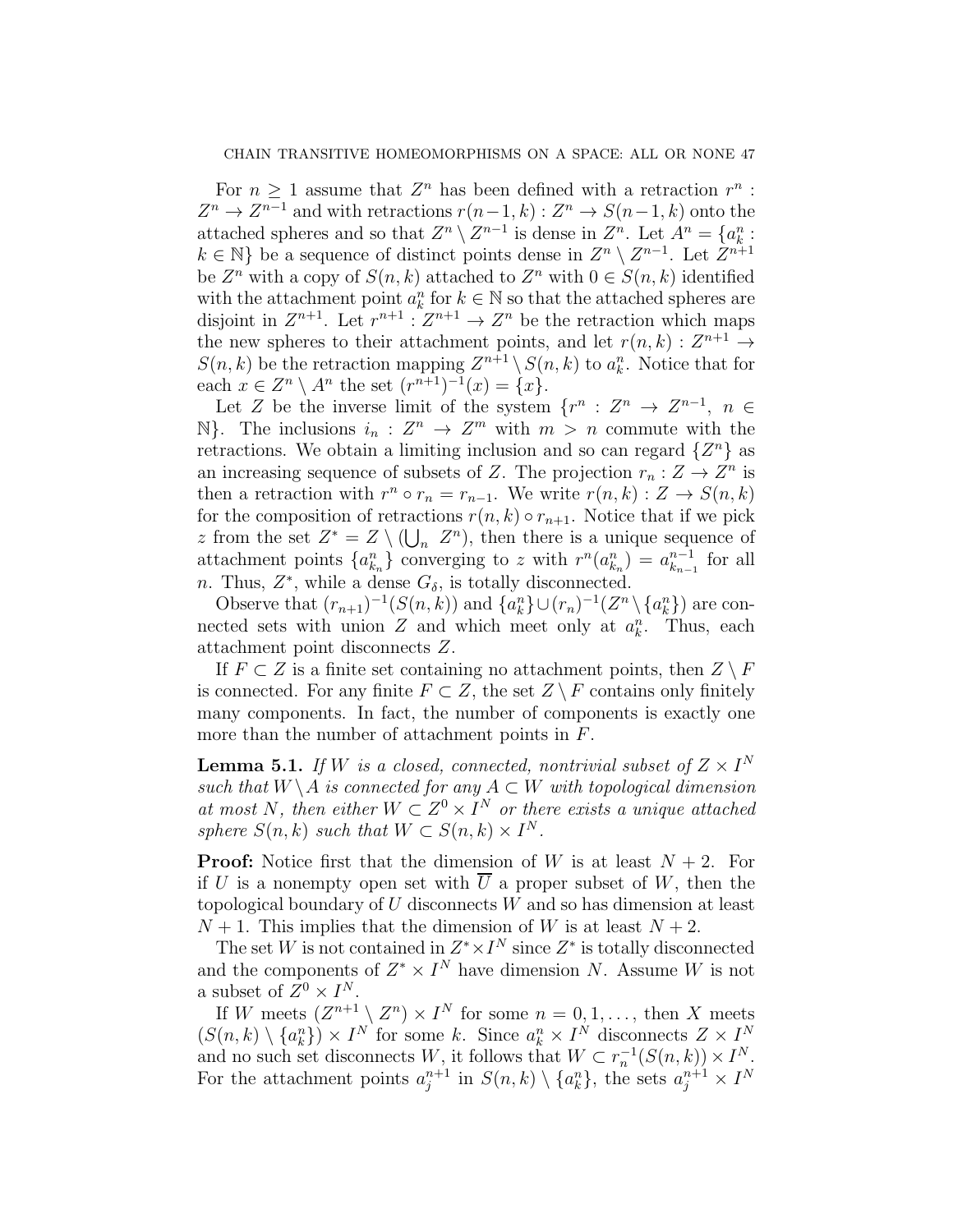For  $n \geq 1$  assume that  $Z^n$  has been defined with a retraction  $r^n$ :  $Z^n \to Z^{n-1}$  and with retractions  $r(n-1,k): Z^n \to S(n-1,k)$  onto the attached spheres and so that  $Z^n \setminus Z^{n-1}$  is dense in  $Z^n$ . Let  $A^n = \{a_k^n :$  $k \in \mathbb{N}$  be a sequence of distinct points dense in  $Z^n \setminus Z^{n-1}$ . Let  $Z^{n+1}$ be  $Z^n$  with a copy of  $S(n,k)$  attached to  $Z^n$  with  $0 \in S(n,k)$  identified with the attachment point  $a_k^n$  for  $k \in \mathbb{N}$  so that the attached spheres are disjoint in  $Z^{n+1}$ . Let  $r^{n+1}$  :  $Z^{n+1} \to Z^n$  be the retraction which maps the new spheres to their attachment points, and let  $r(n, k) : Z^{n+1} \to$  $S(n, k)$  be the retraction mapping  $Z^{n+1} \setminus S(n, k)$  to  $a_k^n$ . Notice that for each  $x \in \mathbb{Z}^n \setminus A^n$  the set  $(r^{n+1})^{-1}(x) = \{x\}.$ 

Let Z be the inverse limit of the system  $\{r^n: Z^n \to Z^{n-1}, n \in$  $\mathbb{N}$ . The inclusions  $i_n : Z^n \to Z^m$  with  $m > n$  commute with the retractions. We obtain a limiting inclusion and so can regard  $\{Z^n\}$  as an increasing sequence of subsets of Z. The projection  $r_n: Z \to Z^n$  is then a retraction with  $r^n \circ r_n = r_{n-1}$ . We write  $r(n, k) : Z \to S(n, k)$ for the composition of retractions  $r(n, k) \circ r_{n+1}$ . Notice that if we pick z from the set  $Z^* = Z \setminus (\bigcup_n Z^n)$ , then there is a unique sequence of attachment points  $\{a_{k_n}^n\}$  converging to z with  $r^n(a_{k_n}^n) = a_{k_{n-1}}^{n-1}$  $_{k_{n-1}}^{n-1}$  for all n. Thus,  $Z^*$ , while a dense  $G_{\delta}$ , is totally disconnected.

Observe that  $(r_{n+1})^{-1}(S(n,k))$  and  $\{a_k^n\}\cup(r_n)^{-1}(Z^n\setminus\{a_k^n\})$  are connected sets with union  $Z$  and which meet only at  $a_k^n$ . Thus, each attachment point disconnects Z.

If  $F \subset Z$  is a finite set containing no attachment points, then  $Z \setminus F$ is connected. For any finite  $F \subset Z$ , the set  $Z \setminus F$  contains only finitely many components. In fact, the number of components is exactly one more than the number of attachment points in F.

<span id="page-46-0"></span>**Lemma 5.1.** If W is a closed, connected, nontrivial subset of  $Z \times I^N$ such that  $W \backslash A$  is connected for any  $A \subset W$  with topological dimension at most N, then either  $W \subset Z^0 \times I^N$  or there exists a unique attached sphere  $S(n,k)$  such that  $W \subset S(n,k) \times I^N$ .

**Proof:** Notice first that the dimension of W is at least  $N + 2$ . For if U is a nonempty open set with  $\overline{U}$  a proper subset of W, then the topological boundary of  $U$  disconnects  $W$  and so has dimension at least  $N+1$ . This implies that the dimension of W is at least  $N+2$ .

The set W is not contained in  $Z^* \times I^N$  since  $Z^*$  is totally disconnected and the components of  $Z^* \times I^N$  have dimension N. Assume W is not a subset of  $Z^0 \times I^N$ .

If W meets  $(Z^{n+1} \setminus Z^n) \times I^N$  for some  $n = 0, 1, ...,$  then X meets  $(S(n, k) \setminus \{a_k^n\}) \times I^N$  for some k. Since  $a_k^n \times I^N$  disconnects  $Z \times I^N$ and no such set disconnects W, it follows that  $W \subset r_n^{-1}(S(n,k)) \times I^N$ . For the attachment points  $a_j^{n+1}$  in  $S(n,k) \setminus \{a_k^n\}$ , the sets  $a_j^{n+1} \times I^N$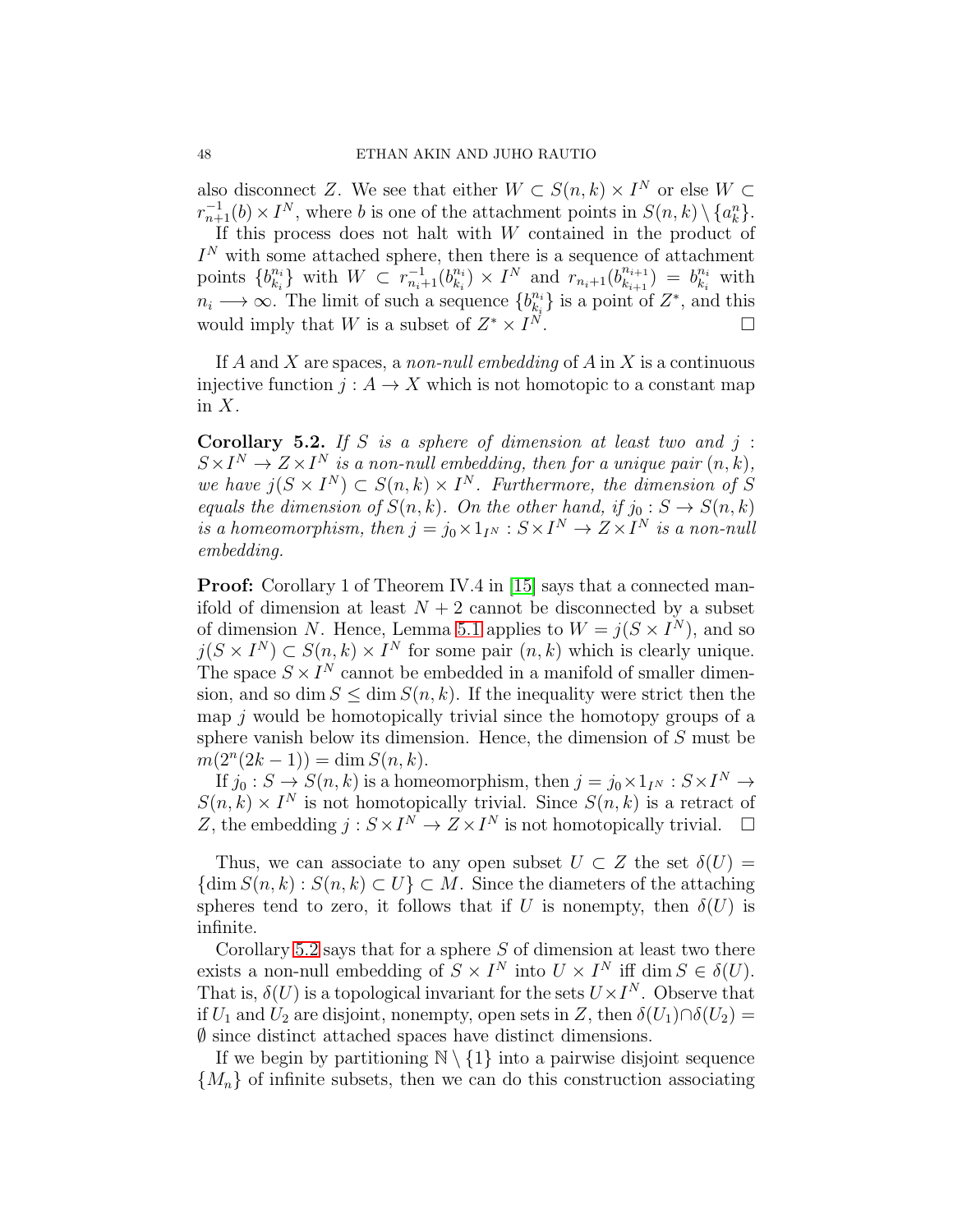also disconnect Z. We see that either  $W \subset S(n,k) \times I^N$  or else  $W \subset$  $r_{n+1}^{-1}(b) \times I^N$ , where b is one of the attachment points in  $S(n,k) \setminus \{a_k^n\}$ . If this process does not halt with  $W$  contained in the product of  $I<sup>N</sup>$  with some attached sphere, then there is a sequence of attachment points  $\{b_{k_i}^{n_i}\}$  ${}_{k_{i}}^{n_{i}}$ } with  $W \subset r_{n_{i}+1}^{-1}(b_{k_{i}}^{n_{i}})$  $\binom{n_i}{k_i}$  ×  $I^N$  and  $r_{n_i+1}$  $\binom{b_{k_i+1}^{n_{i+1}}}{k_{k_i+1}}$  $\binom{n_{i+1}}{k_{i+1}} = b_{k_i}^{n_i}$  $\frac{n_i}{k_i}$  with  $n_i \longrightarrow \infty$ . The limit of such a sequence  $\{b_{ki}^{n_i}\}$  $\begin{bmatrix} n_i \\ k_i \end{bmatrix}$  is a point of  $Z^*$ , and this would imply that W is a subset of  $Z^* \times I$  $N$  .

If  $A$  and  $X$  are spaces, a non-null embedding of  $A$  in  $X$  is a continuous injective function  $j: A \to X$  which is not homotopic to a constant map in  $X$ .

<span id="page-47-0"></span>**Corollary 5.2.** If S is a sphere of dimension at least two and  $j$ :  $S \times I^N \to Z \times I^N$  is a non-null embedding, then for a unique pair  $(n, k)$ , we have  $j(S \times I^N) \subset S(n,k) \times I^N$ . Furthermore, the dimension of S equals the dimension of  $S(n, k)$ . On the other hand, if  $j_0 : S \to S(n, k)$ is a homeomorphism, then  $j = j_0 \times 1_{I^N} : S \times I^N \to Z \times I^N$  is a non-null embedding.

**Proof:** Corollary 1 of Theorem IV.4 in [\[15\]](#page-48-16) says that a connected manifold of dimension at least  $N + 2$  cannot be disconnected by a subset of dimension N. Hence, Lemma [5.1](#page-46-0) applies to  $W = j(S \times I^N)$ , and so  $j(S \times I^N) \subset S(n,k) \times I^N$  for some pair  $(n,k)$  which is clearly unique. The space  $S \times I^N$  cannot be embedded in a manifold of smaller dimension, and so dim  $S \leq \dim S(n, k)$ . If the inequality were strict then the map  $j$  would be homotopically trivial since the homotopy groups of a sphere vanish below its dimension. Hence, the dimension of S must be  $m(2^{n}(2k-1)) = \dim S(n,k).$ 

If  $j_0: S \to S(n,k)$  is a homeomorphism, then  $j = j_0 \times 1_{I^N} : S \times I^N \to$  $S(n, k) \times I^N$  is not homotopically trivial. Since  $S(n, k)$  is a retract of Z, the embedding  $j: S \times I^N \to Z \times I^N$  is not homotopically trivial.  $\square$ 

Thus, we can associate to any open subset  $U \subset Z$  the set  $\delta(U) =$  $\{\dim S(n,k): S(n,k) \subset U\} \subset M$ . Since the diameters of the attaching spheres tend to zero, it follows that if U is nonempty, then  $\delta(U)$  is infinite.

Corollary [5.2](#page-47-0) says that for a sphere  $S$  of dimension at least two there exists a non-null embedding of  $S \times I^N$  into  $U \times I^N$  iff dim  $S \in \delta(U)$ . That is,  $\delta(U)$  is a topological invariant for the sets  $U \times I^N$ . Observe that if  $U_1$  and  $U_2$  are disjoint, nonempty, open sets in Z, then  $\delta(U_1)\cap \delta(U_2) =$  $\emptyset$  since distinct attached spaces have distinct dimensions.

If we begin by partitioning  $\mathbb{N} \setminus \{1\}$  into a pairwise disjoint sequence  ${M_n}$  of infinite subsets, then we can do this construction associating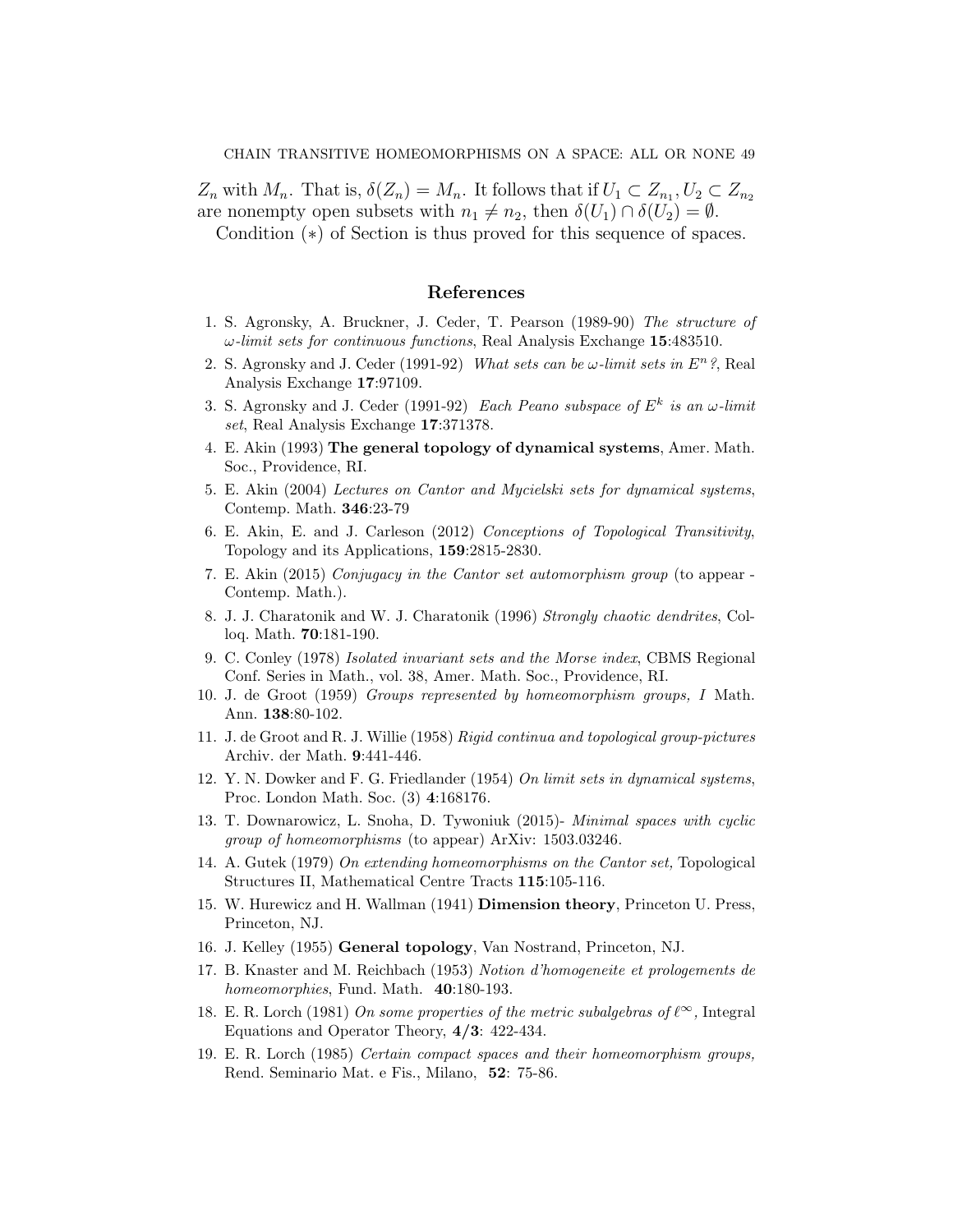$Z_n$  with  $M_n$ . That is,  $\delta(Z_n) = M_n$ . It follows that if  $U_1 \subset Z_{n_1}, U_2 \subset Z_{n_2}$ are nonempty open subsets with  $n_1 \neq n_2$ , then  $\delta(U_1) \cap \delta(U_2) = \emptyset$ .

Condition (∗) of Section is thus proved for this sequence of spaces.

## References

- <span id="page-48-0"></span>1. S. Agronsky, A. Bruckner, J. Ceder, T. Pearson (1989-90) The structure of  $\omega$ -limit sets for continuous functions, Real Analysis Exchange 15:483510.
- <span id="page-48-1"></span>2. S. Agronsky and J. Ceder (1991-92) What sets can be  $\omega$ -limit sets in  $E^n$ ? Real Analysis Exchange 17:97109.
- <span id="page-48-2"></span>3. S. Agronsky and J. Ceder (1991-92) Each Peano subspace of  $E^k$  is an  $\omega$ -limit set, Real Analysis Exchange 17:371378.
- <span id="page-48-3"></span>4. E. Akin (1993) The general topology of dynamical systems, Amer. Math. Soc., Providence, RI.
- 5. E. Akin (2004) Lectures on Cantor and Mycielski sets for dynamical systems, Contemp. Math. 346:23-79
- <span id="page-48-9"></span>6. E. Akin, E. and J. Carleson (2012) Conceptions of Topological Transitivity, Topology and its Applications, 159:2815-2830.
- <span id="page-48-15"></span>7. E. Akin (2015) Conjugacy in the Cantor set automorphism group (to appear - Contemp. Math.).
- <span id="page-48-14"></span>8. J. J. Charatonik and W. J. Charatonik (1996) Strongly chaotic dendrites, Colloq. Math. 70:181-190.
- <span id="page-48-5"></span>9. C. Conley (1978) Isolated invariant sets and the Morse index, CBMS Regional Conf. Series in Math., vol. 38, Amer. Math. Soc., Providence, RI.
- <span id="page-48-7"></span>10. J. de Groot (1959) Groups represented by homeomorphism groups, I Math. Ann. 138:80-102.
- <span id="page-48-6"></span>11. J. de Groot and R. J. Willie (1958) Rigid continua and topological group-pictures Archiv. der Math. 9:441-446.
- <span id="page-48-4"></span>12. Y. N. Dowker and F. G. Friedlander (1954) On limit sets in dynamical systems, Proc. London Math. Soc. (3) 4:168176.
- <span id="page-48-8"></span>13. T. Downarowicz, L. Snoha, D. Tywoniuk (2015)- Minimal spaces with cyclic group of homeomorphisms (to appear) ArXiv: 1503.03246.
- <span id="page-48-13"></span>14. A. Gutek (1979) On extending homeomorphisms on the Cantor set, Topological Structures II, Mathematical Centre Tracts 115:105-116.
- <span id="page-48-16"></span>15. W. Hurewicz and H. Wallman (1941) Dimension theory, Princeton U. Press, Princeton, NJ.
- <span id="page-48-12"></span>16. J. Kelley (1955) General topology, Van Nostrand, Princeton, NJ.
- 17. B. Knaster and M. Reichbach (1953) Notion d'homogeneite et prologements de homeomorphies, Fund. Math. 40:180-193.
- <span id="page-48-10"></span>18. E. R. Lorch (1981) On some properties of the metric subalgebras of  $\ell^{\infty}$ , Integral Equations and Operator Theory, 4/3: 422-434.
- <span id="page-48-11"></span>19. E. R. Lorch (1985) Certain compact spaces and their homeomorphism groups, Rend. Seminario Mat. e Fis., Milano, 52: 75-86.